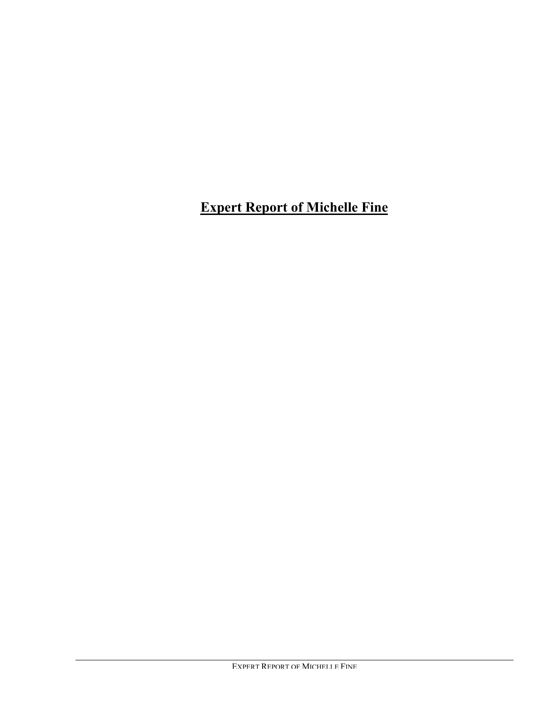# **Expert Report of Michelle Fine**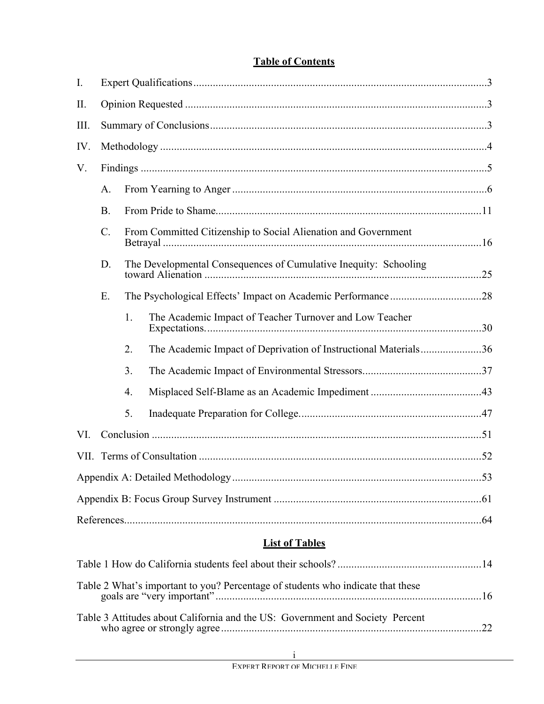# **Table of Contents**

| I.   |           |                                                                  |                                                                 |  |
|------|-----------|------------------------------------------------------------------|-----------------------------------------------------------------|--|
| II.  |           |                                                                  |                                                                 |  |
| Ш.   |           |                                                                  |                                                                 |  |
| IV.  |           |                                                                  |                                                                 |  |
| V.   |           |                                                                  |                                                                 |  |
|      | A.        |                                                                  |                                                                 |  |
|      | <b>B.</b> |                                                                  |                                                                 |  |
|      | $C$ .     | From Committed Citizenship to Social Alienation and Government   |                                                                 |  |
|      | D.        | The Developmental Consequences of Cumulative Inequity: Schooling |                                                                 |  |
|      | Ε.        |                                                                  |                                                                 |  |
|      |           | 1.                                                               | The Academic Impact of Teacher Turnover and Low Teacher         |  |
|      |           | 2.                                                               | The Academic Impact of Deprivation of Instructional Materials36 |  |
|      |           | 3.                                                               |                                                                 |  |
|      |           | 4.                                                               |                                                                 |  |
|      |           | 5.                                                               |                                                                 |  |
| VI.  |           |                                                                  |                                                                 |  |
| VII. |           |                                                                  |                                                                 |  |
|      |           |                                                                  |                                                                 |  |
|      |           |                                                                  |                                                                 |  |
|      |           |                                                                  |                                                                 |  |
|      |           |                                                                  | <b>List of Tables</b>                                           |  |
|      |           |                                                                  |                                                                 |  |

| Table 2 What's important to you? Percentage of students who indicate that these |    |
|---------------------------------------------------------------------------------|----|
| Table 3 Attitudes about California and the US: Government and Society Percent   | າາ |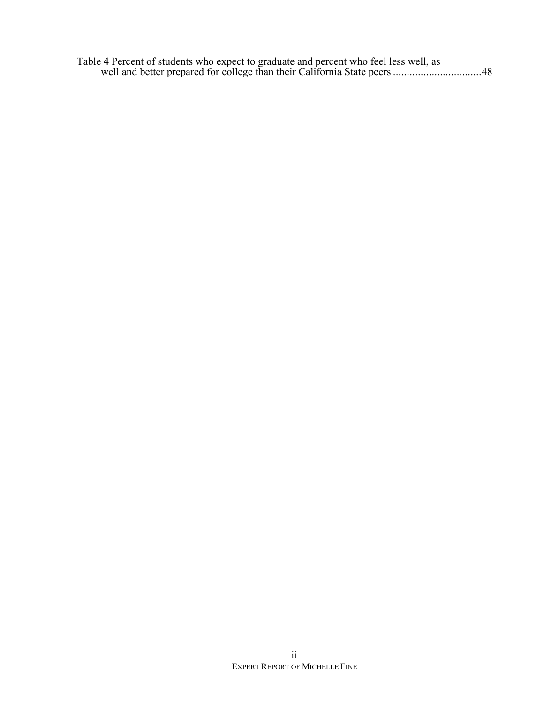| Table 4 Percent of students who expect to graduate and percent who feel less well, as |  |
|---------------------------------------------------------------------------------------|--|
|                                                                                       |  |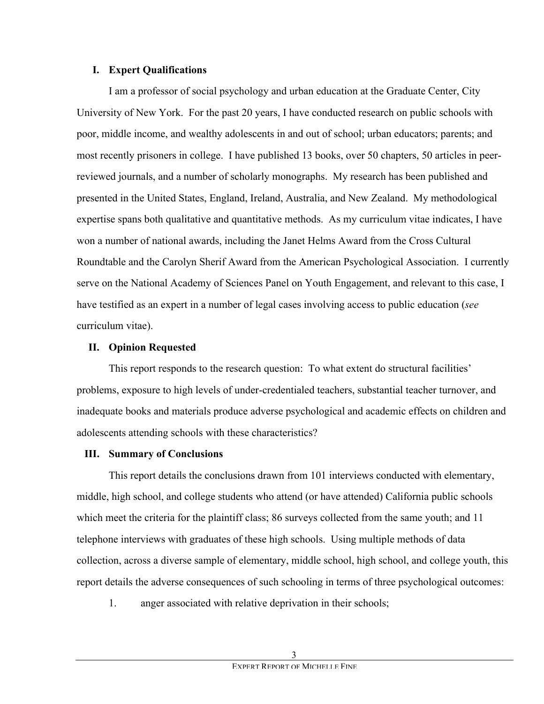### **I. Expert Qualifications**

I am a professor of social psychology and urban education at the Graduate Center, City University of New York. For the past 20 years, I have conducted research on public schools with poor, middle income, and wealthy adolescents in and out of school; urban educators; parents; and most recently prisoners in college. I have published 13 books, over 50 chapters, 50 articles in peerreviewed journals, and a number of scholarly monographs. My research has been published and presented in the United States, England, Ireland, Australia, and New Zealand. My methodological expertise spans both qualitative and quantitative methods. As my curriculum vitae indicates, I have won a number of national awards, including the Janet Helms Award from the Cross Cultural Roundtable and the Carolyn Sherif Award from the American Psychological Association. I currently serve on the National Academy of Sciences Panel on Youth Engagement, and relevant to this case, I have testified as an expert in a number of legal cases involving access to public education (*see* curriculum vitae).

## **II. Opinion Requested**

This report responds to the research question: To what extent do structural facilities' problems, exposure to high levels of under-credentialed teachers, substantial teacher turnover, and inadequate books and materials produce adverse psychological and academic effects on children and adolescents attending schools with these characteristics?

# **III. Summary of Conclusions**

This report details the conclusions drawn from 101 interviews conducted with elementary, middle, high school, and college students who attend (or have attended) California public schools which meet the criteria for the plaintiff class; 86 surveys collected from the same youth; and 11 telephone interviews with graduates of these high schools. Using multiple methods of data collection, across a diverse sample of elementary, middle school, high school, and college youth, this report details the adverse consequences of such schooling in terms of three psychological outcomes:

1. anger associated with relative deprivation in their schools;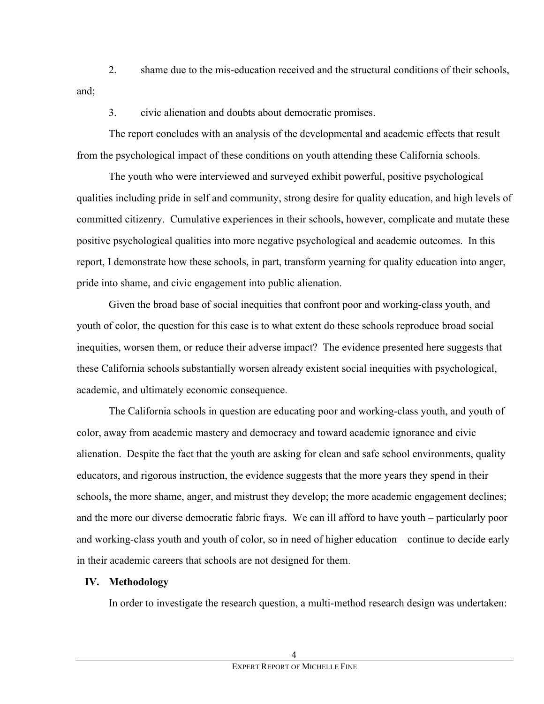2. shame due to the mis-education received and the structural conditions of their schools, and;

3. civic alienation and doubts about democratic promises.

The report concludes with an analysis of the developmental and academic effects that result from the psychological impact of these conditions on youth attending these California schools.

The youth who were interviewed and surveyed exhibit powerful, positive psychological qualities including pride in self and community, strong desire for quality education, and high levels of committed citizenry. Cumulative experiences in their schools, however, complicate and mutate these positive psychological qualities into more negative psychological and academic outcomes. In this report, I demonstrate how these schools, in part, transform yearning for quality education into anger, pride into shame, and civic engagement into public alienation.

Given the broad base of social inequities that confront poor and working-class youth, and youth of color, the question for this case is to what extent do these schools reproduce broad social inequities, worsen them, or reduce their adverse impact? The evidence presented here suggests that these California schools substantially worsen already existent social inequities with psychological, academic, and ultimately economic consequence.

The California schools in question are educating poor and working-class youth, and youth of color, away from academic mastery and democracy and toward academic ignorance and civic alienation. Despite the fact that the youth are asking for clean and safe school environments, quality educators, and rigorous instruction, the evidence suggests that the more years they spend in their schools, the more shame, anger, and mistrust they develop; the more academic engagement declines; and the more our diverse democratic fabric frays. We can ill afford to have youth – particularly poor and working-class youth and youth of color, so in need of higher education – continue to decide early in their academic careers that schools are not designed for them.

# **IV. Methodology**

In order to investigate the research question, a multi-method research design was undertaken: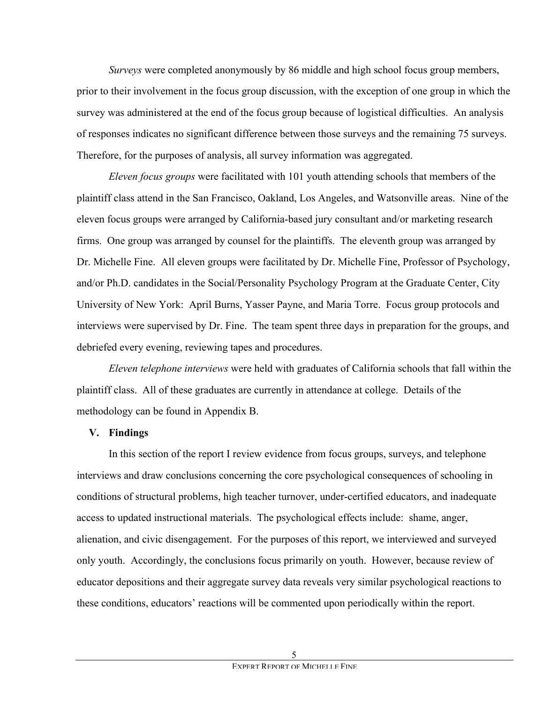*Surveys* were completed anonymously by 86 middle and high school focus group members, prior to their involvement in the focus group discussion, with the exception of one group in which the survey was administered at the end of the focus group because of logistical difficulties. An analysis of responses indicates no significant difference between those surveys and the remaining 75 surveys. Therefore, for the purposes of analysis, all survey information was aggregated.

*Eleven focus groups* were facilitated with 101 youth attending schools that members of the plaintiff class attend in the San Francisco, Oakland, Los Angeles, and Watsonville areas. Nine of the eleven focus groups were arranged by California-based jury consultant and/or marketing research firms. One group was arranged by counsel for the plaintiffs. The eleventh group was arranged by Dr. Michelle Fine. All eleven groups were facilitated by Dr. Michelle Fine, Professor of Psychology, and/or Ph.D. candidates in the Social/Personality Psychology Program at the Graduate Center, City University of New York: April Burns, Yasser Payne, and Maria Torre. Focus group protocols and interviews were supervised by Dr. Fine. The team spent three days in preparation for the groups, and debriefed every evening, reviewing tapes and procedures.

*Eleven telephone interviews* were held with graduates of California schools that fall within the plaintiff class. All of these graduates are currently in attendance at college. Details of the methodology can be found in Appendix B.

#### **V. Findings**

In this section of the report I review evidence from focus groups, surveys, and telephone interviews and draw conclusions concerning the core psychological consequences of schooling in conditions of structural problems, high teacher turnover, under-certified educators, and inadequate access to updated instructional materials. The psychological effects include: shame, anger, alienation, and civic disengagement. For the purposes of this report, we interviewed and surveyed only youth. Accordingly, the conclusions focus primarily on youth. However, because review of educator depositions and their aggregate survey data reveals very similar psychological reactions to these conditions, educators' reactions will be commented upon periodically within the report.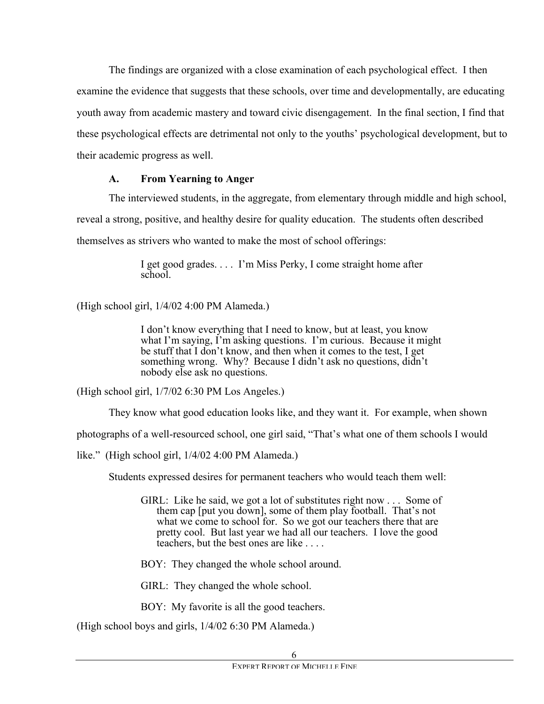The findings are organized with a close examination of each psychological effect. I then examine the evidence that suggests that these schools, over time and developmentally, are educating youth away from academic mastery and toward civic disengagement. In the final section, I find that these psychological effects are detrimental not only to the youths' psychological development, but to their academic progress as well.

# **A. From Yearning to Anger**

The interviewed students, in the aggregate, from elementary through middle and high school,

reveal a strong, positive, and healthy desire for quality education. The students often described

themselves as strivers who wanted to make the most of school offerings:

I get good grades. . . . I'm Miss Perky, I come straight home after school.

(High school girl, 1/4/02 4:00 PM Alameda.)

I don't know everything that I need to know, but at least, you know what I'm saying, I'm asking questions. I'm curious. Because it might be stuff that I don't know, and then when it comes to the test, I get something wrong. Why? Because I didn't ask no questions, didn't nobody else ask no questions.

(High school girl, 1/7/02 6:30 PM Los Angeles.)

They know what good education looks like, and they want it. For example, when shown

photographs of a well-resourced school, one girl said, "That's what one of them schools I would

like." (High school girl,  $1/4/02$  4:00 PM Alameda.)

Students expressed desires for permanent teachers who would teach them well:

- GIRL: Like he said, we got a lot of substitutes right now . . . Some of them cap [put you down], some of them play football. That's not what we come to school for. So we got our teachers there that are pretty cool. But last year we had all our teachers. I love the good teachers, but the best ones are like . . . .
- BOY: They changed the whole school around.

GIRL: They changed the whole school.

BOY: My favorite is all the good teachers.

(High school boys and girls, 1/4/02 6:30 PM Alameda.)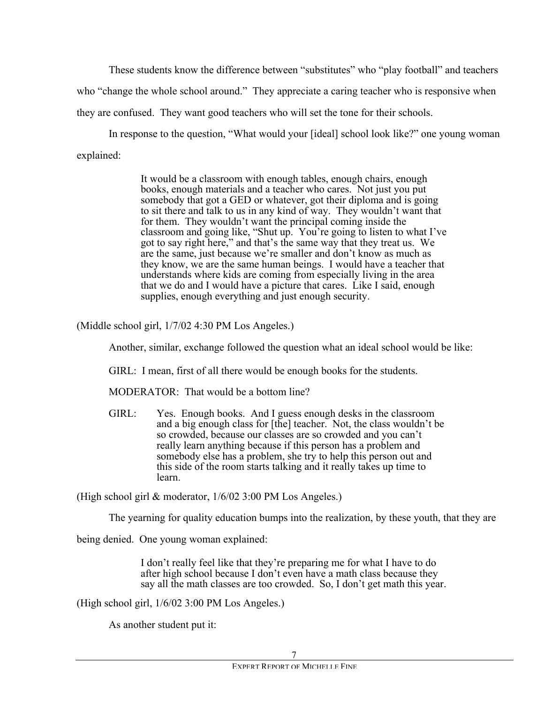These students know the difference between "substitutes" who "play football" and teachers

who "change the whole school around." They appreciate a caring teacher who is responsive when

they are confused. They want good teachers who will set the tone for their schools.

In response to the question, "What would your [ideal] school look like?" one young woman explained:

> It would be a classroom with enough tables, enough chairs, enough books, enough materials and a teacher who cares. Not just you put somebody that got a GED or whatever, got their diploma and is going to sit there and talk to us in any kind of way. They wouldn't want that for them. They wouldn't want the principal coming inside the classroom and going like, "Shut up. You're going to listen to what I've got to say right here," and that's the same way that they treat us. We are the same, just because we're smaller and don't know as much as they know, we are the same human beings. I would have a teacher that understands where kids are coming from especially living in the area that we do and I would have a picture that cares. Like I said, enough supplies, enough everything and just enough security.

(Middle school girl, 1/7/02 4:30 PM Los Angeles.)

Another, similar, exchange followed the question what an ideal school would be like:

GIRL: I mean, first of all there would be enough books for the students.

MODERATOR: That would be a bottom line?

GIRL: Yes. Enough books. And I guess enough desks in the classroom and a big enough class for [the] teacher. Not, the class wouldn't be so crowded, because our classes are so crowded and you can't really learn anything because if this person has a problem and somebody else has a problem, she try to help this person out and this side of the room starts talking and it really takes up time to learn.

(High school girl & moderator, 1/6/02 3:00 PM Los Angeles.)

The yearning for quality education bumps into the realization, by these youth, that they are

being denied. One young woman explained:

I don't really feel like that they're preparing me for what I have to do after high school because I don't even have a math class because they say all the math classes are too crowded. So, I don't get math this year.

(High school girl, 1/6/02 3:00 PM Los Angeles.)

As another student put it: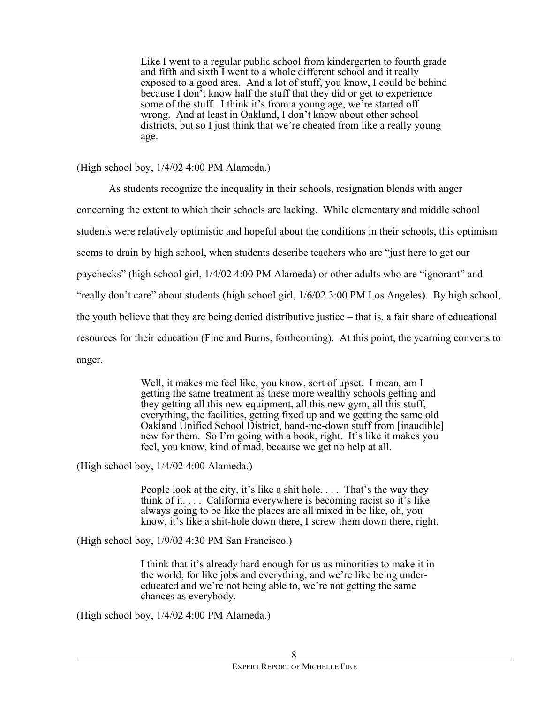Like I went to a regular public school from kindergarten to fourth grade and fifth and sixth I went to a whole different school and it really exposed to a good area. And a lot of stuff, you know, I could be behind because I don't know half the stuff that they did or get to experience some of the stuff. I think it's from a young age, we're started off wrong. And at least in Oakland, I don't know about other school districts, but so I just think that we're cheated from like a really young age.

(High school boy, 1/4/02 4:00 PM Alameda.)

As students recognize the inequality in their schools, resignation blends with anger concerning the extent to which their schools are lacking. While elementary and middle school students were relatively optimistic and hopeful about the conditions in their schools, this optimism seems to drain by high school, when students describe teachers who are "just here to get our paychecks" (high school girl, 1/4/02 4:00 PM Alameda) or other adults who are "ignorant" and "really don't care" about students (high school girl, 1/6/02 3:00 PM Los Angeles). By high school, the youth believe that they are being denied distributive justice – that is, a fair share of educational resources for their education (Fine and Burns, forthcoming). At this point, the yearning converts to anger.

> Well, it makes me feel like, you know, sort of upset. I mean, am I getting the same treatment as these more wealthy schools getting and they getting all this new equipment, all this new gym, all this stuff, everything, the facilities, getting fixed up and we getting the same old Oakland Unified School District, hand-me-down stuff from [inaudible] new for them. So I'm going with a book, right. It's like it makes you feel, you know, kind of mad, because we get no help at all.

(High school boy, 1/4/02 4:00 Alameda.)

People look at the city, it's like a shit hole. . . . That's the way they think of it. . . . California everywhere is becoming racist so it's like always going to be like the places are all mixed in be like, oh, you know, it's like a shit-hole down there, I screw them down there, right.

(High school boy, 1/9/02 4:30 PM San Francisco.)

I think that it's already hard enough for us as minorities to make it in the world, for like jobs and everything, and we're like being undereducated and we're not being able to, we're not getting the same chances as everybody.

(High school boy, 1/4/02 4:00 PM Alameda.)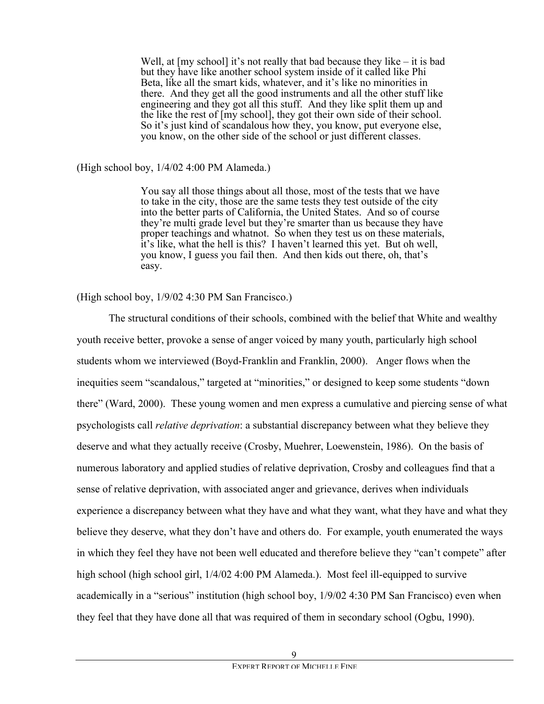Well, at [my school] it's not really that bad because they like – it is bad but they have like another school system inside of it called like Phi Beta, like all the smart kids, whatever, and it's like no minorities in there. And they get all the good instruments and all the other stuff like engineering and they got all this stuff. And they like split them up and the like the rest of [my school], they got their own side of their school. So it's just kind of scandalous how they, you know, put everyone else, you know, on the other side of the school or just different classes.

(High school boy, 1/4/02 4:00 PM Alameda.)

You say all those things about all those, most of the tests that we have to take in the city, those are the same tests they test outside of the city into the better parts of California, the United States. And so of course they're multi grade level but they're smarter than us because they have proper teachings and whatnot. So when they test us on these materials, it's like, what the hell is this? I haven't learned this yet. But oh well, you know, I guess you fail then. And then kids out there, oh, that's easy.

(High school boy, 1/9/02 4:30 PM San Francisco.)

The structural conditions of their schools, combined with the belief that White and wealthy youth receive better, provoke a sense of anger voiced by many youth, particularly high school students whom we interviewed (Boyd-Franklin and Franklin, 2000). Anger flows when the inequities seem "scandalous," targeted at "minorities," or designed to keep some students "down there" (Ward, 2000). These young women and men express a cumulative and piercing sense of what psychologists call *relative deprivation*: a substantial discrepancy between what they believe they deserve and what they actually receive (Crosby, Muehrer, Loewenstein, 1986). On the basis of numerous laboratory and applied studies of relative deprivation, Crosby and colleagues find that a sense of relative deprivation, with associated anger and grievance, derives when individuals experience a discrepancy between what they have and what they want, what they have and what they believe they deserve, what they don't have and others do. For example, youth enumerated the ways in which they feel they have not been well educated and therefore believe they "can't compete" after high school (high school girl, 1/4/02 4:00 PM Alameda.). Most feel ill-equipped to survive academically in a "serious" institution (high school boy, 1/9/02 4:30 PM San Francisco) even when they feel that they have done all that was required of them in secondary school (Ogbu, 1990).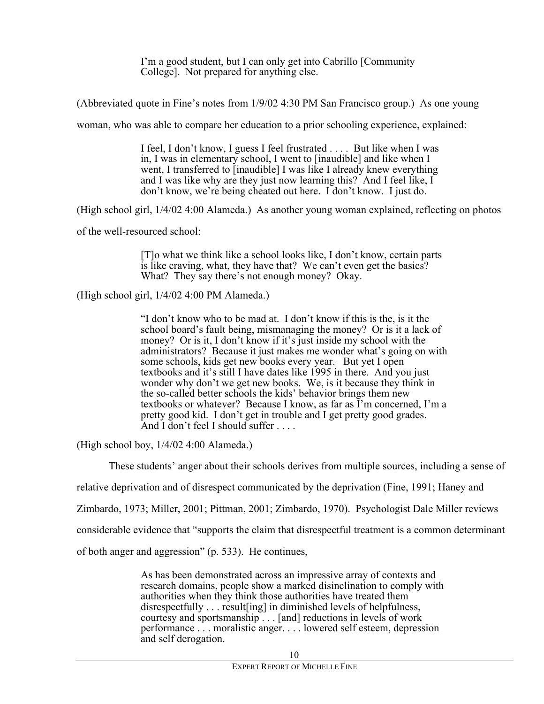I'm a good student, but I can only get into Cabrillo [Community College]. Not prepared for anything else.

(Abbreviated quote in Fine's notes from 1/9/02 4:30 PM San Francisco group.) As one young

woman, who was able to compare her education to a prior schooling experience, explained:

I feel, I don't know, I guess I feel frustrated . . . . But like when I was in, I was in elementary school, I went to [inaudible] and like when I went, I transferred to [inaudible] I was like I already knew everything and I was like why are they just now learning this? And I feel like, I don't know, we're being cheated out here. I don't know. I just do.

(High school girl, 1/4/02 4:00 Alameda.) As another young woman explained, reflecting on photos

of the well-resourced school:

[T]o what we think like a school looks like, I don't know, certain parts is like craving, what, they have that? We can't even get the basics? What? They say there's not enough money? Okay.

(High school girl, 1/4/02 4:00 PM Alameda.)

"I don't know who to be mad at. I don't know if this is the, is it the school board's fault being, mismanaging the money? Or is it a lack of money? Or is it, I don't know if it's just inside my school with the administrators? Because it just makes me wonder what's going on with some schools, kids get new books every year. But yet I open textbooks and it's still I have dates like 1995 in there. And you just wonder why don't we get new books. We, is it because they think in the so-called better schools the kids' behavior brings them new textbooks or whatever? Because I know, as far as I'm concerned, I'm a pretty good kid. I don't get in trouble and I get pretty good grades. And I don't feel I should suffer . . . .

(High school boy, 1/4/02 4:00 Alameda.)

These students' anger about their schools derives from multiple sources, including a sense of

relative deprivation and of disrespect communicated by the deprivation (Fine, 1991; Haney and

Zimbardo, 1973; Miller, 2001; Pittman, 2001; Zimbardo, 1970). Psychologist Dale Miller reviews

considerable evidence that "supports the claim that disrespectful treatment is a common determinant

of both anger and aggression" (p. 533). He continues,

As has been demonstrated across an impressive array of contexts and research domains, people show a marked disinclination to comply with authorities when they think those authorities have treated them disrespectfully . . . result[ing] in diminished levels of helpfulness, courtesy and sportsmanship . . . [and] reductions in levels of work performance . . . moralistic anger. . . . lowered self esteem, depression and self derogation.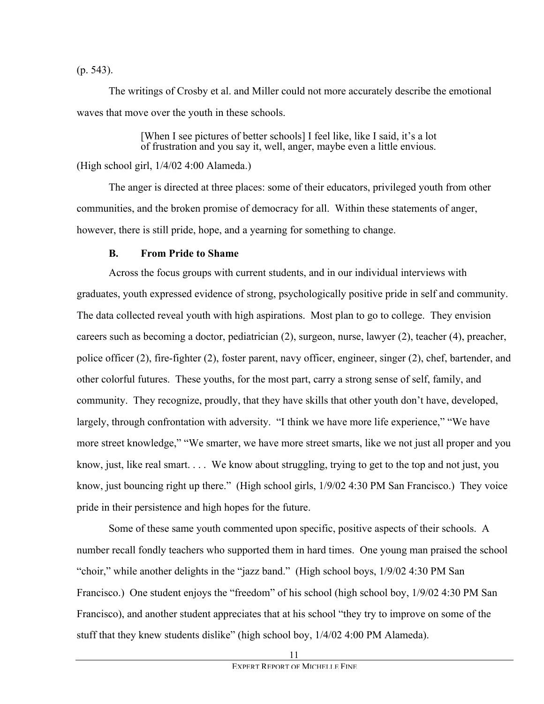(p. 543).

The writings of Crosby et al. and Miller could not more accurately describe the emotional waves that move over the youth in these schools.

> [When I see pictures of better schools] I feel like, like I said, it's a lot of frustration and you say it, well, anger, maybe even a little envious.

(High school girl, 1/4/02 4:00 Alameda.)

The anger is directed at three places: some of their educators, privileged youth from other communities, and the broken promise of democracy for all. Within these statements of anger, however, there is still pride, hope, and a yearning for something to change.

## **B. From Pride to Shame**

Across the focus groups with current students, and in our individual interviews with graduates, youth expressed evidence of strong, psychologically positive pride in self and community. The data collected reveal youth with high aspirations. Most plan to go to college. They envision careers such as becoming a doctor, pediatrician (2), surgeon, nurse, lawyer (2), teacher (4), preacher, police officer (2), fire-fighter (2), foster parent, navy officer, engineer, singer (2), chef, bartender, and other colorful futures. These youths, for the most part, carry a strong sense of self, family, and community. They recognize, proudly, that they have skills that other youth don't have, developed, largely, through confrontation with adversity. "I think we have more life experience," "We have more street knowledge," "We smarter, we have more street smarts, like we not just all proper and you know, just, like real smart. . . . We know about struggling, trying to get to the top and not just, you know, just bouncing right up there." (High school girls, 1/9/02 4:30 PM San Francisco.) They voice pride in their persistence and high hopes for the future.

Some of these same youth commented upon specific, positive aspects of their schools. A number recall fondly teachers who supported them in hard times. One young man praised the school "choir," while another delights in the "jazz band." (High school boys, 1/9/02 4:30 PM San Francisco.) One student enjoys the "freedom" of his school (high school boy, 1/9/02 4:30 PM San Francisco), and another student appreciates that at his school "they try to improve on some of the stuff that they knew students dislike" (high school boy, 1/4/02 4:00 PM Alameda).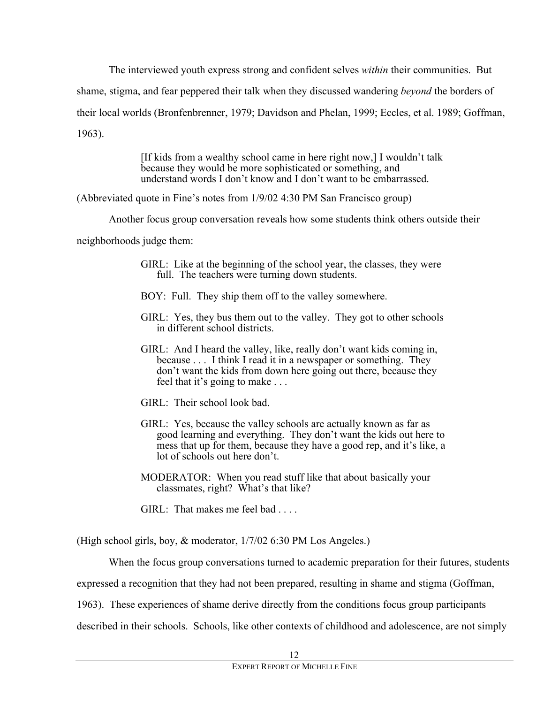The interviewed youth express strong and confident selves *within* their communities. But shame, stigma, and fear peppered their talk when they discussed wandering *beyond* the borders of their local worlds (Bronfenbrenner, 1979; Davidson and Phelan, 1999; Eccles, et al. 1989; Goffman, 1963).

> [If kids from a wealthy school came in here right now,] I wouldn't talk because they would be more sophisticated or something, and understand words I don't know and I don't want to be embarrassed.

(Abbreviated quote in Fine's notes from 1/9/02 4:30 PM San Francisco group)

Another focus group conversation reveals how some students think others outside their

neighborhoods judge them:

GIRL: Like at the beginning of the school year, the classes, they were full. The teachers were turning down students.

- BOY: Full. They ship them off to the valley somewhere.
- GIRL: Yes, they bus them out to the valley. They got to other schools in different school districts.
- GIRL: And I heard the valley, like, really don't want kids coming in, because . . . I think I read it in a newspaper or something. They don't want the kids from down here going out there, because they feel that it's going to make . . .
- GIRL: Their school look bad.
- GIRL: Yes, because the valley schools are actually known as far as good learning and everything. They don't want the kids out here to mess that up for them, because they have a good rep, and it's like, a lot of schools out here don't.
- MODERATOR: When you read stuff like that about basically your classmates, right? What's that like?

GIRL: That makes me feel bad . . . .

(High school girls, boy, & moderator, 1/7/02 6:30 PM Los Angeles.)

When the focus group conversations turned to academic preparation for their futures, students

expressed a recognition that they had not been prepared, resulting in shame and stigma (Goffman,

1963). These experiences of shame derive directly from the conditions focus group participants

described in their schools. Schools, like other contexts of childhood and adolescence, are not simply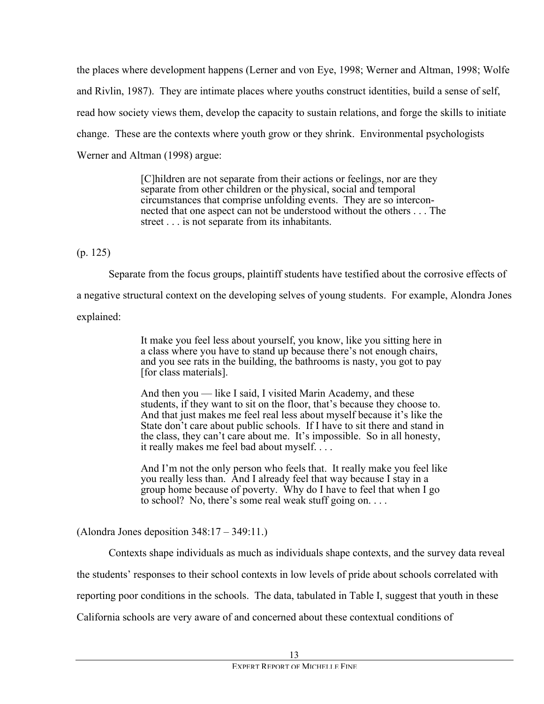the places where development happens (Lerner and von Eye, 1998; Werner and Altman, 1998; Wolfe and Rivlin, 1987). They are intimate places where youths construct identities, build a sense of self, read how society views them, develop the capacity to sustain relations, and forge the skills to initiate change. These are the contexts where youth grow or they shrink. Environmental psychologists Werner and Altman (1998) argue:

> [C]hildren are not separate from their actions or feelings, nor are they separate from other children or the physical, social and temporal circumstances that comprise unfolding events. They are so interconnected that one aspect can not be understood without the others . . . The street . . . is not separate from its inhabitants.

# (p. 125)

Separate from the focus groups, plaintiff students have testified about the corrosive effects of a negative structural context on the developing selves of young students. For example, Alondra Jones explained:

> It make you feel less about yourself, you know, like you sitting here in a class where you have to stand up because there's not enough chairs, and you see rats in the building, the bathrooms is nasty, you got to pay [for class materials].

> And then you — like I said, I visited Marin Academy, and these students, if they want to sit on the floor, that's because they choose to. And that just makes me feel real less about myself because it's like the State don't care about public schools. If I have to sit there and stand in the class, they can't care about me. It's impossible. So in all honesty, it really makes me feel bad about myself. . . .

And I'm not the only person who feels that. It really make you feel like you really less than. And I already feel that way because I stay in a group home because of poverty. Why do I have to feel that when I go to school? No, there's some real weak stuff going on. . . .

(Alondra Jones deposition 348:17 – 349:11.)

Contexts shape individuals as much as individuals shape contexts, and the survey data reveal

the students' responses to their school contexts in low levels of pride about schools correlated with

reporting poor conditions in the schools. The data, tabulated in Table I, suggest that youth in these

California schools are very aware of and concerned about these contextual conditions of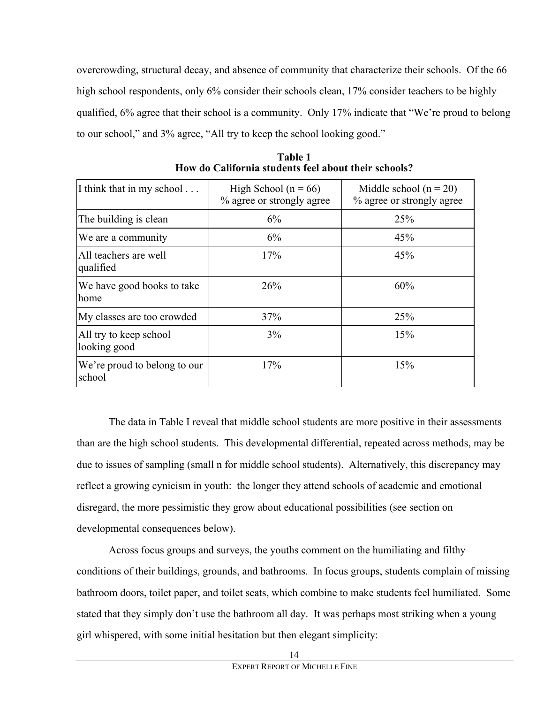overcrowding, structural decay, and absence of community that characterize their schools. Of the 66 high school respondents, only 6% consider their schools clean, 17% consider teachers to be highly qualified, 6% agree that their school is a community. Only 17% indicate that "We're proud to belong to our school," and 3% agree, "All try to keep the school looking good."

| I think that in my school              | High School ( $n = 66$ )<br>% agree or strongly agree | Middle school $(n = 20)$<br>% agree or strongly agree |
|----------------------------------------|-------------------------------------------------------|-------------------------------------------------------|
| The building is clean                  | 6%                                                    | 25%                                                   |
| We are a community                     | 6%                                                    | 45%                                                   |
| All teachers are well<br>qualified     | 17%                                                   | 45%                                                   |
| We have good books to take<br>home     | 26%                                                   | 60%                                                   |
| My classes are too crowded             | 37%                                                   | 25%                                                   |
| All try to keep school<br>looking good | 3%                                                    | 15%                                                   |
| We're proud to belong to our<br>school | 17%                                                   | 15%                                                   |

**Table 1 How do California students feel about their schools?**

The data in Table I reveal that middle school students are more positive in their assessments than are the high school students. This developmental differential, repeated across methods, may be due to issues of sampling (small n for middle school students). Alternatively, this discrepancy may reflect a growing cynicism in youth: the longer they attend schools of academic and emotional disregard, the more pessimistic they grow about educational possibilities (see section on developmental consequences below).

Across focus groups and surveys, the youths comment on the humiliating and filthy conditions of their buildings, grounds, and bathrooms. In focus groups, students complain of missing bathroom doors, toilet paper, and toilet seats, which combine to make students feel humiliated. Some stated that they simply don't use the bathroom all day. It was perhaps most striking when a young girl whispered, with some initial hesitation but then elegant simplicity: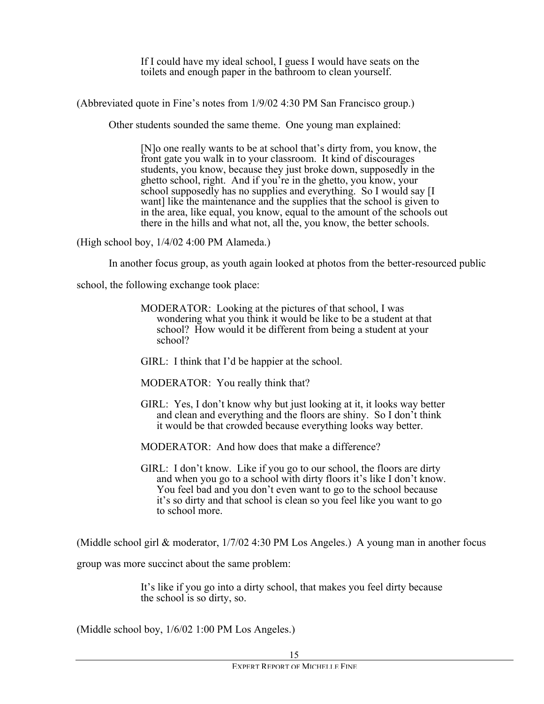If I could have my ideal school, I guess I would have seats on the toilets and enough paper in the bathroom to clean yourself.

(Abbreviated quote in Fine's notes from 1/9/02 4:30 PM San Francisco group.)

Other students sounded the same theme. One young man explained:

[N]o one really wants to be at school that's dirty from, you know, the front gate you walk in to your classroom. It kind of discourages students, you know, because they just broke down, supposedly in the ghetto school, right. And if you're in the ghetto, you know, your school supposedly has no supplies and everything. So I would say [I want] like the maintenance and the supplies that the school is given to in the area, like equal, you know, equal to the amount of the schools out there in the hills and what not, all the, you know, the better schools.

(High school boy, 1/4/02 4:00 PM Alameda.)

In another focus group, as youth again looked at photos from the better-resourced public

school, the following exchange took place:

MODERATOR: Looking at the pictures of that school, I was wondering what you think it would be like to be a student at that school? How would it be different from being a student at your school?

GIRL: I think that I'd be happier at the school.

- MODERATOR: You really think that?
- GIRL: Yes, I don't know why but just looking at it, it looks way better and clean and everything and the floors are shiny. So I don't think it would be that crowded because everything looks way better.
- MODERATOR: And how does that make a difference?
- GIRL: I don't know. Like if you go to our school, the floors are dirty and when you go to a school with dirty floors it's like I don't know. You feel bad and you don't even want to go to the school because it's so dirty and that school is clean so you feel like you want to go to school more.

(Middle school girl & moderator, 1/7/02 4:30 PM Los Angeles.) A young man in another focus

group was more succinct about the same problem:

It's like if you go into a dirty school, that makes you feel dirty because the school is so dirty, so.

(Middle school boy, 1/6/02 1:00 PM Los Angeles.)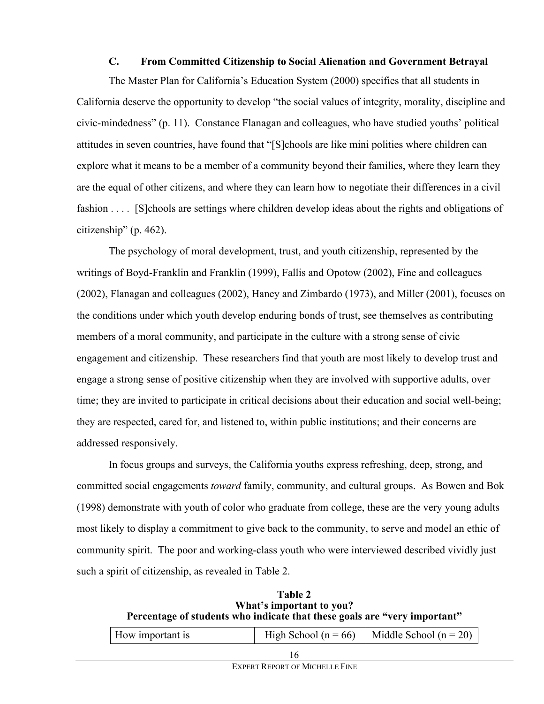#### **C. From Committed Citizenship to Social Alienation and Government Betrayal**

The Master Plan for California's Education System (2000) specifies that all students in California deserve the opportunity to develop "the social values of integrity, morality, discipline and civic-mindedness" (p. 11). Constance Flanagan and colleagues, who have studied youths' political attitudes in seven countries, have found that "[S]chools are like mini polities where children can explore what it means to be a member of a community beyond their families, where they learn they are the equal of other citizens, and where they can learn how to negotiate their differences in a civil fashion . . . . [S]chools are settings where children develop ideas about the rights and obligations of citizenship" (p. 462).

The psychology of moral development, trust, and youth citizenship, represented by the writings of Boyd-Franklin and Franklin (1999), Fallis and Opotow (2002), Fine and colleagues (2002), Flanagan and colleagues (2002), Haney and Zimbardo (1973), and Miller (2001), focuses on the conditions under which youth develop enduring bonds of trust, see themselves as contributing members of a moral community, and participate in the culture with a strong sense of civic engagement and citizenship. These researchers find that youth are most likely to develop trust and engage a strong sense of positive citizenship when they are involved with supportive adults, over time; they are invited to participate in critical decisions about their education and social well-being; they are respected, cared for, and listened to, within public institutions; and their concerns are addressed responsively.

In focus groups and surveys, the California youths express refreshing, deep, strong, and committed social engagements *toward* family, community, and cultural groups. As Bowen and Bok (1998) demonstrate with youth of color who graduate from college, these are the very young adults most likely to display a commitment to give back to the community, to serve and model an ethic of community spirit. The poor and working-class youth who were interviewed described vividly just such a spirit of citizenship, as revealed in Table 2.

| <i>v</i> hat s important to you?<br>Percentage of students who indicate that these goals are "very important" |                          |                          |  |
|---------------------------------------------------------------------------------------------------------------|--------------------------|--------------------------|--|
| How important is                                                                                              | High School ( $n = 66$ ) | Middle School $(n = 20)$ |  |
|                                                                                                               | l 6                      |                          |  |

**Table 2 What's important to you?**

EXPERT REPORT OF MICHELLE FINE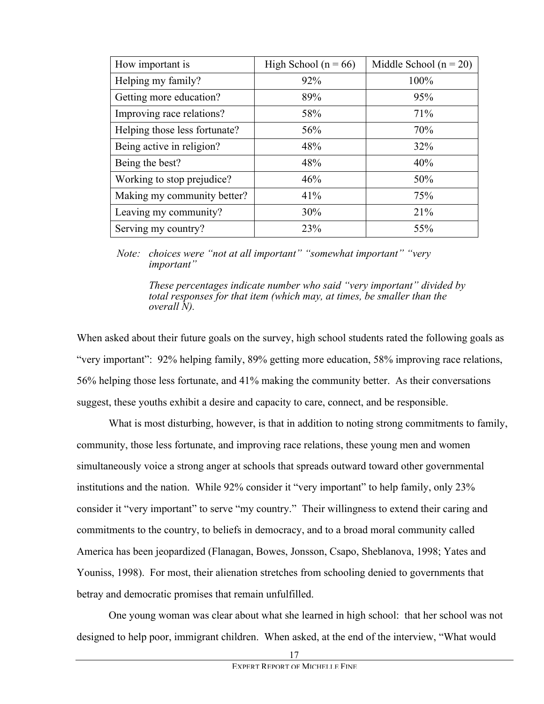| How important is              | High School ( $n = 66$ ) | Middle School $(n = 20)$ |
|-------------------------------|--------------------------|--------------------------|
| Helping my family?            | 92%                      | 100%                     |
| Getting more education?       | 89%                      | 95%                      |
| Improving race relations?     | 58%                      | 71%                      |
| Helping those less fortunate? | 56%                      | 70%                      |
| Being active in religion?     | 48%                      | 32%                      |
| Being the best?               | 48%                      | 40%                      |
| Working to stop prejudice?    | 46%                      | 50%                      |
| Making my community better?   | 41%                      | 75%                      |
| Leaving my community?         | 30%                      | 21%                      |
| Serving my country?           | 23%                      | 55%                      |

*Note: choices were "not at all important" "somewhat important" "very important"*

> *These percentages indicate number who said "very important" divided by total responses for that item (which may, at times, be smaller than the overall N).*

When asked about their future goals on the survey, high school students rated the following goals as "very important": 92% helping family, 89% getting more education, 58% improving race relations, 56% helping those less fortunate, and 41% making the community better. As their conversations suggest, these youths exhibit a desire and capacity to care, connect, and be responsible.

What is most disturbing, however, is that in addition to noting strong commitments to family, community, those less fortunate, and improving race relations, these young men and women simultaneously voice a strong anger at schools that spreads outward toward other governmental institutions and the nation. While 92% consider it "very important" to help family, only 23% consider it "very important" to serve "my country." Their willingness to extend their caring and commitments to the country, to beliefs in democracy, and to a broad moral community called America has been jeopardized (Flanagan, Bowes, Jonsson, Csapo, Sheblanova, 1998; Yates and Youniss, 1998). For most, their alienation stretches from schooling denied to governments that betray and democratic promises that remain unfulfilled.

One young woman was clear about what she learned in high school: that her school was not designed to help poor, immigrant children. When asked, at the end of the interview, "What would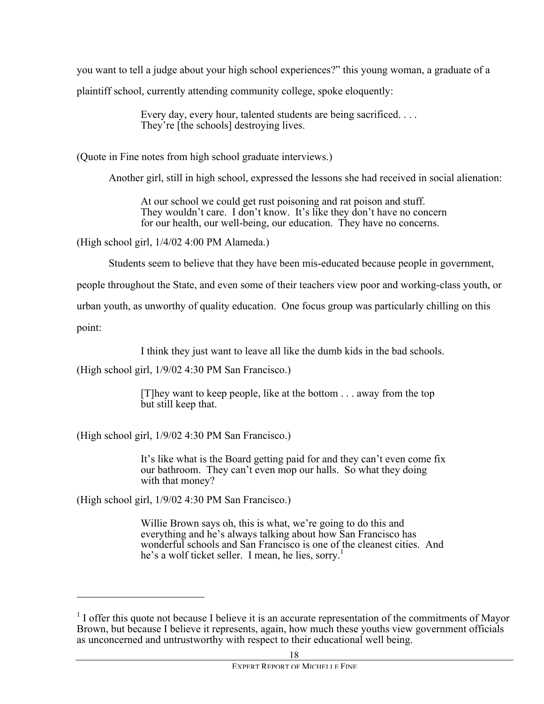you want to tell a judge about your high school experiences?" this young woman, a graduate of a

plaintiff school, currently attending community college, spoke eloquently:

Every day, every hour, talented students are being sacrificed. . . . They're [the schools] destroying lives.

(Quote in Fine notes from high school graduate interviews.)

Another girl, still in high school, expressed the lessons she had received in social alienation:

At our school we could get rust poisoning and rat poison and stuff. They wouldn't care. I don't know. It's like they don't have no concern for our health, our well-being, our education. They have no concerns.

(High school girl, 1/4/02 4:00 PM Alameda.)

Students seem to believe that they have been mis-educated because people in government,

people throughout the State, and even some of their teachers view poor and working-class youth, or

urban youth, as unworthy of quality education. One focus group was particularly chilling on this

point:

 $\overline{a}$ 

I think they just want to leave all like the dumb kids in the bad schools.

(High school girl, 1/9/02 4:30 PM San Francisco.)

[T]hey want to keep people, like at the bottom . . . away from the top but still keep that.

(High school girl, 1/9/02 4:30 PM San Francisco.)

It's like what is the Board getting paid for and they can't even come fix our bathroom. They can't even mop our halls. So what they doing with that money?

(High school girl, 1/9/02 4:30 PM San Francisco.)

Willie Brown says oh, this is what, we're going to do this and everything and he's always talking about how San Francisco has wonderful schools and San Francisco is one of the cleanest cities. And he's a wolf ticket seller. I mean, he lies, sorry.<sup>1</sup>

<sup>&</sup>lt;sup>1</sup> I offer this quote not because I believe it is an accurate representation of the commitments of Mayor Brown, but because I believe it represents, again, how much these youths view government officials as unconcerned and untrustworthy with respect to their educational well being.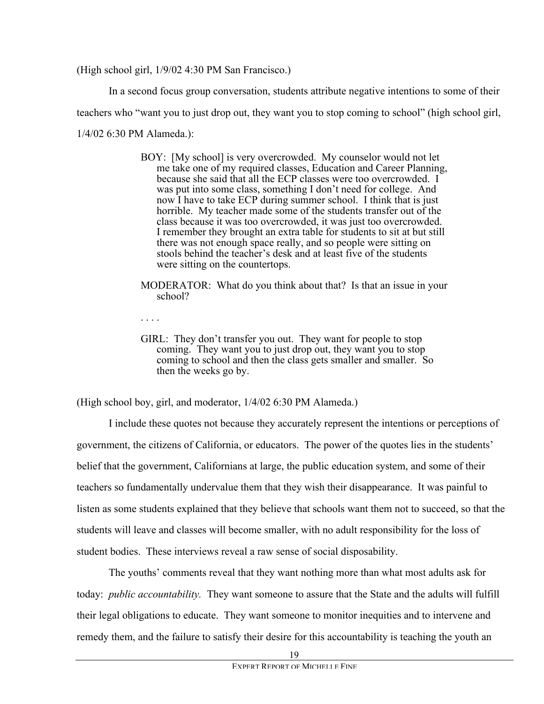(High school girl, 1/9/02 4:30 PM San Francisco.)

In a second focus group conversation, students attribute negative intentions to some of their

teachers who "want you to just drop out, they want you to stop coming to school" (high school girl,

1/4/02 6:30 PM Alameda.):

- BOY: [My school] is very overcrowded. My counselor would not let me take one of my required classes, Education and Career Planning, because she said that all the ECP classes were too overcrowded. I was put into some class, something I don't need for college. And now I have to take ECP during summer school. I think that is just horrible. My teacher made some of the students transfer out of the class because it was too overcrowded, it was just too overcrowded. I remember they brought an extra table for students to sit at but still there was not enough space really, and so people were sitting on stools behind the teacher's desk and at least five of the students were sitting on the countertops.
- MODERATOR: What do you think about that? Is that an issue in your school?

. . . .

GIRL: They don't transfer you out. They want for people to stop coming. They want you to just drop out, they want you to stop coming to school and then the class gets smaller and smaller. So then the weeks go by.

(High school boy, girl, and moderator, 1/4/02 6:30 PM Alameda.)

I include these quotes not because they accurately represent the intentions or perceptions of government, the citizens of California, or educators. The power of the quotes lies in the students' belief that the government, Californians at large, the public education system, and some of their teachers so fundamentally undervalue them that they wish their disappearance. It was painful to listen as some students explained that they believe that schools want them not to succeed, so that the students will leave and classes will become smaller, with no adult responsibility for the loss of student bodies. These interviews reveal a raw sense of social disposability.

The youths' comments reveal that they want nothing more than what most adults ask for today: *public accountability.* They want someone to assure that the State and the adults will fulfill their legal obligations to educate. They want someone to monitor inequities and to intervene and remedy them, and the failure to satisfy their desire for this accountability is teaching the youth an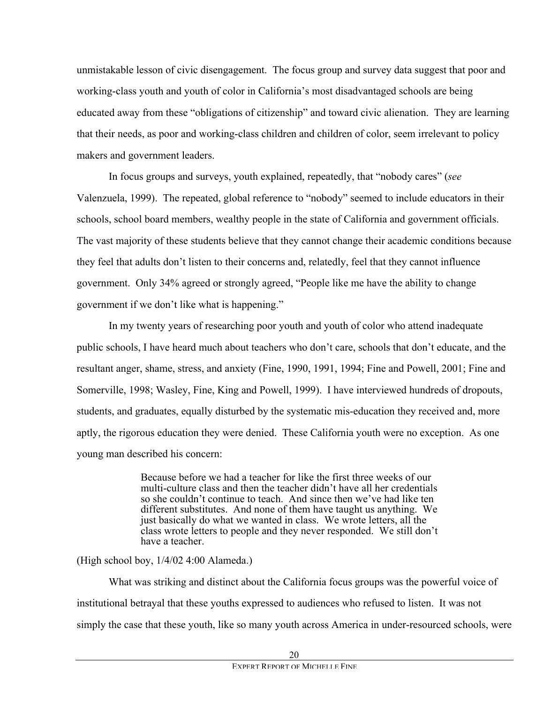unmistakable lesson of civic disengagement. The focus group and survey data suggest that poor and working-class youth and youth of color in California's most disadvantaged schools are being educated away from these "obligations of citizenship" and toward civic alienation. They are learning that their needs, as poor and working-class children and children of color, seem irrelevant to policy makers and government leaders.

In focus groups and surveys, youth explained, repeatedly, that "nobody cares" (*see* Valenzuela, 1999). The repeated, global reference to "nobody" seemed to include educators in their schools, school board members, wealthy people in the state of California and government officials. The vast majority of these students believe that they cannot change their academic conditions because they feel that adults don't listen to their concerns and, relatedly, feel that they cannot influence government. Only 34% agreed or strongly agreed, "People like me have the ability to change government if we don't like what is happening."

In my twenty years of researching poor youth and youth of color who attend inadequate public schools, I have heard much about teachers who don't care, schools that don't educate, and the resultant anger, shame, stress, and anxiety (Fine, 1990, 1991, 1994; Fine and Powell, 2001; Fine and Somerville, 1998; Wasley, Fine, King and Powell, 1999). I have interviewed hundreds of dropouts, students, and graduates, equally disturbed by the systematic mis-education they received and, more aptly, the rigorous education they were denied. These California youth were no exception. As one young man described his concern:

> Because before we had a teacher for like the first three weeks of our multi-culture class and then the teacher didn't have all her credentials so she couldn't continue to teach. And since then we've had like ten different substitutes. And none of them have taught us anything. We just basically do what we wanted in class. We wrote letters, all the class wrote letters to people and they never responded. We still don't have a teacher.

#### (High school boy, 1/4/02 4:00 Alameda.)

What was striking and distinct about the California focus groups was the powerful voice of institutional betrayal that these youths expressed to audiences who refused to listen. It was not simply the case that these youth, like so many youth across America in under-resourced schools, were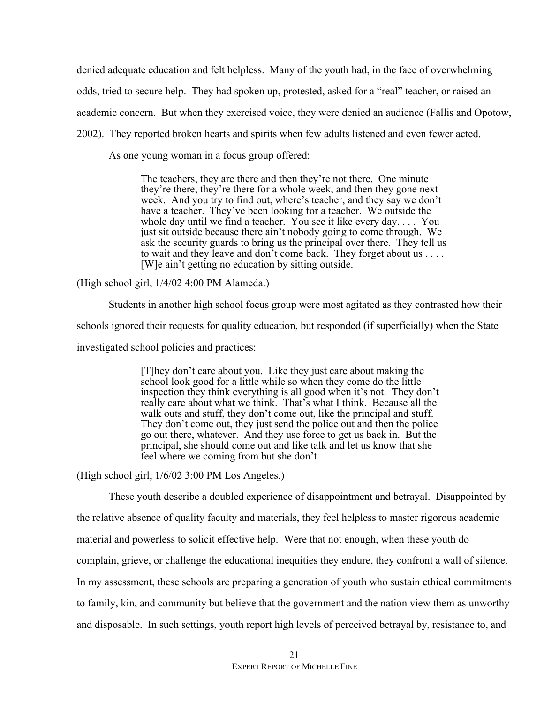denied adequate education and felt helpless. Many of the youth had, in the face of overwhelming odds, tried to secure help. They had spoken up, protested, asked for a "real" teacher, or raised an academic concern. But when they exercised voice, they were denied an audience (Fallis and Opotow,

2002). They reported broken hearts and spirits when few adults listened and even fewer acted.

As one young woman in a focus group offered:

The teachers, they are there and then they're not there. One minute they're there, they're there for a whole week, and then they gone next week. And you try to find out, where's teacher, and they say we don't have a teacher. They've been looking for a teacher. We outside the whole day until we find a teacher. You see it like every day.... You just sit outside because there ain't nobody going to come through. We ask the security guards to bring us the principal over there. They tell us to wait and they leave and don't come back. They forget about us . . . . [W]e ain't getting no education by sitting outside.

(High school girl, 1/4/02 4:00 PM Alameda.)

Students in another high school focus group were most agitated as they contrasted how their schools ignored their requests for quality education, but responded (if superficially) when the State investigated school policies and practices:

> [T]hey don't care about you. Like they just care about making the school look good for a little while so when they come do the little inspection they think everything is all good when it's not. They don't really care about what we think. That's what I think. Because all the walk outs and stuff, they don't come out, like the principal and stuff. They don't come out, they just send the police out and then the police go out there, whatever. And they use force to get us back in. But the principal, she should come out and like talk and let us know that she feel where we coming from but she don't.

(High school girl, 1/6/02 3:00 PM Los Angeles.)

These youth describe a doubled experience of disappointment and betrayal. Disappointed by the relative absence of quality faculty and materials, they feel helpless to master rigorous academic material and powerless to solicit effective help. Were that not enough, when these youth do complain, grieve, or challenge the educational inequities they endure, they confront a wall of silence. In my assessment, these schools are preparing a generation of youth who sustain ethical commitments to family, kin, and community but believe that the government and the nation view them as unworthy and disposable. In such settings, youth report high levels of perceived betrayal by, resistance to, and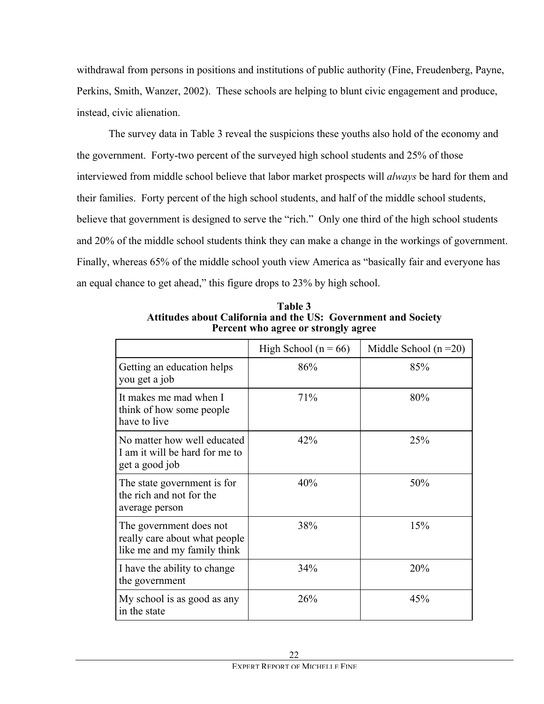withdrawal from persons in positions and institutions of public authority (Fine, Freudenberg, Payne, Perkins, Smith, Wanzer, 2002). These schools are helping to blunt civic engagement and produce, instead, civic alienation.

The survey data in Table 3 reveal the suspicions these youths also hold of the economy and the government. Forty-two percent of the surveyed high school students and 25% of those interviewed from middle school believe that labor market prospects will *always* be hard for them and their families. Forty percent of the high school students, and half of the middle school students, believe that government is designed to serve the "rich." Only one third of the high school students and 20% of the middle school students think they can make a change in the workings of government. Finally, whereas 65% of the middle school youth view America as "basically fair and everyone has an equal chance to get ahead," this figure drops to 23% by high school.

|                                                                                         | High School ( $n = 66$ ) | Middle School $(n=20)$ |
|-----------------------------------------------------------------------------------------|--------------------------|------------------------|
| Getting an education helps<br>you get a job                                             | 86%                      | 85%                    |
| It makes me mad when I<br>think of how some people<br>have to live                      | 71%                      | 80%                    |
| No matter how well educated<br>I am it will be hard for me to<br>get a good job         | 42%                      | 25%                    |
| The state government is for<br>the rich and not for the<br>average person               | 40%                      | 50%                    |
| The government does not<br>really care about what people<br>like me and my family think | 38%                      | 15%                    |
| I have the ability to change<br>the government                                          | 34%                      | 20%                    |
| My school is as good as any<br>in the state                                             | 26%                      | 45%                    |

**Table 3 Attitudes about California and the US: Government and Society Percent who agree or strongly agree**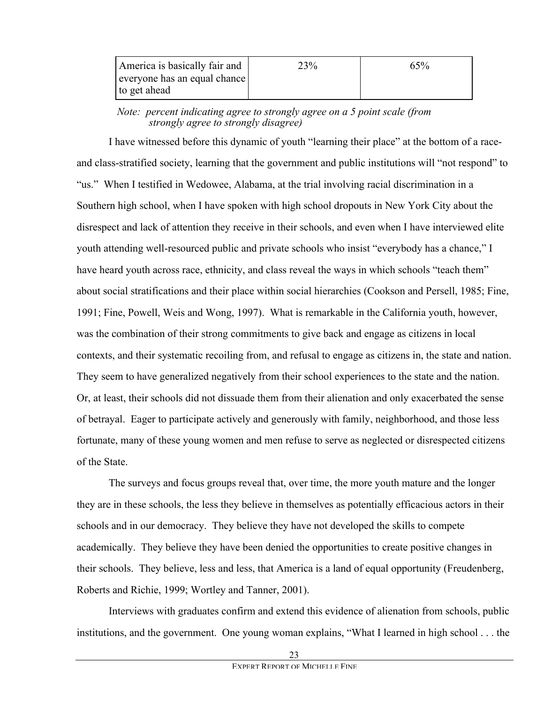| America is basically fair and | 23% | 65% |
|-------------------------------|-----|-----|
| everyone has an equal chance  |     |     |
| to get ahead                  |     |     |

*Note: percent indicating agree to strongly agree on a 5 point scale (from strongly agree to strongly disagree)*

I have witnessed before this dynamic of youth "learning their place" at the bottom of a raceand class-stratified society, learning that the government and public institutions will "not respond" to "us." When I testified in Wedowee, Alabama, at the trial involving racial discrimination in a Southern high school, when I have spoken with high school dropouts in New York City about the disrespect and lack of attention they receive in their schools, and even when I have interviewed elite youth attending well-resourced public and private schools who insist "everybody has a chance," I have heard youth across race, ethnicity, and class reveal the ways in which schools "teach them" about social stratifications and their place within social hierarchies (Cookson and Persell, 1985; Fine, 1991; Fine, Powell, Weis and Wong, 1997). What is remarkable in the California youth, however, was the combination of their strong commitments to give back and engage as citizens in local contexts, and their systematic recoiling from, and refusal to engage as citizens in, the state and nation. They seem to have generalized negatively from their school experiences to the state and the nation. Or, at least, their schools did not dissuade them from their alienation and only exacerbated the sense of betrayal. Eager to participate actively and generously with family, neighborhood, and those less fortunate, many of these young women and men refuse to serve as neglected or disrespected citizens of the State.

The surveys and focus groups reveal that, over time, the more youth mature and the longer they are in these schools, the less they believe in themselves as potentially efficacious actors in their schools and in our democracy. They believe they have not developed the skills to compete academically. They believe they have been denied the opportunities to create positive changes in their schools. They believe, less and less, that America is a land of equal opportunity (Freudenberg, Roberts and Richie, 1999; Wortley and Tanner, 2001).

Interviews with graduates confirm and extend this evidence of alienation from schools, public institutions, and the government. One young woman explains, "What I learned in high school . . . the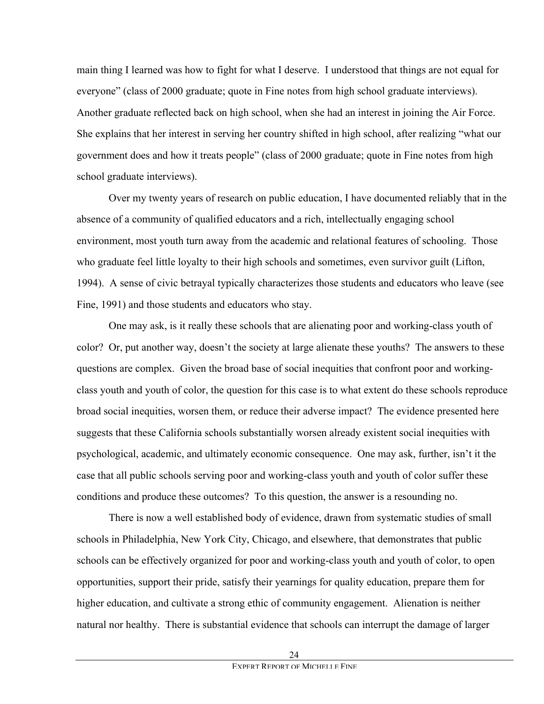main thing I learned was how to fight for what I deserve. I understood that things are not equal for everyone" (class of 2000 graduate; quote in Fine notes from high school graduate interviews). Another graduate reflected back on high school, when she had an interest in joining the Air Force. She explains that her interest in serving her country shifted in high school, after realizing "what our government does and how it treats people" (class of 2000 graduate; quote in Fine notes from high school graduate interviews).

Over my twenty years of research on public education, I have documented reliably that in the absence of a community of qualified educators and a rich, intellectually engaging school environment, most youth turn away from the academic and relational features of schooling. Those who graduate feel little loyalty to their high schools and sometimes, even survivor guilt (Lifton, 1994). A sense of civic betrayal typically characterizes those students and educators who leave (see Fine, 1991) and those students and educators who stay.

One may ask, is it really these schools that are alienating poor and working-class youth of color? Or, put another way, doesn't the society at large alienate these youths? The answers to these questions are complex. Given the broad base of social inequities that confront poor and workingclass youth and youth of color, the question for this case is to what extent do these schools reproduce broad social inequities, worsen them, or reduce their adverse impact? The evidence presented here suggests that these California schools substantially worsen already existent social inequities with psychological, academic, and ultimately economic consequence. One may ask, further, isn't it the case that all public schools serving poor and working-class youth and youth of color suffer these conditions and produce these outcomes? To this question, the answer is a resounding no.

There is now a well established body of evidence, drawn from systematic studies of small schools in Philadelphia, New York City, Chicago, and elsewhere, that demonstrates that public schools can be effectively organized for poor and working-class youth and youth of color, to open opportunities, support their pride, satisfy their yearnings for quality education, prepare them for higher education, and cultivate a strong ethic of community engagement. Alienation is neither natural nor healthy. There is substantial evidence that schools can interrupt the damage of larger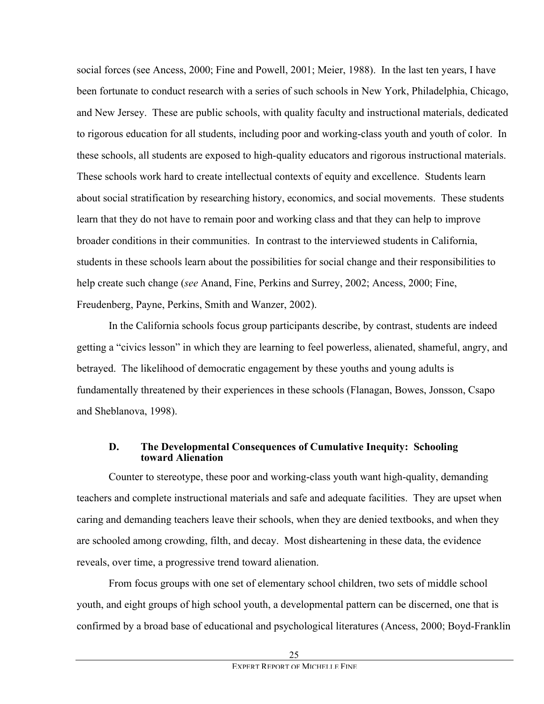social forces (see Ancess, 2000; Fine and Powell, 2001; Meier, 1988). In the last ten years, I have been fortunate to conduct research with a series of such schools in New York, Philadelphia, Chicago, and New Jersey. These are public schools, with quality faculty and instructional materials, dedicated to rigorous education for all students, including poor and working-class youth and youth of color. In these schools, all students are exposed to high-quality educators and rigorous instructional materials. These schools work hard to create intellectual contexts of equity and excellence. Students learn about social stratification by researching history, economics, and social movements. These students learn that they do not have to remain poor and working class and that they can help to improve broader conditions in their communities. In contrast to the interviewed students in California, students in these schools learn about the possibilities for social change and their responsibilities to help create such change (*see* Anand, Fine, Perkins and Surrey, 2002; Ancess, 2000; Fine, Freudenberg, Payne, Perkins, Smith and Wanzer, 2002).

In the California schools focus group participants describe, by contrast, students are indeed getting a "civics lesson" in which they are learning to feel powerless, alienated, shameful, angry, and betrayed. The likelihood of democratic engagement by these youths and young adults is fundamentally threatened by their experiences in these schools (Flanagan, Bowes, Jonsson, Csapo and Sheblanova, 1998).

#### **D. The Developmental Consequences of Cumulative Inequity: Schooling toward Alienation**

Counter to stereotype, these poor and working-class youth want high-quality, demanding teachers and complete instructional materials and safe and adequate facilities. They are upset when caring and demanding teachers leave their schools, when they are denied textbooks, and when they are schooled among crowding, filth, and decay. Most disheartening in these data, the evidence reveals, over time, a progressive trend toward alienation.

From focus groups with one set of elementary school children, two sets of middle school youth, and eight groups of high school youth, a developmental pattern can be discerned, one that is confirmed by a broad base of educational and psychological literatures (Ancess, 2000; Boyd-Franklin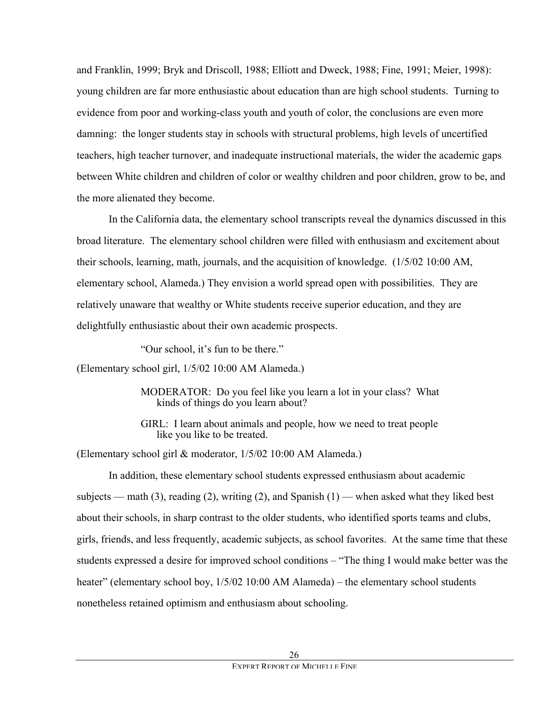and Franklin, 1999; Bryk and Driscoll, 1988; Elliott and Dweck, 1988; Fine, 1991; Meier, 1998): young children are far more enthusiastic about education than are high school students. Turning to evidence from poor and working-class youth and youth of color, the conclusions are even more damning: the longer students stay in schools with structural problems, high levels of uncertified teachers, high teacher turnover, and inadequate instructional materials, the wider the academic gaps between White children and children of color or wealthy children and poor children, grow to be, and the more alienated they become.

In the California data, the elementary school transcripts reveal the dynamics discussed in this broad literature. The elementary school children were filled with enthusiasm and excitement about their schools, learning, math, journals, and the acquisition of knowledge. (1/5/02 10:00 AM, elementary school, Alameda.) They envision a world spread open with possibilities. They are relatively unaware that wealthy or White students receive superior education, and they are delightfully enthusiastic about their own academic prospects.

"Our school, it's fun to be there."

(Elementary school girl, 1/5/02 10:00 AM Alameda.)

MODERATOR: Do you feel like you learn a lot in your class? What kinds of things do you learn about?

GIRL: I learn about animals and people, how we need to treat people like you like to be treated.

(Elementary school girl & moderator, 1/5/02 10:00 AM Alameda.)

In addition, these elementary school students expressed enthusiasm about academic subjects — math (3), reading (2), writing (2), and Spanish (1) — when asked what they liked best about their schools, in sharp contrast to the older students, who identified sports teams and clubs, girls, friends, and less frequently, academic subjects, as school favorites. At the same time that these students expressed a desire for improved school conditions – "The thing I would make better was the heater" (elementary school boy,  $1/5/02$  10:00 AM Alameda) – the elementary school students nonetheless retained optimism and enthusiasm about schooling.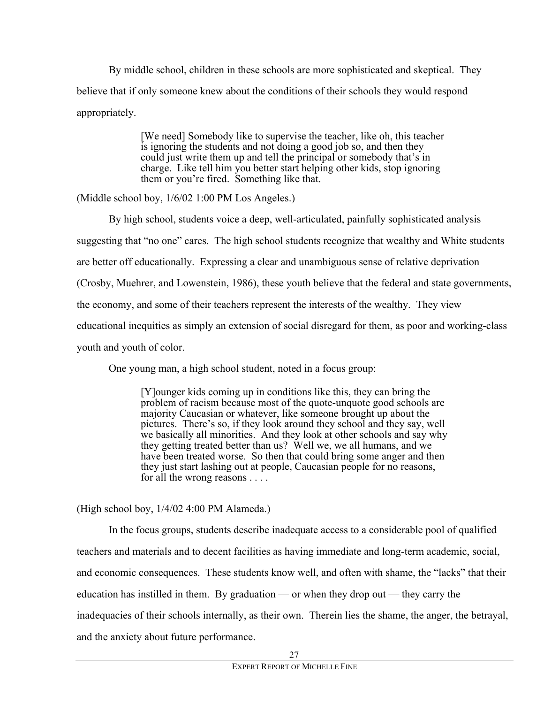By middle school, children in these schools are more sophisticated and skeptical. They believe that if only someone knew about the conditions of their schools they would respond appropriately.

> [We need] Somebody like to supervise the teacher, like oh, this teacher is ignoring the students and not doing a good job so, and then they could just write them up and tell the principal or somebody that's in charge. Like tell him you better start helping other kids, stop ignoring them or you're fired. Something like that.

(Middle school boy, 1/6/02 1:00 PM Los Angeles.)

By high school, students voice a deep, well-articulated, painfully sophisticated analysis suggesting that "no one" cares. The high school students recognize that wealthy and White students are better off educationally. Expressing a clear and unambiguous sense of relative deprivation (Crosby, Muehrer, and Lowenstein, 1986), these youth believe that the federal and state governments, the economy, and some of their teachers represent the interests of the wealthy. They view educational inequities as simply an extension of social disregard for them, as poor and working-class youth and youth of color.

One young man, a high school student, noted in a focus group:

[Y]ounger kids coming up in conditions like this, they can bring the problem of racism because most of the quote-unquote good schools are majority Caucasian or whatever, like someone brought up about the pictures. There's so, if they look around they school and they say, well we basically all minorities. And they look at other schools and say why they getting treated better than us? Well we, we all humans, and we have been treated worse. So then that could bring some anger and then they just start lashing out at people, Caucasian people for no reasons, for all the wrong reasons . . . .

(High school boy, 1/4/02 4:00 PM Alameda.)

In the focus groups, students describe inadequate access to a considerable pool of qualified teachers and materials and to decent facilities as having immediate and long-term academic, social, and economic consequences. These students know well, and often with shame, the "lacks" that their education has instilled in them. By graduation — or when they drop out — they carry the inadequacies of their schools internally, as their own. Therein lies the shame, the anger, the betrayal, and the anxiety about future performance.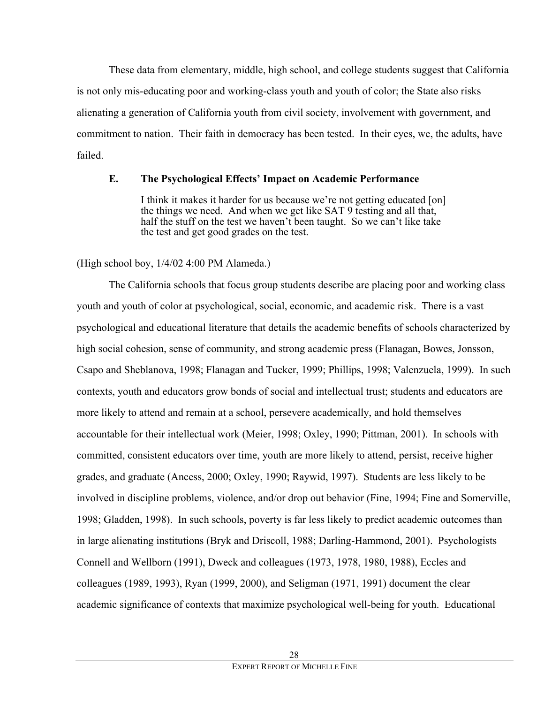These data from elementary, middle, high school, and college students suggest that California is not only mis-educating poor and working-class youth and youth of color; the State also risks alienating a generation of California youth from civil society, involvement with government, and commitment to nation. Their faith in democracy has been tested. In their eyes, we, the adults, have failed.

# **E. The Psychological Effects' Impact on Academic Performance**

I think it makes it harder for us because we're not getting educated [on] the things we need. And when we get like SAT 9 testing and all that, half the stuff on the test we haven't been taught. So we can't like take the test and get good grades on the test.

(High school boy, 1/4/02 4:00 PM Alameda.)

The California schools that focus group students describe are placing poor and working class youth and youth of color at psychological, social, economic, and academic risk. There is a vast psychological and educational literature that details the academic benefits of schools characterized by high social cohesion, sense of community, and strong academic press (Flanagan, Bowes, Jonsson, Csapo and Sheblanova, 1998; Flanagan and Tucker, 1999; Phillips, 1998; Valenzuela, 1999). In such contexts, youth and educators grow bonds of social and intellectual trust; students and educators are more likely to attend and remain at a school, persevere academically, and hold themselves accountable for their intellectual work (Meier, 1998; Oxley, 1990; Pittman, 2001). In schools with committed, consistent educators over time, youth are more likely to attend, persist, receive higher grades, and graduate (Ancess, 2000; Oxley, 1990; Raywid, 1997). Students are less likely to be involved in discipline problems, violence, and/or drop out behavior (Fine, 1994; Fine and Somerville, 1998; Gladden, 1998). In such schools, poverty is far less likely to predict academic outcomes than in large alienating institutions (Bryk and Driscoll, 1988; Darling-Hammond, 2001). Psychologists Connell and Wellborn (1991), Dweck and colleagues (1973, 1978, 1980, 1988), Eccles and colleagues (1989, 1993), Ryan (1999, 2000), and Seligman (1971, 1991) document the clear academic significance of contexts that maximize psychological well-being for youth. Educational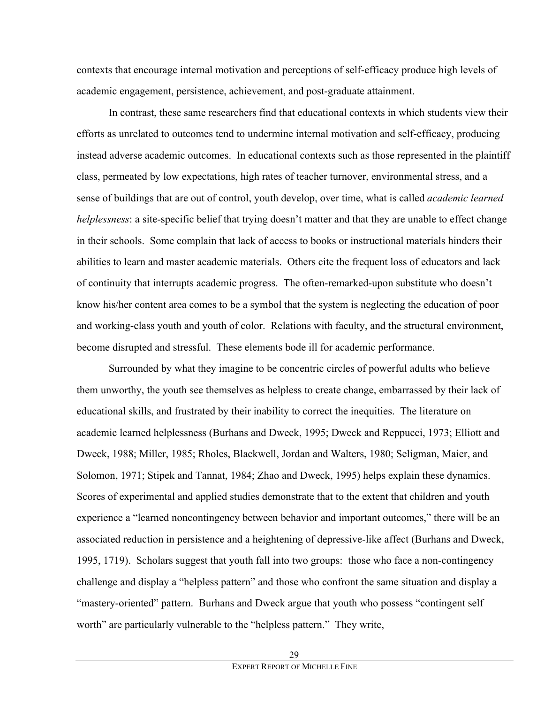contexts that encourage internal motivation and perceptions of self-efficacy produce high levels of academic engagement, persistence, achievement, and post-graduate attainment.

In contrast, these same researchers find that educational contexts in which students view their efforts as unrelated to outcomes tend to undermine internal motivation and self-efficacy, producing instead adverse academic outcomes. In educational contexts such as those represented in the plaintiff class, permeated by low expectations, high rates of teacher turnover, environmental stress, and a sense of buildings that are out of control, youth develop, over time, what is called *academic learned helplessness*: a site-specific belief that trying doesn't matter and that they are unable to effect change in their schools. Some complain that lack of access to books or instructional materials hinders their abilities to learn and master academic materials. Others cite the frequent loss of educators and lack of continuity that interrupts academic progress. The often-remarked-upon substitute who doesn't know his/her content area comes to be a symbol that the system is neglecting the education of poor and working-class youth and youth of color. Relations with faculty, and the structural environment, become disrupted and stressful. These elements bode ill for academic performance.

Surrounded by what they imagine to be concentric circles of powerful adults who believe them unworthy, the youth see themselves as helpless to create change, embarrassed by their lack of educational skills, and frustrated by their inability to correct the inequities. The literature on academic learned helplessness (Burhans and Dweck, 1995; Dweck and Reppucci, 1973; Elliott and Dweck, 1988; Miller, 1985; Rholes, Blackwell, Jordan and Walters, 1980; Seligman, Maier, and Solomon, 1971; Stipek and Tannat, 1984; Zhao and Dweck, 1995) helps explain these dynamics. Scores of experimental and applied studies demonstrate that to the extent that children and youth experience a "learned noncontingency between behavior and important outcomes," there will be an associated reduction in persistence and a heightening of depressive-like affect (Burhans and Dweck, 1995, 1719). Scholars suggest that youth fall into two groups: those who face a non-contingency challenge and display a "helpless pattern" and those who confront the same situation and display a "mastery-oriented" pattern. Burhans and Dweck argue that youth who possess "contingent self worth" are particularly vulnerable to the "helpless pattern." They write,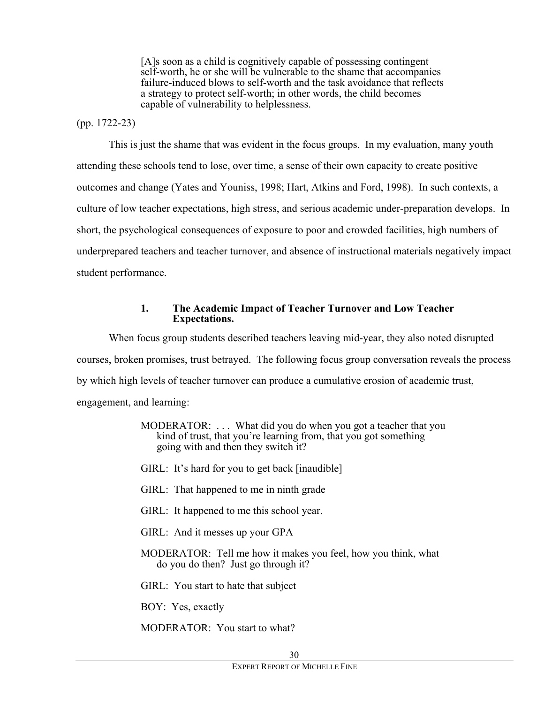[A]s soon as a child is cognitively capable of possessing contingent self-worth, he or she will be vulnerable to the shame that accompanies failure-induced blows to self-worth and the task avoidance that reflects a strategy to protect self-worth; in other words, the child becomes capable of vulnerability to helplessness.

## (pp. 1722-23)

This is just the shame that was evident in the focus groups. In my evaluation, many youth attending these schools tend to lose, over time, a sense of their own capacity to create positive outcomes and change (Yates and Youniss, 1998; Hart, Atkins and Ford, 1998). In such contexts, a culture of low teacher expectations, high stress, and serious academic under-preparation develops. In short, the psychological consequences of exposure to poor and crowded facilities, high numbers of underprepared teachers and teacher turnover, and absence of instructional materials negatively impact student performance.

### **1. The Academic Impact of Teacher Turnover and Low Teacher Expectations.**

When focus group students described teachers leaving mid-year, they also noted disrupted courses, broken promises, trust betrayed. The following focus group conversation reveals the process by which high levels of teacher turnover can produce a cumulative erosion of academic trust, engagement, and learning:

- MODERATOR: ... What did you do when you got a teacher that you kind of trust, that you're learning from, that you got something going with and then they switch it?
- GIRL: It's hard for you to get back [inaudible]
- GIRL: That happened to me in ninth grade
- GIRL: It happened to me this school year.
- GIRL: And it messes up your GPA
- MODERATOR: Tell me how it makes you feel, how you think, what do you do then? Just go through it?
- GIRL: You start to hate that subject

BOY: Yes, exactly

MODERATOR: You start to what?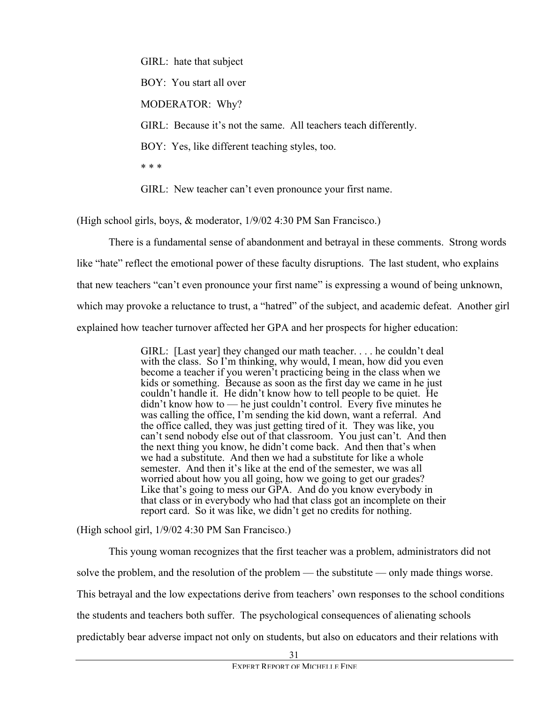GIRL: hate that subject BOY: You start all over MODERATOR: Why? GIRL: Because it's not the same. All teachers teach differently. BOY: Yes, like different teaching styles, too. \* \* \*

GIRL: New teacher can't even pronounce your first name.

(High school girls, boys, & moderator, 1/9/02 4:30 PM San Francisco.)

There is a fundamental sense of abandonment and betrayal in these comments. Strong words like "hate" reflect the emotional power of these faculty disruptions. The last student, who explains that new teachers "can't even pronounce your first name" is expressing a wound of being unknown, which may provoke a reluctance to trust, a "hatred" of the subject, and academic defeat. Another girl explained how teacher turnover affected her GPA and her prospects for higher education:

> GIRL: [Last year] they changed our math teacher. . . . he couldn't deal with the class. So I'm thinking, why would, I mean, how did you even become a teacher if you weren't practicing being in the class when we kids or something. Because as soon as the first day we came in he just couldn't handle it. He didn't know how to tell people to be quiet. He didn't know how to — he just couldn't control. Every five minutes he was calling the office, I'm sending the kid down, want a referral. And the office called, they was just getting tired of it. They was like, you can't send nobody else out of that classroom. You just can't. And then the next thing you know, he didn't come back. And then that's when we had a substitute. And then we had a substitute for like a whole semester. And then it's like at the end of the semester, we was all worried about how you all going, how we going to get our grades? Like that's going to mess our GPA. And do you know everybody in that class or in everybody who had that class got an incomplete on their report card. So it was like, we didn't get no credits for nothing.

(High school girl, 1/9/02 4:30 PM San Francisco.)

This young woman recognizes that the first teacher was a problem, administrators did not

solve the problem, and the resolution of the problem — the substitute — only made things worse.

This betrayal and the low expectations derive from teachers' own responses to the school conditions

the students and teachers both suffer. The psychological consequences of alienating schools

predictably bear adverse impact not only on students, but also on educators and their relations with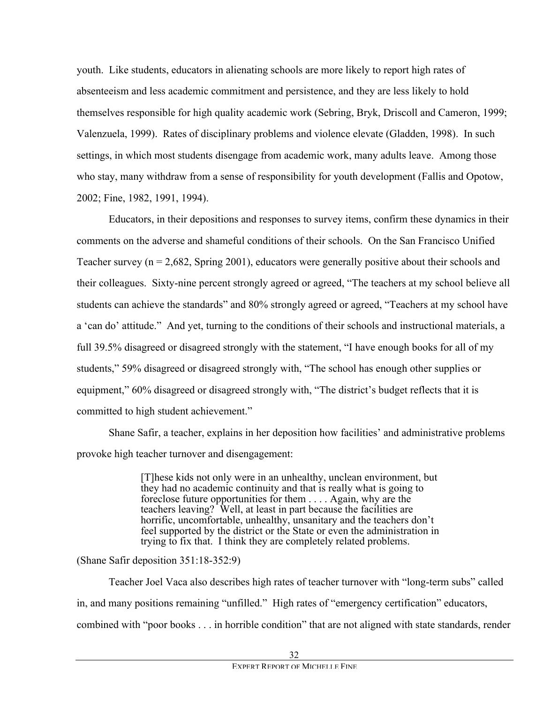youth. Like students, educators in alienating schools are more likely to report high rates of absenteeism and less academic commitment and persistence, and they are less likely to hold themselves responsible for high quality academic work (Sebring, Bryk, Driscoll and Cameron, 1999; Valenzuela, 1999). Rates of disciplinary problems and violence elevate (Gladden, 1998). In such settings, in which most students disengage from academic work, many adults leave. Among those who stay, many withdraw from a sense of responsibility for youth development (Fallis and Opotow, 2002; Fine, 1982, 1991, 1994).

Educators, in their depositions and responses to survey items, confirm these dynamics in their comments on the adverse and shameful conditions of their schools. On the San Francisco Unified Teacher survey ( $n = 2{,}682$ , Spring 2001), educators were generally positive about their schools and their colleagues. Sixty-nine percent strongly agreed or agreed, "The teachers at my school believe all students can achieve the standards" and 80% strongly agreed or agreed, "Teachers at my school have a 'can do' attitude." And yet, turning to the conditions of their schools and instructional materials, a full 39.5% disagreed or disagreed strongly with the statement, "I have enough books for all of my students," 59% disagreed or disagreed strongly with, "The school has enough other supplies or equipment," 60% disagreed or disagreed strongly with, "The district's budget reflects that it is committed to high student achievement."

Shane Safir, a teacher, explains in her deposition how facilities' and administrative problems provoke high teacher turnover and disengagement:

> [T]hese kids not only were in an unhealthy, unclean environment, but they had no academic continuity and that is really what is going to foreclose future opportunities for them . . . . Again, why are the teachers leaving? Well, at least in part because the facilities are horrific, uncomfortable, unhealthy, unsanitary and the teachers don't feel supported by the district or the State or even the administration in trying to fix that. I think they are completely related problems.

#### (Shane Safir deposition 351:18-352:9)

Teacher Joel Vaca also describes high rates of teacher turnover with "long-term subs" called in, and many positions remaining "unfilled." High rates of "emergency certification" educators, combined with "poor books . . . in horrible condition" that are not aligned with state standards, render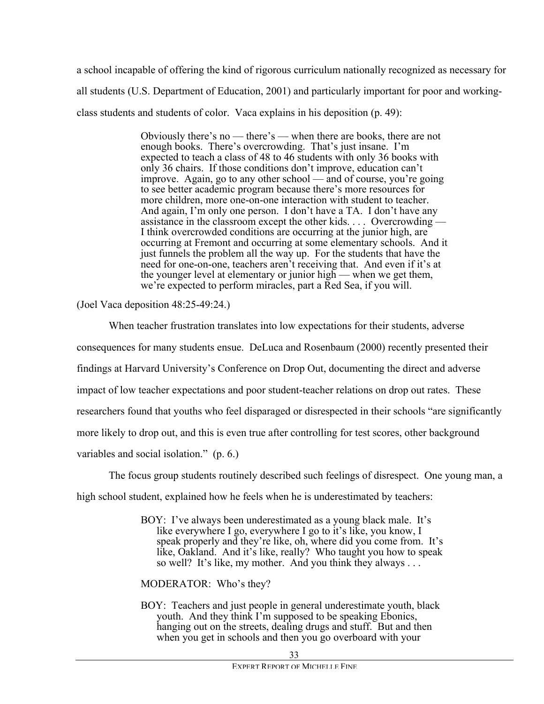a school incapable of offering the kind of rigorous curriculum nationally recognized as necessary for all students (U.S. Department of Education, 2001) and particularly important for poor and workingclass students and students of color. Vaca explains in his deposition (p. 49):

> Obviously there's no — there's — when there are books, there are not enough books. There's overcrowding. That's just insane. I'm expected to teach a class of 48 to 46 students with only 36 books with only 36 chairs. If those conditions don't improve, education can't improve. Again, go to any other school — and of course, you're going to see better academic program because there's more resources for more children, more one-on-one interaction with student to teacher. And again, I'm only one person. I don't have a TA. I don't have any assistance in the classroom except the other kids. . . . Overcrowding — I think overcrowded conditions are occurring at the junior high, are occurring at Fremont and occurring at some elementary schools. And it just funnels the problem all the way up. For the students that have the need for one-on-one, teachers aren't receiving that. And even if it's at the younger level at elementary or junior high — when we get them, we're expected to perform miracles, part a Red Sea, if you will.

(Joel Vaca deposition 48:25-49:24.)

When teacher frustration translates into low expectations for their students, adverse consequences for many students ensue. DeLuca and Rosenbaum (2000) recently presented their findings at Harvard University's Conference on Drop Out, documenting the direct and adverse impact of low teacher expectations and poor student-teacher relations on drop out rates. These researchers found that youths who feel disparaged or disrespected in their schools "are significantly more likely to drop out, and this is even true after controlling for test scores, other background variables and social isolation." (p. 6.)

The focus group students routinely described such feelings of disrespect. One young man, a high school student, explained how he feels when he is underestimated by teachers:

> BOY: I've always been underestimated as a young black male. It's like everywhere I go, everywhere I go to it's like, you know, I speak properly and they're like, oh, where did you come from. It's like, Oakland. And it's like, really? Who taught you how to speak so well? It's like, my mother. And you think they always . . .

MODERATOR: Who's they?

BOY: Teachers and just people in general underestimate youth, black youth. And they think I'm supposed to be speaking Ebonics, hanging out on the streets, dealing drugs and stuff. But and then when you get in schools and then you go overboard with your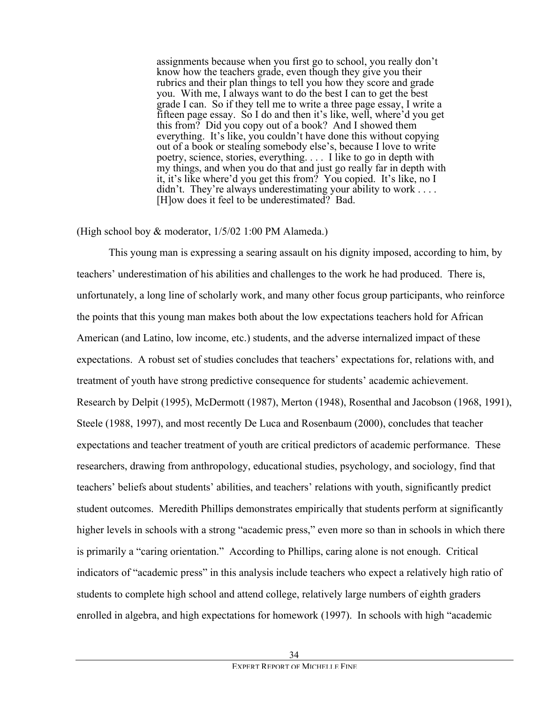assignments because when you first go to school, you really don't know how the teachers grade, even though they give you their rubrics and their plan things to tell you how they score and grade you. With me, I always want to do the best I can to get the best grade I can. So if they tell me to write a three page essay, I write a fifteen page essay. So I do and then it's like, well, where'd you get this from? Did you copy out of a book? And I showed them everything. It's like, you couldn't have done this without copying out of a book or stealing somebody else's, because I love to write poetry, science, stories, everything. . . . I like to go in depth with my things, and when you do that and just go really far in depth with it, it's like where'd you get this from? You copied. It's like, no I didn't. They're always underestimating your ability to work . . . . [H]ow does it feel to be underestimated? Bad.

#### (High school boy & moderator, 1/5/02 1:00 PM Alameda.)

This young man is expressing a searing assault on his dignity imposed, according to him, by teachers' underestimation of his abilities and challenges to the work he had produced. There is, unfortunately, a long line of scholarly work, and many other focus group participants, who reinforce the points that this young man makes both about the low expectations teachers hold for African American (and Latino, low income, etc.) students, and the adverse internalized impact of these expectations. A robust set of studies concludes that teachers' expectations for, relations with, and treatment of youth have strong predictive consequence for students' academic achievement. Research by Delpit (1995), McDermott (1987), Merton (1948), Rosenthal and Jacobson (1968, 1991), Steele (1988, 1997), and most recently De Luca and Rosenbaum (2000), concludes that teacher expectations and teacher treatment of youth are critical predictors of academic performance. These researchers, drawing from anthropology, educational studies, psychology, and sociology, find that teachers' beliefs about students' abilities, and teachers' relations with youth, significantly predict student outcomes. Meredith Phillips demonstrates empirically that students perform at significantly higher levels in schools with a strong "academic press," even more so than in schools in which there is primarily a "caring orientation." According to Phillips, caring alone is not enough. Critical indicators of "academic press" in this analysis include teachers who expect a relatively high ratio of students to complete high school and attend college, relatively large numbers of eighth graders enrolled in algebra, and high expectations for homework (1997). In schools with high "academic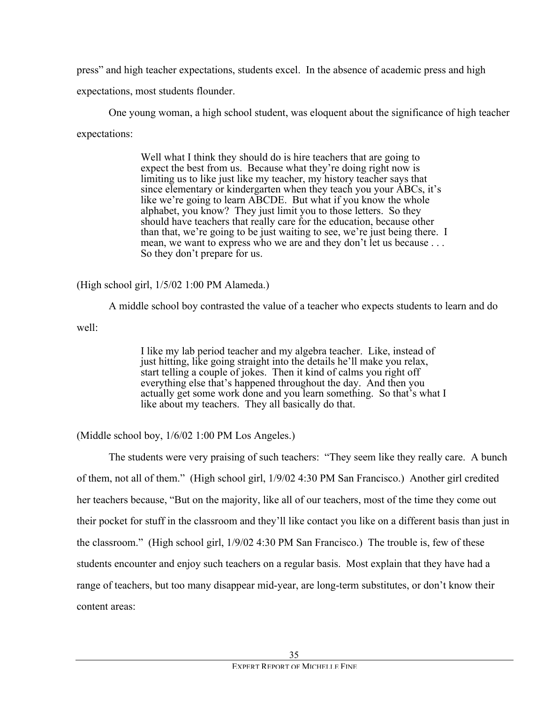press" and high teacher expectations, students excel. In the absence of academic press and high expectations, most students flounder.

One young woman, a high school student, was eloquent about the significance of high teacher expectations:

> Well what I think they should do is hire teachers that are going to expect the best from us. Because what they're doing right now is limiting us to like just like my teacher, my history teacher says that since elementary or kindergarten when they teach you your ABCs, it's like we're going to learn ABCDE. But what if you know the whole alphabet, you know? They just limit you to those letters. So they should have teachers that really care for the education, because other than that, we're going to be just waiting to see, we're just being there. I mean, we want to express who we are and they don't let us because . . . So they don't prepare for us.

(High school girl, 1/5/02 1:00 PM Alameda.)

A middle school boy contrasted the value of a teacher who expects students to learn and do

well:

I like my lab period teacher and my algebra teacher. Like, instead of just hitting, like going straight into the details he'll make you relax, start telling a couple of jokes. Then it kind of calms you right off everything else that's happened throughout the day. And then you actually get some work done and you learn something. So that's what I like about my teachers. They all basically do that.

(Middle school boy, 1/6/02 1:00 PM Los Angeles.)

The students were very praising of such teachers: "They seem like they really care. A bunch of them, not all of them." (High school girl, 1/9/02 4:30 PM San Francisco.) Another girl credited her teachers because, "But on the majority, like all of our teachers, most of the time they come out their pocket for stuff in the classroom and they'll like contact you like on a different basis than just in the classroom." (High school girl, 1/9/02 4:30 PM San Francisco.) The trouble is, few of these students encounter and enjoy such teachers on a regular basis. Most explain that they have had a range of teachers, but too many disappear mid-year, are long-term substitutes, or don't know their content areas: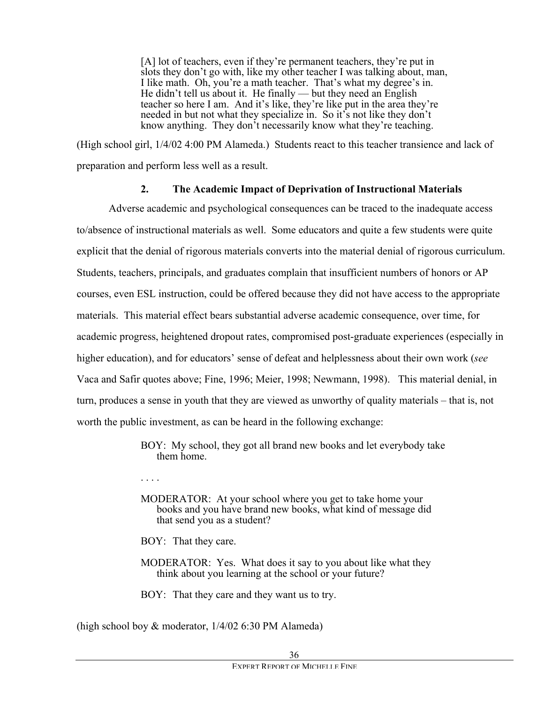[A] lot of teachers, even if they're permanent teachers, they're put in slots they don't go with, like my other teacher I was talking about, man, I like math. Oh, you're a math teacher. That's what my degree's in. He didn't tell us about it. He finally — but they need an English teacher so here I am. And it's like, they're like put in the area they're needed in but not what they specialize in. So it's not like they don't know anything. They don't necessarily know what they're teaching.

(High school girl, 1/4/02 4:00 PM Alameda.) Students react to this teacher transience and lack of preparation and perform less well as a result.

# **2. The Academic Impact of Deprivation of Instructional Materials**

Adverse academic and psychological consequences can be traced to the inadequate access to/absence of instructional materials as well. Some educators and quite a few students were quite explicit that the denial of rigorous materials converts into the material denial of rigorous curriculum. Students, teachers, principals, and graduates complain that insufficient numbers of honors or AP courses, even ESL instruction, could be offered because they did not have access to the appropriate materials. This material effect bears substantial adverse academic consequence, over time, for academic progress, heightened dropout rates, compromised post-graduate experiences (especially in higher education), and for educators' sense of defeat and helplessness about their own work (*see* Vaca and Safir quotes above; Fine, 1996; Meier, 1998; Newmann, 1998). This material denial, in turn, produces a sense in youth that they are viewed as unworthy of quality materials – that is, not worth the public investment, as can be heard in the following exchange:

> BOY: My school, they got all brand new books and let everybody take them home.

. . . .

- MODERATOR: At your school where you get to take home your books and you have brand new books, what kind of message did that send you as a student?
- BOY: That they care.
- MODERATOR: Yes. What does it say to you about like what they think about you learning at the school or your future?

BOY: That they care and they want us to try.

(high school boy & moderator, 1/4/02 6:30 PM Alameda)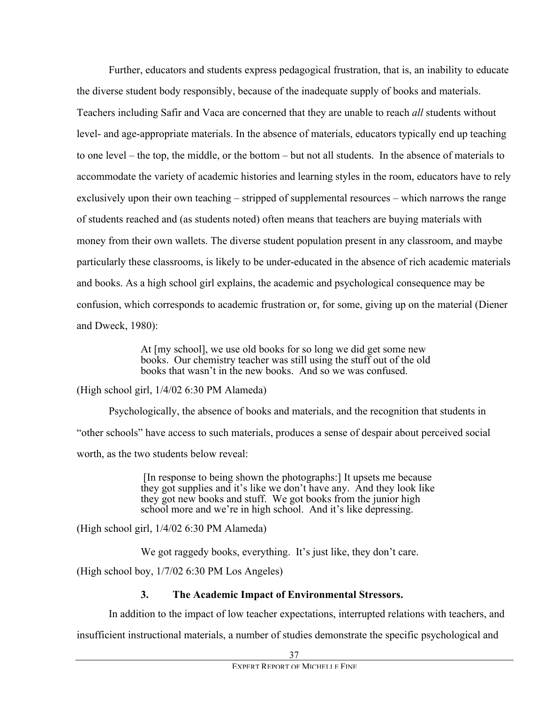Further, educators and students express pedagogical frustration, that is, an inability to educate the diverse student body responsibly, because of the inadequate supply of books and materials. Teachers including Safir and Vaca are concerned that they are unable to reach *all* students without level- and age-appropriate materials. In the absence of materials, educators typically end up teaching to one level – the top, the middle, or the bottom – but not all students. In the absence of materials to accommodate the variety of academic histories and learning styles in the room, educators have to rely exclusively upon their own teaching – stripped of supplemental resources – which narrows the range of students reached and (as students noted) often means that teachers are buying materials with money from their own wallets. The diverse student population present in any classroom, and maybe particularly these classrooms, is likely to be under-educated in the absence of rich academic materials and books. As a high school girl explains, the academic and psychological consequence may be confusion, which corresponds to academic frustration or, for some, giving up on the material (Diener and Dweck, 1980):

> At [my school], we use old books for so long we did get some new books. Our chemistry teacher was still using the stuff out of the old books that wasn't in the new books. And so we was confused.

(High school girl, 1/4/02 6:30 PM Alameda)

Psychologically, the absence of books and materials, and the recognition that students in "other schools" have access to such materials, produces a sense of despair about perceived social worth, as the two students below reveal:

> [In response to being shown the photographs:] It upsets me because they got supplies and it's like we don't have any. And they look like they got new books and stuff. We got books from the junior high school more and we're in high school. And it's like depressing.

(High school girl, 1/4/02 6:30 PM Alameda)

We got raggedy books, everything. It's just like, they don't care.

(High school boy, 1/7/02 6:30 PM Los Angeles)

# **3. The Academic Impact of Environmental Stressors.**

In addition to the impact of low teacher expectations, interrupted relations with teachers, and

insufficient instructional materials, a number of studies demonstrate the specific psychological and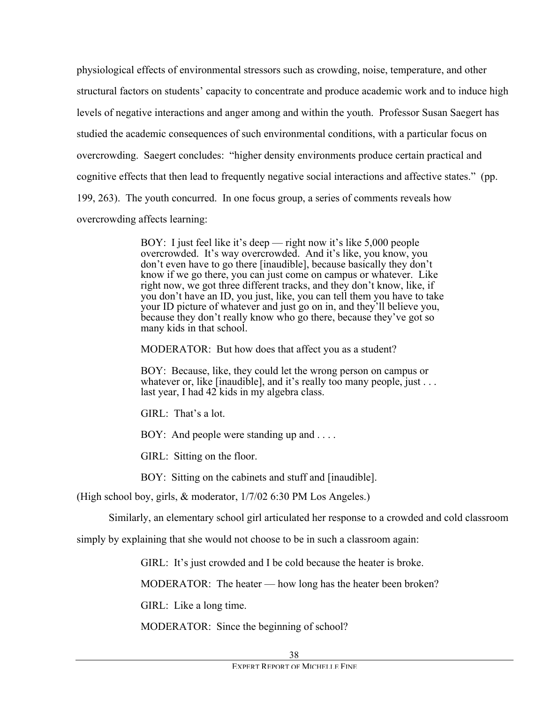physiological effects of environmental stressors such as crowding, noise, temperature, and other structural factors on students' capacity to concentrate and produce academic work and to induce high levels of negative interactions and anger among and within the youth. Professor Susan Saegert has studied the academic consequences of such environmental conditions, with a particular focus on overcrowding. Saegert concludes: "higher density environments produce certain practical and cognitive effects that then lead to frequently negative social interactions and affective states." (pp. 199, 263). The youth concurred. In one focus group, a series of comments reveals how overcrowding affects learning:

> BOY: I just feel like it's deep — right now it's like 5,000 people overcrowded. It's way overcrowded. And it's like, you know, you don't even have to go there [inaudible], because basically they don't know if we go there, you can just come on campus or whatever. Like right now, we got three different tracks, and they don't know, like, if you don't have an ID, you just, like, you can tell them you have to take your ID picture of whatever and just go on in, and they'll believe you, because they don't really know who go there, because they've got so many kids in that school.

MODERATOR: But how does that affect you as a student?

BOY: Because, like, they could let the wrong person on campus or whatever or, like [inaudible], and it's really too many people, just  $\dots$ last year, I had  $42$  kids in my algebra class.

GIRL: That's a lot.

BOY: And people were standing up and ....

GIRL: Sitting on the floor.

BOY: Sitting on the cabinets and stuff and [inaudible].

(High school boy, girls, & moderator, 1/7/02 6:30 PM Los Angeles.)

Similarly, an elementary school girl articulated her response to a crowded and cold classroom

simply by explaining that she would not choose to be in such a classroom again:

GIRL: It's just crowded and I be cold because the heater is broke.

MODERATOR: The heater — how long has the heater been broken?

GIRL: Like a long time.

MODERATOR: Since the beginning of school?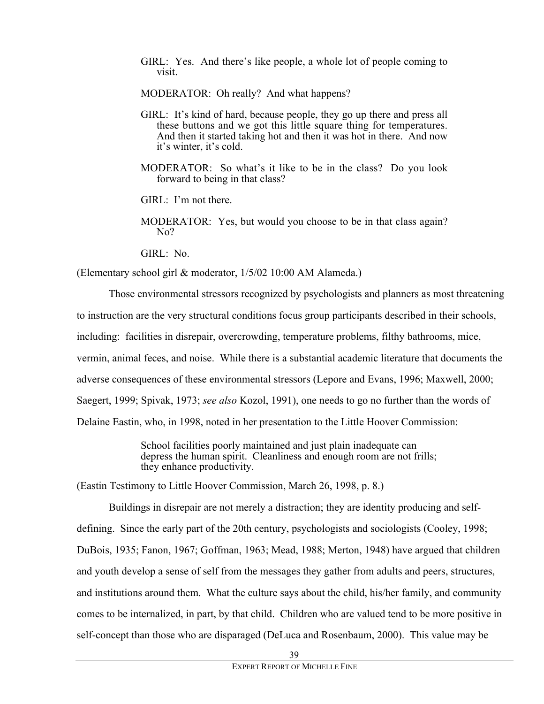- GIRL: Yes. And there's like people, a whole lot of people coming to visit.
- MODERATOR: Oh really? And what happens?
- GIRL: It's kind of hard, because people, they go up there and press all these buttons and we got this little square thing for temperatures. And then it started taking hot and then it was hot in there. And now it's winter, it's cold.
- MODERATOR: So what's it like to be in the class? Do you look forward to being in that class?

GIRL: I'm not there.

MODERATOR: Yes, but would you choose to be in that class again? No?

GIRL: No.

(Elementary school girl & moderator, 1/5/02 10:00 AM Alameda.)

Those environmental stressors recognized by psychologists and planners as most threatening to instruction are the very structural conditions focus group participants described in their schools, including: facilities in disrepair, overcrowding, temperature problems, filthy bathrooms, mice, vermin, animal feces, and noise. While there is a substantial academic literature that documents the adverse consequences of these environmental stressors (Lepore and Evans, 1996; Maxwell, 2000; Saegert, 1999; Spivak, 1973; *see also* Kozol, 1991), one needs to go no further than the words of Delaine Eastin, who, in 1998, noted in her presentation to the Little Hoover Commission:

> School facilities poorly maintained and just plain inadequate can depress the human spirit. Cleanliness and enough room are not frills; they enhance productivity.

(Eastin Testimony to Little Hoover Commission, March 26, 1998, p. 8.)

Buildings in disrepair are not merely a distraction; they are identity producing and selfdefining. Since the early part of the 20th century, psychologists and sociologists (Cooley, 1998; DuBois, 1935; Fanon, 1967; Goffman, 1963; Mead, 1988; Merton, 1948) have argued that children and youth develop a sense of self from the messages they gather from adults and peers, structures, and institutions around them. What the culture says about the child, his/her family, and community comes to be internalized, in part, by that child. Children who are valued tend to be more positive in self-concept than those who are disparaged (DeLuca and Rosenbaum, 2000). This value may be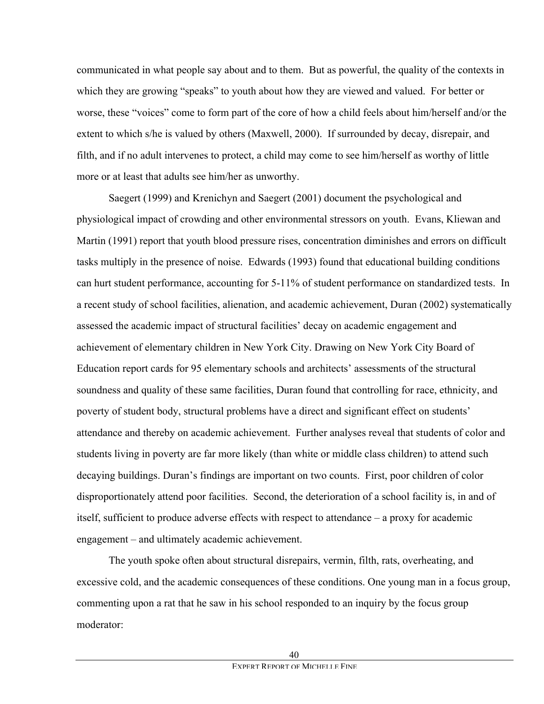communicated in what people say about and to them. But as powerful, the quality of the contexts in which they are growing "speaks" to youth about how they are viewed and valued. For better or worse, these "voices" come to form part of the core of how a child feels about him/herself and/or the extent to which s/he is valued by others (Maxwell, 2000). If surrounded by decay, disrepair, and filth, and if no adult intervenes to protect, a child may come to see him/herself as worthy of little more or at least that adults see him/her as unworthy.

Saegert (1999) and Krenichyn and Saegert (2001) document the psychological and physiological impact of crowding and other environmental stressors on youth. Evans, Kliewan and Martin (1991) report that youth blood pressure rises, concentration diminishes and errors on difficult tasks multiply in the presence of noise. Edwards (1993) found that educational building conditions can hurt student performance, accounting for 5-11% of student performance on standardized tests. In a recent study of school facilities, alienation, and academic achievement, Duran (2002) systematically assessed the academic impact of structural facilities' decay on academic engagement and achievement of elementary children in New York City. Drawing on New York City Board of Education report cards for 95 elementary schools and architects' assessments of the structural soundness and quality of these same facilities, Duran found that controlling for race, ethnicity, and poverty of student body, structural problems have a direct and significant effect on students' attendance and thereby on academic achievement. Further analyses reveal that students of color and students living in poverty are far more likely (than white or middle class children) to attend such decaying buildings. Duran's findings are important on two counts. First, poor children of color disproportionately attend poor facilities. Second, the deterioration of a school facility is, in and of itself, sufficient to produce adverse effects with respect to attendance – a proxy for academic engagement – and ultimately academic achievement.

The youth spoke often about structural disrepairs, vermin, filth, rats, overheating, and excessive cold, and the academic consequences of these conditions. One young man in a focus group, commenting upon a rat that he saw in his school responded to an inquiry by the focus group moderator: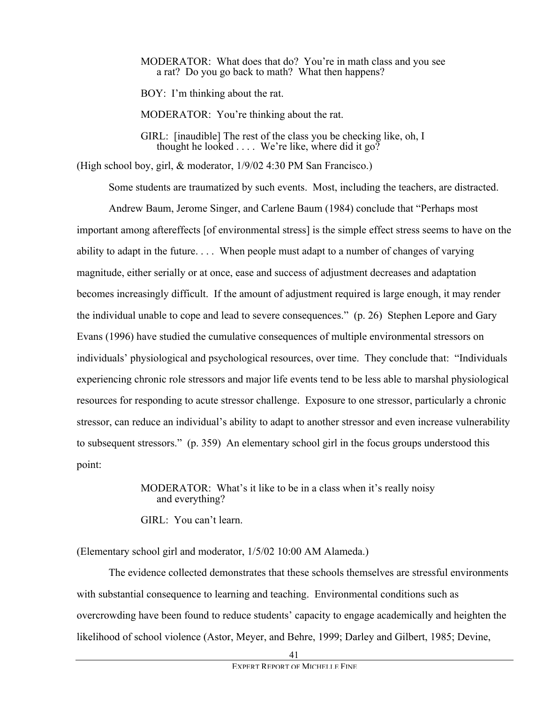MODERATOR: What does that do? You're in math class and you see a rat? Do you go back to math? What then happens?

BOY: I'm thinking about the rat.

MODERATOR: You're thinking about the rat.

GIRL: [inaudible] The rest of the class you be checking like, oh, I thought he looked  $\dots$ . We're like, where did it go?

(High school boy, girl, & moderator, 1/9/02 4:30 PM San Francisco.)

Some students are traumatized by such events. Most, including the teachers, are distracted.

Andrew Baum, Jerome Singer, and Carlene Baum (1984) conclude that "Perhaps most important among aftereffects [of environmental stress] is the simple effect stress seems to have on the ability to adapt in the future. . . . When people must adapt to a number of changes of varying magnitude, either serially or at once, ease and success of adjustment decreases and adaptation becomes increasingly difficult. If the amount of adjustment required is large enough, it may render the individual unable to cope and lead to severe consequences." (p. 26) Stephen Lepore and Gary Evans (1996) have studied the cumulative consequences of multiple environmental stressors on individuals' physiological and psychological resources, over time. They conclude that: "Individuals experiencing chronic role stressors and major life events tend to be less able to marshal physiological resources for responding to acute stressor challenge. Exposure to one stressor, particularly a chronic stressor, can reduce an individual's ability to adapt to another stressor and even increase vulnerability to subsequent stressors." (p. 359) An elementary school girl in the focus groups understood this point:

## MODERATOR: What's it like to be in a class when it's really noisy and everything?

GIRL: You can't learn.

(Elementary school girl and moderator, 1/5/02 10:00 AM Alameda.)

The evidence collected demonstrates that these schools themselves are stressful environments with substantial consequence to learning and teaching. Environmental conditions such as overcrowding have been found to reduce students' capacity to engage academically and heighten the likelihood of school violence (Astor, Meyer, and Behre, 1999; Darley and Gilbert, 1985; Devine,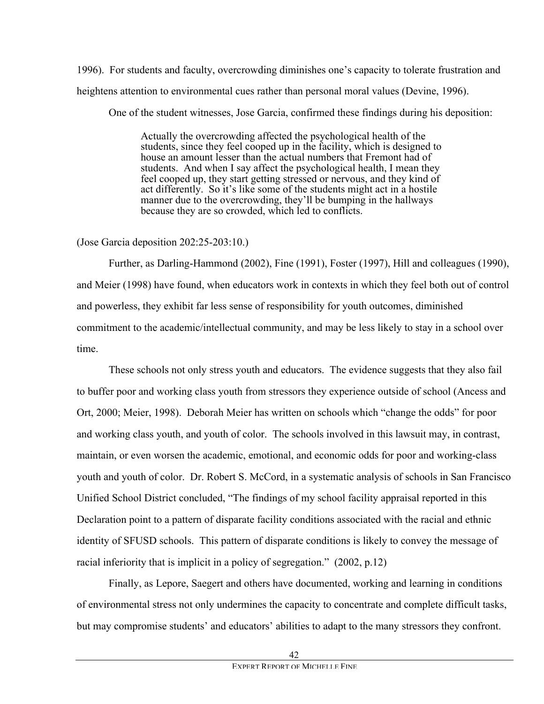1996). For students and faculty, overcrowding diminishes one's capacity to tolerate frustration and heightens attention to environmental cues rather than personal moral values (Devine, 1996).

One of the student witnesses, Jose Garcia, confirmed these findings during his deposition:

Actually the overcrowding affected the psychological health of the students, since they feel cooped up in the facility, which is designed to house an amount lesser than the actual numbers that Fremont had of students. And when I say affect the psychological health, I mean they feel cooped up, they start getting stressed or nervous, and they kind of act differently. So it's like some of the students might act in a hostile manner due to the overcrowding, they'll be bumping in the hallways because they are so crowded, which led to conflicts.

## (Jose Garcia deposition 202:25-203:10.)

Further, as Darling-Hammond (2002), Fine (1991), Foster (1997), Hill and colleagues (1990), and Meier (1998) have found, when educators work in contexts in which they feel both out of control and powerless, they exhibit far less sense of responsibility for youth outcomes, diminished commitment to the academic/intellectual community, and may be less likely to stay in a school over time.

These schools not only stress youth and educators. The evidence suggests that they also fail to buffer poor and working class youth from stressors they experience outside of school (Ancess and Ort, 2000; Meier, 1998). Deborah Meier has written on schools which "change the odds" for poor and working class youth, and youth of color. The schools involved in this lawsuit may, in contrast, maintain, or even worsen the academic, emotional, and economic odds for poor and working-class youth and youth of color. Dr. Robert S. McCord, in a systematic analysis of schools in San Francisco Unified School District concluded, "The findings of my school facility appraisal reported in this Declaration point to a pattern of disparate facility conditions associated with the racial and ethnic identity of SFUSD schools. This pattern of disparate conditions is likely to convey the message of racial inferiority that is implicit in a policy of segregation." (2002, p.12)

Finally, as Lepore, Saegert and others have documented, working and learning in conditions of environmental stress not only undermines the capacity to concentrate and complete difficult tasks, but may compromise students' and educators' abilities to adapt to the many stressors they confront.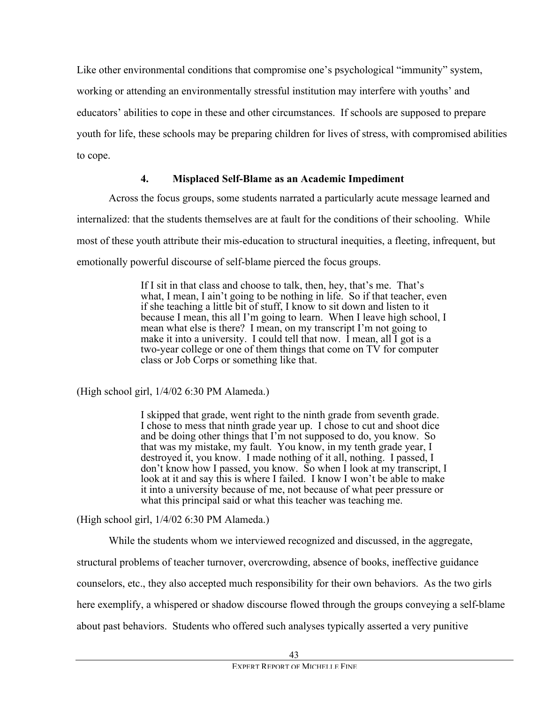Like other environmental conditions that compromise one's psychological "immunity" system,

working or attending an environmentally stressful institution may interfere with youths' and

educators' abilities to cope in these and other circumstances. If schools are supposed to prepare

youth for life, these schools may be preparing children for lives of stress, with compromised abilities to cope.

# **4. Misplaced Self-Blame as an Academic Impediment**

Across the focus groups, some students narrated a particularly acute message learned and internalized: that the students themselves are at fault for the conditions of their schooling. While most of these youth attribute their mis-education to structural inequities, a fleeting, infrequent, but emotionally powerful discourse of self-blame pierced the focus groups.

> If I sit in that class and choose to talk, then, hey, that's me. That's what, I mean, I ain't going to be nothing in life. So if that teacher, even if she teaching a little bit of stuff, I know to sit down and listen to it because I mean, this all I'm going to learn. When I leave high school, I mean what else is there? I mean, on my transcript I'm not going to make it into a university. I could tell that now. I mean, all I got is a two-year college or one of them things that come on TV for computer class or Job Corps or something like that.

(High school girl, 1/4/02 6:30 PM Alameda.)

I skipped that grade, went right to the ninth grade from seventh grade. I chose to mess that ninth grade year up. I chose to cut and shoot dice and be doing other things that I'm not supposed to do, you know. So that was my mistake, my fault. You know, in my tenth grade year, I destroyed it, you know. I made nothing of it all, nothing. I passed, I don't know how I passed, you know. So when I look at my transcript, I look at it and say this is where I failed. I know I won't be able to make it into a university because of me, not because of what peer pressure or what this principal said or what this teacher was teaching me.

(High school girl, 1/4/02 6:30 PM Alameda.)

While the students whom we interviewed recognized and discussed, in the aggregate,

structural problems of teacher turnover, overcrowding, absence of books, ineffective guidance

counselors, etc., they also accepted much responsibility for their own behaviors. As the two girls

here exemplify, a whispered or shadow discourse flowed through the groups conveying a self-blame

about past behaviors. Students who offered such analyses typically asserted a very punitive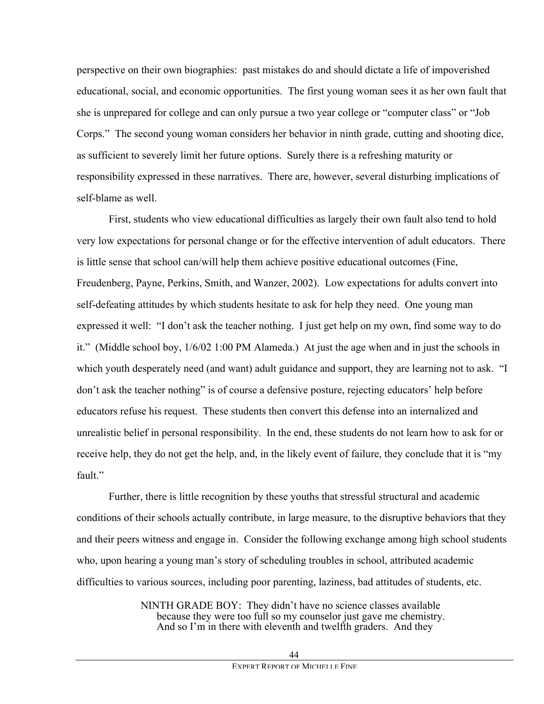perspective on their own biographies: past mistakes do and should dictate a life of impoverished educational, social, and economic opportunities. The first young woman sees it as her own fault that she is unprepared for college and can only pursue a two year college or "computer class" or "Job Corps." The second young woman considers her behavior in ninth grade, cutting and shooting dice, as sufficient to severely limit her future options. Surely there is a refreshing maturity or responsibility expressed in these narratives. There are, however, several disturbing implications of self-blame as well.

First, students who view educational difficulties as largely their own fault also tend to hold very low expectations for personal change or for the effective intervention of adult educators. There is little sense that school can/will help them achieve positive educational outcomes (Fine, Freudenberg, Payne, Perkins, Smith, and Wanzer, 2002). Low expectations for adults convert into self-defeating attitudes by which students hesitate to ask for help they need. One young man expressed it well: "I don't ask the teacher nothing. I just get help on my own, find some way to do it." (Middle school boy, 1/6/02 1:00 PM Alameda.) At just the age when and in just the schools in which youth desperately need (and want) adult guidance and support, they are learning not to ask. "I don't ask the teacher nothing" is of course a defensive posture, rejecting educators' help before educators refuse his request. These students then convert this defense into an internalized and unrealistic belief in personal responsibility. In the end, these students do not learn how to ask for or receive help, they do not get the help, and, in the likely event of failure, they conclude that it is "my fault."

Further, there is little recognition by these youths that stressful structural and academic conditions of their schools actually contribute, in large measure, to the disruptive behaviors that they and their peers witness and engage in. Consider the following exchange among high school students who, upon hearing a young man's story of scheduling troubles in school, attributed academic difficulties to various sources, including poor parenting, laziness, bad attitudes of students, etc.

> NINTH GRADE BOY: They didn't have no science classes available because they were too full so my counselor just gave me chemistry. And so I'm in there with eleventh and twelfth graders. And they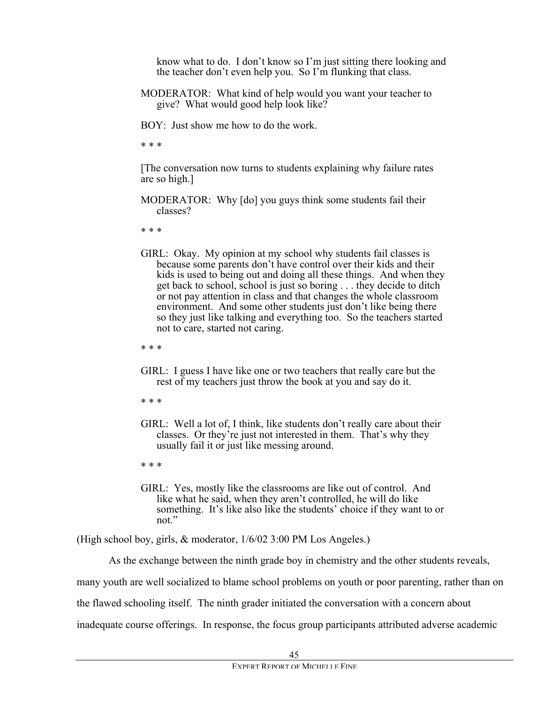know what to do. I don't know so I'm just sitting there looking and the teacher don't even help you. So I'm flunking that class.

MODERATOR: What kind of help would you want your teacher to give? What would good help look like?

BOY: Just show me how to do the work.

\* \* \*

[The conversation now turns to students explaining why failure rates are so high.]

MODERATOR: Why [do] you guys think some students fail their classes?

\* \* \*

- GIRL: Okay. My opinion at my school why students fail classes is because some parents don't have control over their kids and their kids is used to being out and doing all these things. And when they get back to school, school is just so boring . . . they decide to ditch or not pay attention in class and that changes the whole classroom environment. And some other students just don't like being there so they just like talking and everything too. So the teachers started not to care, started not caring.
- \* \* \*
- GIRL: I guess I have like one or two teachers that really care but the rest of my teachers just throw the book at you and say do it.
- \* \* \*
- GIRL: Well a lot of, I think, like students don't really care about their classes. Or they're just not interested in them. That's why they usually fail it or just like messing around.
- \* \* \*
- GIRL: Yes, mostly like the classrooms are like out of control. And like what he said, when they aren't controlled, he will do like something. It's like also like the students' choice if they want to or not"

(High school boy, girls, & moderator, 1/6/02 3:00 PM Los Angeles.)

As the exchange between the ninth grade boy in chemistry and the other students reveals,

many youth are well socialized to blame school problems on youth or poor parenting, rather than on

the flawed schooling itself. The ninth grader initiated the conversation with a concern about

inadequate course offerings. In response, the focus group participants attributed adverse academic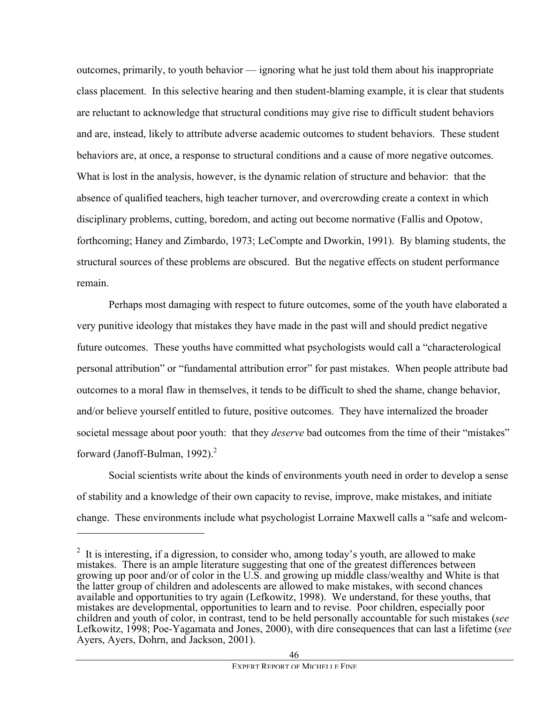outcomes, primarily, to youth behavior — ignoring what he just told them about his inappropriate class placement. In this selective hearing and then student-blaming example, it is clear that students are reluctant to acknowledge that structural conditions may give rise to difficult student behaviors and are, instead, likely to attribute adverse academic outcomes to student behaviors. These student behaviors are, at once, a response to structural conditions and a cause of more negative outcomes. What is lost in the analysis, however, is the dynamic relation of structure and behavior: that the absence of qualified teachers, high teacher turnover, and overcrowding create a context in which disciplinary problems, cutting, boredom, and acting out become normative (Fallis and Opotow, forthcoming; Haney and Zimbardo, 1973; LeCompte and Dworkin, 1991). By blaming students, the structural sources of these problems are obscured. But the negative effects on student performance remain.

Perhaps most damaging with respect to future outcomes, some of the youth have elaborated a very punitive ideology that mistakes they have made in the past will and should predict negative future outcomes. These youths have committed what psychologists would call a "characterological personal attribution" or "fundamental attribution error" for past mistakes. When people attribute bad outcomes to a moral flaw in themselves, it tends to be difficult to shed the shame, change behavior, and/or believe yourself entitled to future, positive outcomes. They have internalized the broader societal message about poor youth: that they *deserve* bad outcomes from the time of their "mistakes" forward (Janoff-Bulman, 1992). $<sup>2</sup>$ </sup>

Social scientists write about the kinds of environments youth need in order to develop a sense of stability and a knowledge of their own capacity to revise, improve, make mistakes, and initiate change. These environments include what psychologist Lorraine Maxwell calls a "safe and welcom-

 $\overline{a}$ 

 $2$  It is interesting, if a digression, to consider who, among today's youth, are allowed to make mistakes. There is an ample literature suggesting that one of the greatest differences between growing up poor and/or of color in the U.S. and growing up middle class/wealthy and White is that the latter group of children and adolescents are allowed to make mistakes, with second chances available and opportunities to try again (Lefkowitz, 1998). We understand, for these youths, that mistakes are developmental, opportunities to learn and to revise. Poor children, especially poor children and youth of color, in contrast, tend to be held personally accountable for such mistakes (*see* Lefkowitz, 1998; Poe-Yagamata and Jones, 2000), with dire consequences that can last a lifetime (*see* Ayers, Ayers, Dohrn, and Jackson, 2001).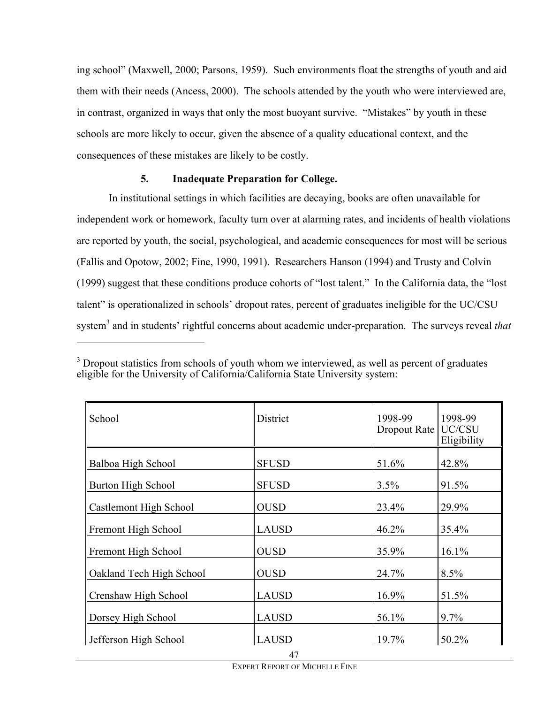ing school" (Maxwell, 2000; Parsons, 1959). Such environments float the strengths of youth and aid them with their needs (Ancess, 2000). The schools attended by the youth who were interviewed are, in contrast, organized in ways that only the most buoyant survive. "Mistakes" by youth in these schools are more likely to occur, given the absence of a quality educational context, and the consequences of these mistakes are likely to be costly.

# **5. Inadequate Preparation for College.**

 $\overline{a}$ 

In institutional settings in which facilities are decaying, books are often unavailable for independent work or homework, faculty turn over at alarming rates, and incidents of health violations are reported by youth, the social, psychological, and academic consequences for most will be serious (Fallis and Opotow, 2002; Fine, 1990, 1991). Researchers Hanson (1994) and Trusty and Colvin (1999) suggest that these conditions produce cohorts of "lost talent." In the California data, the "lost talent" is operationalized in schools' dropout rates, percent of graduates ineligible for the UC/CSU system<sup>3</sup> and in students' rightful concerns about academic under-preparation. The surveys reveal *that* 

 $3$  Dropout statistics from schools of youth whom we interviewed, as well as percent of graduates eligible for the University of California/California State University system:

| School                   | District     | 1998-99<br>Dropout Rate | 1998-99<br>UC/CSU<br>Eligibility |
|--------------------------|--------------|-------------------------|----------------------------------|
| Balboa High School       | <b>SFUSD</b> | 51.6%                   | 42.8%                            |
| Burton High School       | <b>SFUSD</b> | 3.5%                    | 91.5%                            |
| Castlemont High School   | <b>OUSD</b>  | 23.4%                   | 29.9%                            |
| Fremont High School      | <b>LAUSD</b> | 46.2%                   | 35.4%                            |
| Fremont High School      | <b>OUSD</b>  | 35.9%                   | 16.1%                            |
| Oakland Tech High School | <b>OUSD</b>  | 24.7%                   | 8.5%                             |
| Crenshaw High School     | <b>LAUSD</b> | $16.9\%$                | 51.5%                            |
| Dorsey High School       | <b>LAUSD</b> | 56.1%                   | 9.7%                             |
| Jefferson High School    | <b>LAUSD</b> | 19.7%                   | 50.2%                            |

47

EXPERT REPORT OF MICHELLE FINE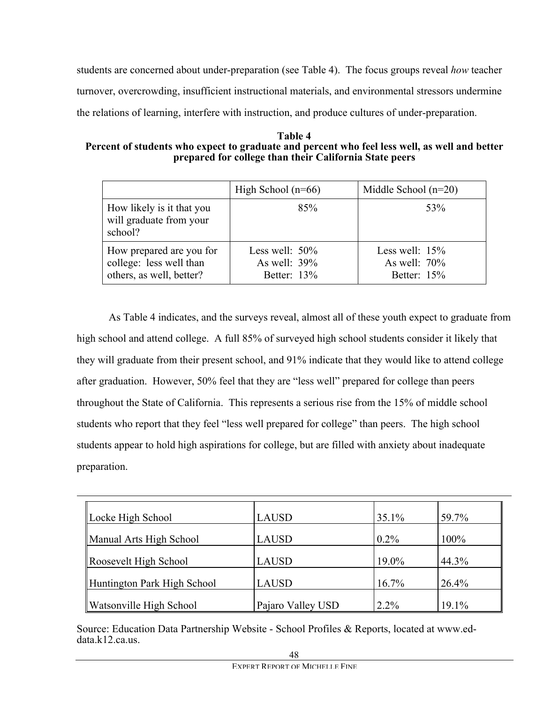students are concerned about under-preparation (see Table 4). The focus groups reveal *how* teacher turnover, overcrowding, insufficient instructional materials, and environmental stressors undermine the relations of learning, interfere with instruction, and produce cultures of under-preparation.

| Table 4                                                                                       |
|-----------------------------------------------------------------------------------------------|
| Percent of students who expect to graduate and percent who feel less well, as well and better |
| prepared for college than their California State peers                                        |

|                                                                                 | High School $(n=66)$                                | Middle School $(n=20)$                                 |
|---------------------------------------------------------------------------------|-----------------------------------------------------|--------------------------------------------------------|
| How likely is it that you<br>will graduate from your<br>school?                 | 85%                                                 | 53%                                                    |
| How prepared are you for<br>college: less well than<br>others, as well, better? | Less well: $50\%$<br>As well: 39%<br>Better: $13\%$ | Less well: $15%$<br>As well: 70%<br><b>Better: 15%</b> |

As Table 4 indicates, and the surveys reveal, almost all of these youth expect to graduate from high school and attend college. A full 85% of surveyed high school students consider it likely that they will graduate from their present school, and 91% indicate that they would like to attend college after graduation. However, 50% feel that they are "less well" prepared for college than peers throughout the State of California. This represents a serious rise from the 15% of middle school students who report that they feel "less well prepared for college" than peers. The high school students appear to hold high aspirations for college, but are filled with anxiety about inadequate preparation.

| Locke High School              | <b>LAUSD</b>      | 35.1%   | 59.7%   |
|--------------------------------|-------------------|---------|---------|
| Manual Arts High School        | <b>LAUSD</b>      | $0.2\%$ | $100\%$ |
| Roosevelt High School          | <b>LAUSD</b>      | 19.0%   | 44.3%   |
| Huntington Park High School    | <b>LAUSD</b>      | 16.7%   | 26.4%   |
| <b>Watsonville High School</b> | Pajaro Valley USD | $2.2\%$ | 19.1%   |

Source: Education Data Partnership Website - School Profiles & Reports, located at www.eddata.k12.ca.us.

 $\overline{a}$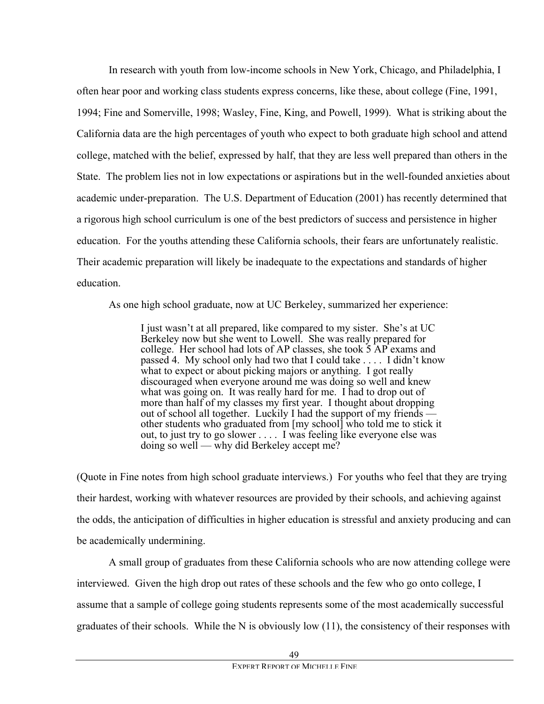In research with youth from low-income schools in New York, Chicago, and Philadelphia, I often hear poor and working class students express concerns, like these, about college (Fine, 1991, 1994; Fine and Somerville, 1998; Wasley, Fine, King, and Powell, 1999). What is striking about the California data are the high percentages of youth who expect to both graduate high school and attend college, matched with the belief, expressed by half, that they are less well prepared than others in the State. The problem lies not in low expectations or aspirations but in the well-founded anxieties about academic under-preparation. The U.S. Department of Education (2001) has recently determined that a rigorous high school curriculum is one of the best predictors of success and persistence in higher education. For the youths attending these California schools, their fears are unfortunately realistic. Their academic preparation will likely be inadequate to the expectations and standards of higher education.

As one high school graduate, now at UC Berkeley, summarized her experience:

I just wasn't at all prepared, like compared to my sister. She's at UC Berkeley now but she went to Lowell. She was really prepared for college. Her school had lots of AP classes, she took 5 AP exams and passed 4. My school only had two that I could take . . . . I didn't know what to expect or about picking majors or anything. I got really discouraged when everyone around me was doing so well and knew what was going on. It was really hard for me. I had to drop out of more than half of my classes my first year. I thought about dropping out of school all together. Luckily I had the support of my friends other students who graduated from [my school] who told me to stick it out, to just try to go slower . . . . I was feeling like everyone else was doing so well — why did Berkeley accept me?

(Quote in Fine notes from high school graduate interviews.) For youths who feel that they are trying their hardest, working with whatever resources are provided by their schools, and achieving against the odds, the anticipation of difficulties in higher education is stressful and anxiety producing and can be academically undermining.

A small group of graduates from these California schools who are now attending college were interviewed. Given the high drop out rates of these schools and the few who go onto college, I assume that a sample of college going students represents some of the most academically successful graduates of their schools. While the N is obviously low (11), the consistency of their responses with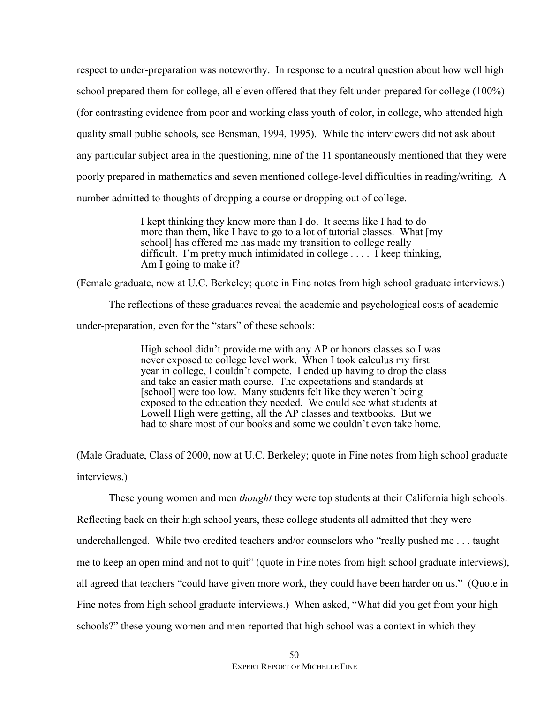respect to under-preparation was noteworthy. In response to a neutral question about how well high school prepared them for college, all eleven offered that they felt under-prepared for college (100%) (for contrasting evidence from poor and working class youth of color, in college, who attended high quality small public schools, see Bensman, 1994, 1995). While the interviewers did not ask about any particular subject area in the questioning, nine of the 11 spontaneously mentioned that they were poorly prepared in mathematics and seven mentioned college-level difficulties in reading/writing. A number admitted to thoughts of dropping a course or dropping out of college.

> I kept thinking they know more than I do. It seems like I had to do more than them, like I have to go to a lot of tutorial classes. What [my school] has offered me has made my transition to college really difficult. I'm pretty much intimidated in college  $\dots$  I keep thinking, Am I going to make it?

(Female graduate, now at U.C. Berkeley; quote in Fine notes from high school graduate interviews.)

The reflections of these graduates reveal the academic and psychological costs of academic under-preparation, even for the "stars" of these schools:

> High school didn't provide me with any AP or honors classes so I was never exposed to college level work. When I took calculus my first year in college, I couldn't compete. I ended up having to drop the class and take an easier math course. The expectations and standards at [school] were too low. Many students felt like they weren't being exposed to the education they needed. We could see what students at Lowell High were getting, all the AP classes and textbooks. But we had to share most of our books and some we couldn't even take home.

(Male Graduate, Class of 2000, now at U.C. Berkeley; quote in Fine notes from high school graduate interviews.)

These young women and men *thought* they were top students at their California high schools. Reflecting back on their high school years, these college students all admitted that they were underchallenged. While two credited teachers and/or counselors who "really pushed me . . . taught me to keep an open mind and not to quit" (quote in Fine notes from high school graduate interviews), all agreed that teachers "could have given more work, they could have been harder on us." (Quote in Fine notes from high school graduate interviews.) When asked, "What did you get from your high schools?" these young women and men reported that high school was a context in which they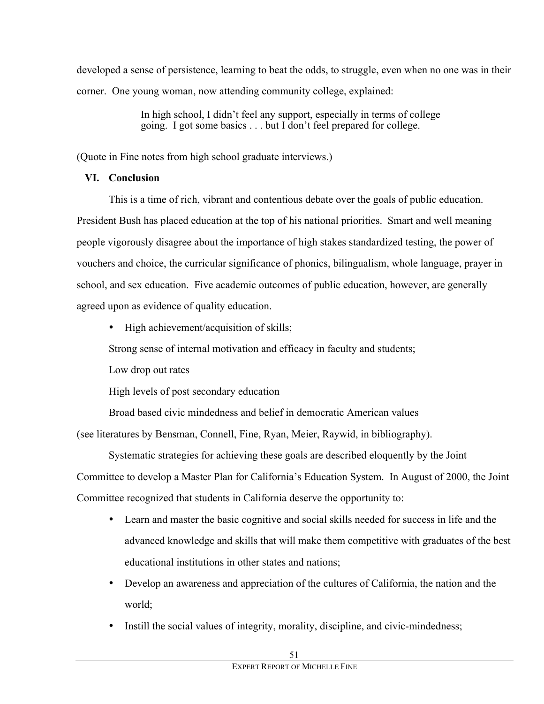developed a sense of persistence, learning to beat the odds, to struggle, even when no one was in their corner. One young woman, now attending community college, explained:

> In high school, I didn't feel any support, especially in terms of college going. I got some basics . . . but I don't feel prepared for college.

(Quote in Fine notes from high school graduate interviews.)

### **VI. Conclusion**

This is a time of rich, vibrant and contentious debate over the goals of public education. President Bush has placed education at the top of his national priorities. Smart and well meaning people vigorously disagree about the importance of high stakes standardized testing, the power of vouchers and choice, the curricular significance of phonics, bilingualism, whole language, prayer in school, and sex education. Five academic outcomes of public education, however, are generally agreed upon as evidence of quality education.

High achievement/acquisition of skills;

Strong sense of internal motivation and efficacy in faculty and students;

Low drop out rates

High levels of post secondary education

Broad based civic mindedness and belief in democratic American values

(see literatures by Bensman, Connell, Fine, Ryan, Meier, Raywid, in bibliography).

Systematic strategies for achieving these goals are described eloquently by the Joint

Committee to develop a Master Plan for California's Education System. In August of 2000, the Joint Committee recognized that students in California deserve the opportunity to:

> Learn and master the basic cognitive and social skills needed for success in life and the advanced knowledge and skills that will make them competitive with graduates of the best educational institutions in other states and nations;

Develop an awareness and appreciation of the cultures of California, the nation and the world;

Instill the social values of integrity, morality, discipline, and civic-mindedness;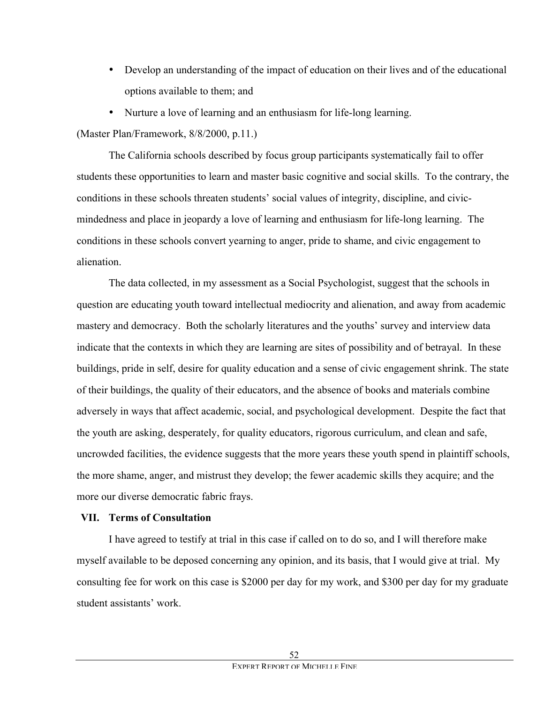Develop an understanding of the impact of education on their lives and of the educational options available to them; and

Nurture a love of learning and an enthusiasm for life-long learning.

(Master Plan/Framework, 8/8/2000, p.11.)

The California schools described by focus group participants systematically fail to offer students these opportunities to learn and master basic cognitive and social skills. To the contrary, the conditions in these schools threaten students' social values of integrity, discipline, and civicmindedness and place in jeopardy a love of learning and enthusiasm for life-long learning. The conditions in these schools convert yearning to anger, pride to shame, and civic engagement to alienation.

The data collected, in my assessment as a Social Psychologist, suggest that the schools in question are educating youth toward intellectual mediocrity and alienation, and away from academic mastery and democracy. Both the scholarly literatures and the youths' survey and interview data indicate that the contexts in which they are learning are sites of possibility and of betrayal. In these buildings, pride in self, desire for quality education and a sense of civic engagement shrink. The state of their buildings, the quality of their educators, and the absence of books and materials combine adversely in ways that affect academic, social, and psychological development. Despite the fact that the youth are asking, desperately, for quality educators, rigorous curriculum, and clean and safe, uncrowded facilities, the evidence suggests that the more years these youth spend in plaintiff schools, the more shame, anger, and mistrust they develop; the fewer academic skills they acquire; and the more our diverse democratic fabric frays.

## **VII. Terms of Consultation**

I have agreed to testify at trial in this case if called on to do so, and I will therefore make myself available to be deposed concerning any opinion, and its basis, that I would give at trial. My consulting fee for work on this case is \$2000 per day for my work, and \$300 per day for my graduate student assistants' work.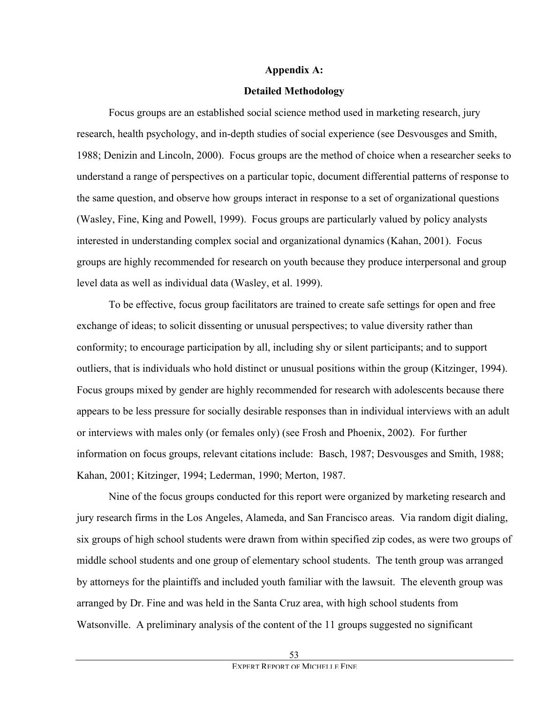#### **Appendix A:**

### **Detailed Methodology**

Focus groups are an established social science method used in marketing research, jury research, health psychology, and in-depth studies of social experience (see Desvousges and Smith, 1988; Denizin and Lincoln, 2000). Focus groups are the method of choice when a researcher seeks to understand a range of perspectives on a particular topic, document differential patterns of response to the same question, and observe how groups interact in response to a set of organizational questions (Wasley, Fine, King and Powell, 1999). Focus groups are particularly valued by policy analysts interested in understanding complex social and organizational dynamics (Kahan, 2001). Focus groups are highly recommended for research on youth because they produce interpersonal and group level data as well as individual data (Wasley, et al. 1999).

To be effective, focus group facilitators are trained to create safe settings for open and free exchange of ideas; to solicit dissenting or unusual perspectives; to value diversity rather than conformity; to encourage participation by all, including shy or silent participants; and to support outliers, that is individuals who hold distinct or unusual positions within the group (Kitzinger, 1994). Focus groups mixed by gender are highly recommended for research with adolescents because there appears to be less pressure for socially desirable responses than in individual interviews with an adult or interviews with males only (or females only) (see Frosh and Phoenix, 2002). For further information on focus groups, relevant citations include: Basch, 1987; Desvousges and Smith, 1988; Kahan, 2001; Kitzinger, 1994; Lederman, 1990; Merton, 1987.

Nine of the focus groups conducted for this report were organized by marketing research and jury research firms in the Los Angeles, Alameda, and San Francisco areas. Via random digit dialing, six groups of high school students were drawn from within specified zip codes, as were two groups of middle school students and one group of elementary school students. The tenth group was arranged by attorneys for the plaintiffs and included youth familiar with the lawsuit. The eleventh group was arranged by Dr. Fine and was held in the Santa Cruz area, with high school students from Watsonville. A preliminary analysis of the content of the 11 groups suggested no significant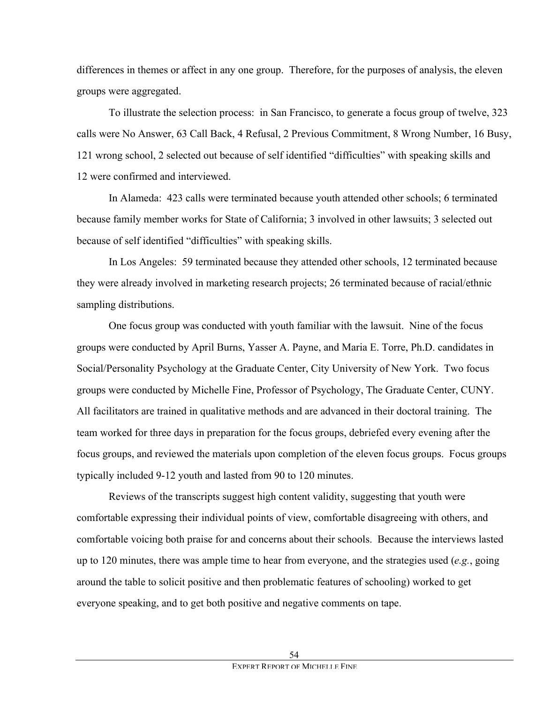differences in themes or affect in any one group. Therefore, for the purposes of analysis, the eleven groups were aggregated.

To illustrate the selection process: in San Francisco, to generate a focus group of twelve, 323 calls were No Answer, 63 Call Back, 4 Refusal, 2 Previous Commitment, 8 Wrong Number, 16 Busy, 121 wrong school, 2 selected out because of self identified "difficulties" with speaking skills and 12 were confirmed and interviewed.

In Alameda: 423 calls were terminated because youth attended other schools; 6 terminated because family member works for State of California; 3 involved in other lawsuits; 3 selected out because of self identified "difficulties" with speaking skills.

In Los Angeles: 59 terminated because they attended other schools, 12 terminated because they were already involved in marketing research projects; 26 terminated because of racial/ethnic sampling distributions.

One focus group was conducted with youth familiar with the lawsuit. Nine of the focus groups were conducted by April Burns, Yasser A. Payne, and Maria E. Torre, Ph.D. candidates in Social/Personality Psychology at the Graduate Center, City University of New York. Two focus groups were conducted by Michelle Fine, Professor of Psychology, The Graduate Center, CUNY. All facilitators are trained in qualitative methods and are advanced in their doctoral training. The team worked for three days in preparation for the focus groups, debriefed every evening after the focus groups, and reviewed the materials upon completion of the eleven focus groups. Focus groups typically included 9-12 youth and lasted from 90 to 120 minutes.

Reviews of the transcripts suggest high content validity, suggesting that youth were comfortable expressing their individual points of view, comfortable disagreeing with others, and comfortable voicing both praise for and concerns about their schools. Because the interviews lasted up to 120 minutes, there was ample time to hear from everyone, and the strategies used (*e.g.*, going around the table to solicit positive and then problematic features of schooling) worked to get everyone speaking, and to get both positive and negative comments on tape.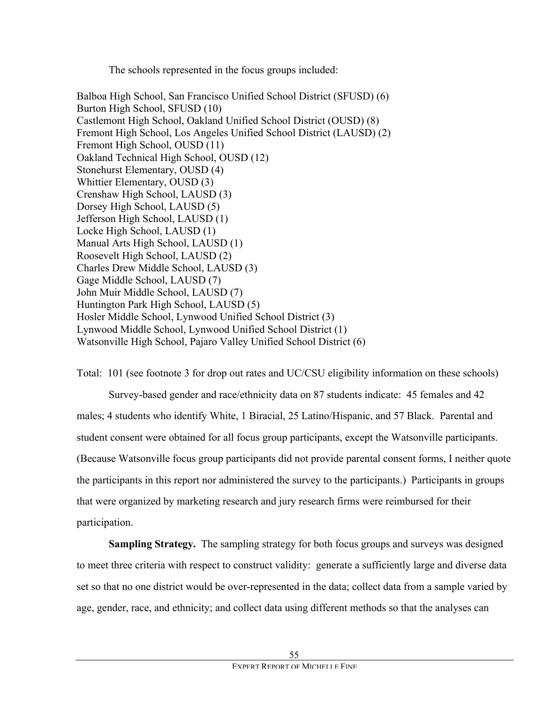The schools represented in the focus groups included:

Balboa High School, San Francisco Unified School District (SFUSD) (6) Burton High School, SFUSD (10) Castlemont High School, Oakland Unified School District (OUSD) (8) Fremont High School, Los Angeles Unified School District (LAUSD) (2) Fremont High School, OUSD (11) Oakland Technical High School, OUSD (12) Stonehurst Elementary, OUSD (4) Whittier Elementary, OUSD (3) Crenshaw High School, LAUSD (3) Dorsey High School, LAUSD (5) Jefferson High School, LAUSD (1) Locke High School, LAUSD (1) Manual Arts High School, LAUSD (1) Roosevelt High School, LAUSD (2) Charles Drew Middle School, LAUSD (3) Gage Middle School, LAUSD (7) John Muir Middle School, LAUSD (7) Huntington Park High School, LAUSD (5) Hosler Middle School, Lynwood Unified School District (3) Lynwood Middle School, Lynwood Unified School District (1) Watsonville High School, Pajaro Valley Unified School District (6)

Total: 101 (see footnote 3 for drop out rates and UC/CSU eligibility information on these schools) Survey-based gender and race/ethnicity data on 87 students indicate: 45 females and 42 males; 4 students who identify White, 1 Biracial, 25 Latino/Hispanic, and 57 Black. Parental and student consent were obtained for all focus group participants, except the Watsonville participants. (Because Watsonville focus group participants did not provide parental consent forms, I neither quote the participants in this report nor administered the survey to the participants.) Participants in groups that were organized by marketing research and jury research firms were reimbursed for their participation.

**Sampling Strategy.** The sampling strategy for both focus groups and surveys was designed to meet three criteria with respect to construct validity: generate a sufficiently large and diverse data set so that no one district would be over-represented in the data; collect data from a sample varied by age, gender, race, and ethnicity; and collect data using different methods so that the analyses can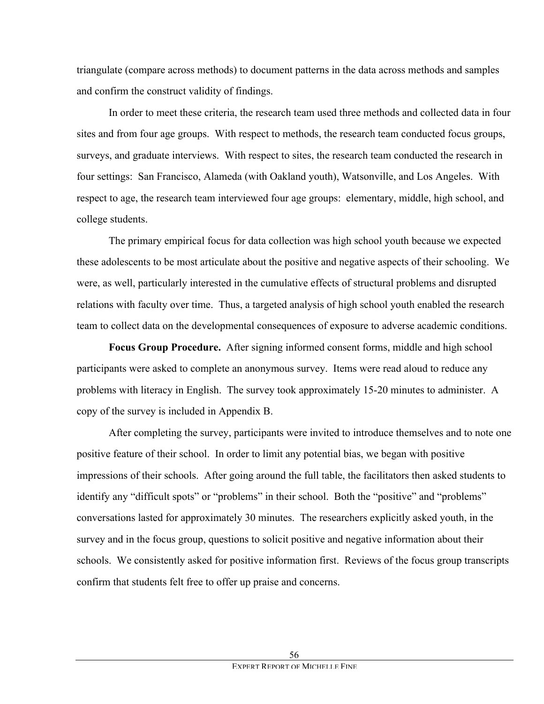triangulate (compare across methods) to document patterns in the data across methods and samples and confirm the construct validity of findings.

In order to meet these criteria, the research team used three methods and collected data in four sites and from four age groups. With respect to methods, the research team conducted focus groups, surveys, and graduate interviews. With respect to sites, the research team conducted the research in four settings: San Francisco, Alameda (with Oakland youth), Watsonville, and Los Angeles. With respect to age, the research team interviewed four age groups: elementary, middle, high school, and college students.

The primary empirical focus for data collection was high school youth because we expected these adolescents to be most articulate about the positive and negative aspects of their schooling. We were, as well, particularly interested in the cumulative effects of structural problems and disrupted relations with faculty over time. Thus, a targeted analysis of high school youth enabled the research team to collect data on the developmental consequences of exposure to adverse academic conditions.

**Focus Group Procedure.** After signing informed consent forms, middle and high school participants were asked to complete an anonymous survey. Items were read aloud to reduce any problems with literacy in English. The survey took approximately 15-20 minutes to administer. A copy of the survey is included in Appendix B.

After completing the survey, participants were invited to introduce themselves and to note one positive feature of their school. In order to limit any potential bias, we began with positive impressions of their schools. After going around the full table, the facilitators then asked students to identify any "difficult spots" or "problems" in their school. Both the "positive" and "problems" conversations lasted for approximately 30 minutes. The researchers explicitly asked youth, in the survey and in the focus group, questions to solicit positive and negative information about their schools. We consistently asked for positive information first. Reviews of the focus group transcripts confirm that students felt free to offer up praise and concerns.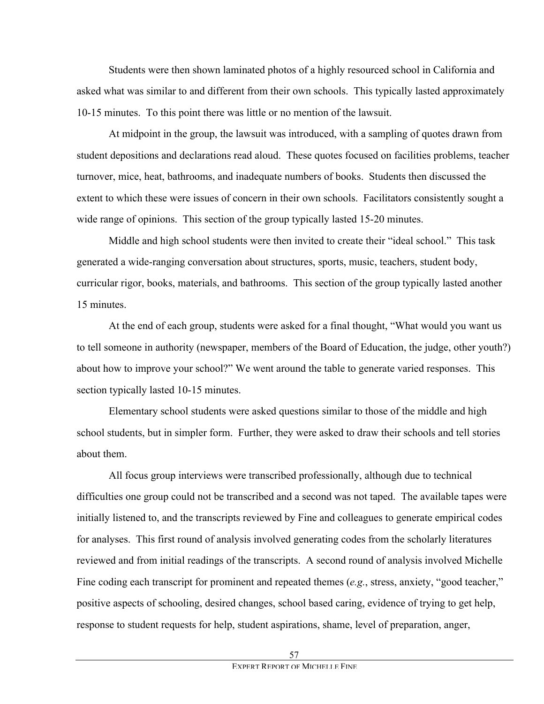Students were then shown laminated photos of a highly resourced school in California and asked what was similar to and different from their own schools. This typically lasted approximately 10-15 minutes. To this point there was little or no mention of the lawsuit.

At midpoint in the group, the lawsuit was introduced, with a sampling of quotes drawn from student depositions and declarations read aloud. These quotes focused on facilities problems, teacher turnover, mice, heat, bathrooms, and inadequate numbers of books. Students then discussed the extent to which these were issues of concern in their own schools. Facilitators consistently sought a wide range of opinions. This section of the group typically lasted 15-20 minutes.

Middle and high school students were then invited to create their "ideal school." This task generated a wide-ranging conversation about structures, sports, music, teachers, student body, curricular rigor, books, materials, and bathrooms. This section of the group typically lasted another 15 minutes.

At the end of each group, students were asked for a final thought, "What would you want us to tell someone in authority (newspaper, members of the Board of Education, the judge, other youth?) about how to improve your school?" We went around the table to generate varied responses. This section typically lasted 10-15 minutes.

Elementary school students were asked questions similar to those of the middle and high school students, but in simpler form. Further, they were asked to draw their schools and tell stories about them.

All focus group interviews were transcribed professionally, although due to technical difficulties one group could not be transcribed and a second was not taped. The available tapes were initially listened to, and the transcripts reviewed by Fine and colleagues to generate empirical codes for analyses. This first round of analysis involved generating codes from the scholarly literatures reviewed and from initial readings of the transcripts. A second round of analysis involved Michelle Fine coding each transcript for prominent and repeated themes (*e.g.*, stress, anxiety, "good teacher," positive aspects of schooling, desired changes, school based caring, evidence of trying to get help, response to student requests for help, student aspirations, shame, level of preparation, anger,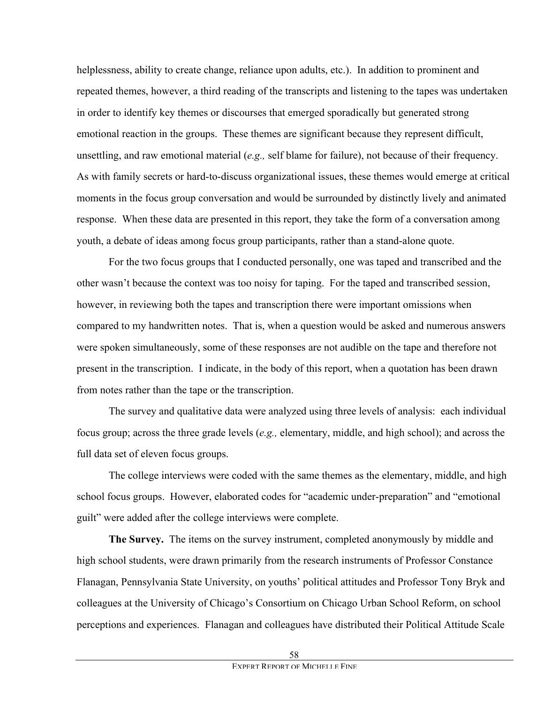helplessness, ability to create change, reliance upon adults, etc.). In addition to prominent and repeated themes, however, a third reading of the transcripts and listening to the tapes was undertaken in order to identify key themes or discourses that emerged sporadically but generated strong emotional reaction in the groups. These themes are significant because they represent difficult, unsettling, and raw emotional material (*e.g.,* self blame for failure), not because of their frequency. As with family secrets or hard-to-discuss organizational issues, these themes would emerge at critical moments in the focus group conversation and would be surrounded by distinctly lively and animated response. When these data are presented in this report, they take the form of a conversation among youth, a debate of ideas among focus group participants, rather than a stand-alone quote.

For the two focus groups that I conducted personally, one was taped and transcribed and the other wasn't because the context was too noisy for taping. For the taped and transcribed session, however, in reviewing both the tapes and transcription there were important omissions when compared to my handwritten notes. That is, when a question would be asked and numerous answers were spoken simultaneously, some of these responses are not audible on the tape and therefore not present in the transcription. I indicate, in the body of this report, when a quotation has been drawn from notes rather than the tape or the transcription.

The survey and qualitative data were analyzed using three levels of analysis: each individual focus group; across the three grade levels (*e.g.,* elementary, middle, and high school); and across the full data set of eleven focus groups.

The college interviews were coded with the same themes as the elementary, middle, and high school focus groups. However, elaborated codes for "academic under-preparation" and "emotional guilt" were added after the college interviews were complete.

**The Survey.** The items on the survey instrument, completed anonymously by middle and high school students, were drawn primarily from the research instruments of Professor Constance Flanagan, Pennsylvania State University, on youths' political attitudes and Professor Tony Bryk and colleagues at the University of Chicago's Consortium on Chicago Urban School Reform, on school perceptions and experiences. Flanagan and colleagues have distributed their Political Attitude Scale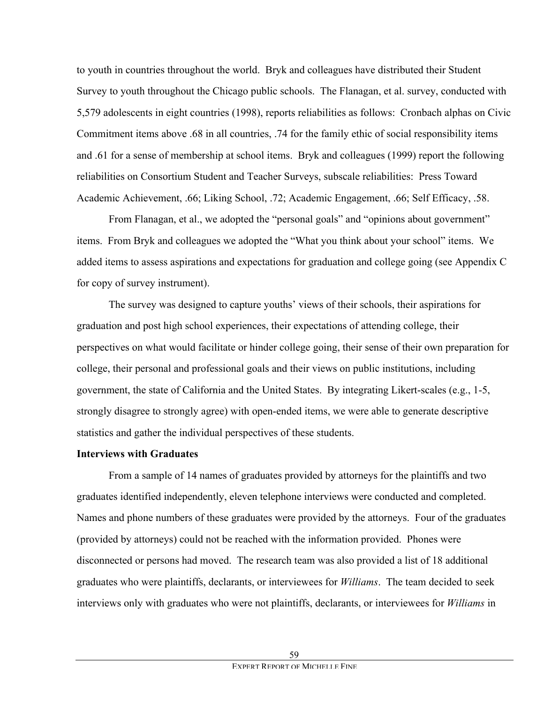to youth in countries throughout the world. Bryk and colleagues have distributed their Student Survey to youth throughout the Chicago public schools. The Flanagan, et al. survey, conducted with 5,579 adolescents in eight countries (1998), reports reliabilities as follows: Cronbach alphas on Civic Commitment items above .68 in all countries, .74 for the family ethic of social responsibility items and .61 for a sense of membership at school items. Bryk and colleagues (1999) report the following reliabilities on Consortium Student and Teacher Surveys, subscale reliabilities: Press Toward Academic Achievement, .66; Liking School, .72; Academic Engagement, .66; Self Efficacy, .58.

From Flanagan, et al., we adopted the "personal goals" and "opinions about government" items. From Bryk and colleagues we adopted the "What you think about your school" items. We added items to assess aspirations and expectations for graduation and college going (see Appendix C for copy of survey instrument).

The survey was designed to capture youths' views of their schools, their aspirations for graduation and post high school experiences, their expectations of attending college, their perspectives on what would facilitate or hinder college going, their sense of their own preparation for college, their personal and professional goals and their views on public institutions, including government, the state of California and the United States. By integrating Likert-scales (e.g., 1-5, strongly disagree to strongly agree) with open-ended items, we were able to generate descriptive statistics and gather the individual perspectives of these students.

#### **Interviews with Graduates**

From a sample of 14 names of graduates provided by attorneys for the plaintiffs and two graduates identified independently, eleven telephone interviews were conducted and completed. Names and phone numbers of these graduates were provided by the attorneys. Four of the graduates (provided by attorneys) could not be reached with the information provided. Phones were disconnected or persons had moved. The research team was also provided a list of 18 additional graduates who were plaintiffs, declarants, or interviewees for *Williams*. The team decided to seek interviews only with graduates who were not plaintiffs, declarants, or interviewees for *Williams* in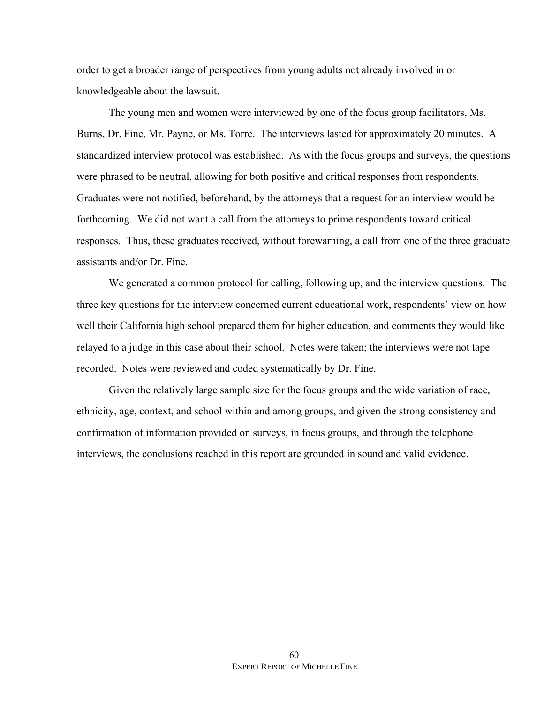order to get a broader range of perspectives from young adults not already involved in or knowledgeable about the lawsuit.

The young men and women were interviewed by one of the focus group facilitators, Ms. Burns, Dr. Fine, Mr. Payne, or Ms. Torre. The interviews lasted for approximately 20 minutes. A standardized interview protocol was established. As with the focus groups and surveys, the questions were phrased to be neutral, allowing for both positive and critical responses from respondents. Graduates were not notified, beforehand, by the attorneys that a request for an interview would be forthcoming. We did not want a call from the attorneys to prime respondents toward critical responses. Thus, these graduates received, without forewarning, a call from one of the three graduate assistants and/or Dr. Fine.

We generated a common protocol for calling, following up, and the interview questions. The three key questions for the interview concerned current educational work, respondents' view on how well their California high school prepared them for higher education, and comments they would like relayed to a judge in this case about their school. Notes were taken; the interviews were not tape recorded. Notes were reviewed and coded systematically by Dr. Fine.

Given the relatively large sample size for the focus groups and the wide variation of race, ethnicity, age, context, and school within and among groups, and given the strong consistency and confirmation of information provided on surveys, in focus groups, and through the telephone interviews, the conclusions reached in this report are grounded in sound and valid evidence.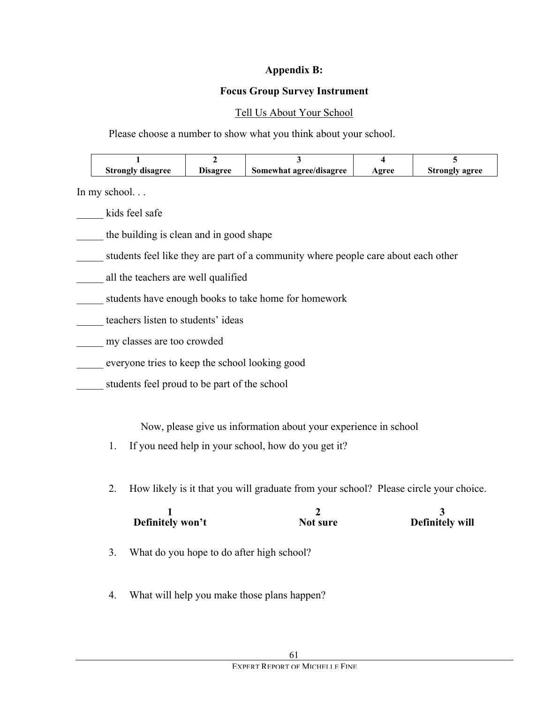# **Appendix B:**

## **Focus Group Survey Instrument**

## Tell Us About Your School

Please choose a number to show what you think about your school.

| <b>Strongly disagree</b> | <b>Disagree</b> | Somewhat agree/disagree | Agree | <b>Strongly agree</b> |
|--------------------------|-----------------|-------------------------|-------|-----------------------|
|                          |                 |                         |       |                       |

In my school. . .

\_\_\_\_\_ kids feel safe

the building is clean and in good shape

students feel like they are part of a community where people care about each other

- \_\_\_\_\_ all the teachers are well qualified
- students have enough books to take home for homework
- \_\_\_\_\_ teachers listen to students' ideas
- \_\_\_\_\_ my classes are too crowded
- \_\_\_\_\_ everyone tries to keep the school looking good
- \_\_\_\_\_ students feel proud to be part of the school

Now, please give us information about your experience in school

- 1. If you need help in your school, how do you get it?
- 2. How likely is it that you will graduate from your school? Please circle your choice.

| Definitely won't | Not sure | Definitely will |
|------------------|----------|-----------------|

- 3. What do you hope to do after high school?
- 4. What will help you make those plans happen?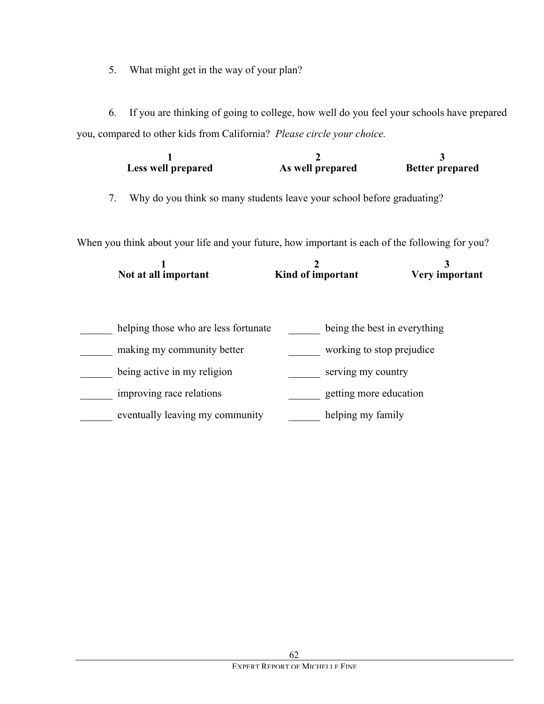5. What might get in the way of your plan?

6. If you are thinking of going to college, how well do you feel your schools have prepared you, compared to other kids from California? *Please circle your choice.*

| Less well prepared | As well prepared | <b>Better prepared</b> |
|--------------------|------------------|------------------------|

7. Why do you think so many students leave your school before graduating?

When you think about your life and your future, how important is each of the following for you?

| Not at all important                 | Kind of important |                              | Very important |  |
|--------------------------------------|-------------------|------------------------------|----------------|--|
| helping those who are less fortunate |                   | being the best in everything |                |  |
| making my community better           |                   | working to stop prejudice    |                |  |
| being active in my religion          |                   | serving my country           |                |  |
| improving race relations             |                   | getting more education       |                |  |
| eventually leaving my community      |                   | helping my family            |                |  |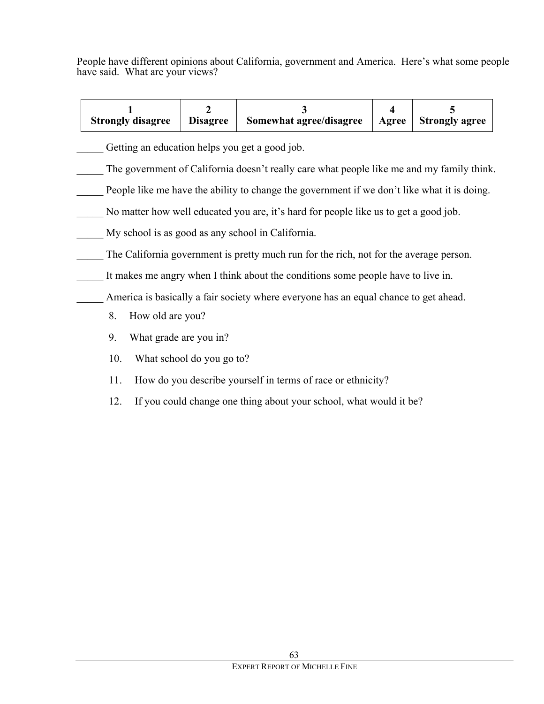People have different opinions about California, government and America. Here's what some people have said. What are your views?

| <b>Strongly disagree</b> | <b>Disagree</b> | Somewhat agree/disagree   Agree   Strongly agree |  |
|--------------------------|-----------------|--------------------------------------------------|--|

- Getting an education helps you get a good job.
- The government of California doesn't really care what people like me and my family think.
- People like me have the ability to change the government if we don't like what it is doing.
- No matter how well educated you are, it's hard for people like us to get a good job.
- My school is as good as any school in California.
- The California government is pretty much run for the rich, not for the average person.
- \_\_\_\_\_ It makes me angry when I think about the conditions some people have to live in.
- America is basically a fair society where everyone has an equal chance to get ahead.
	- 8. How old are you?
	- 9. What grade are you in?
	- 10. What school do you go to?
	- 11. How do you describe yourself in terms of race or ethnicity?
	- 12. If you could change one thing about your school, what would it be?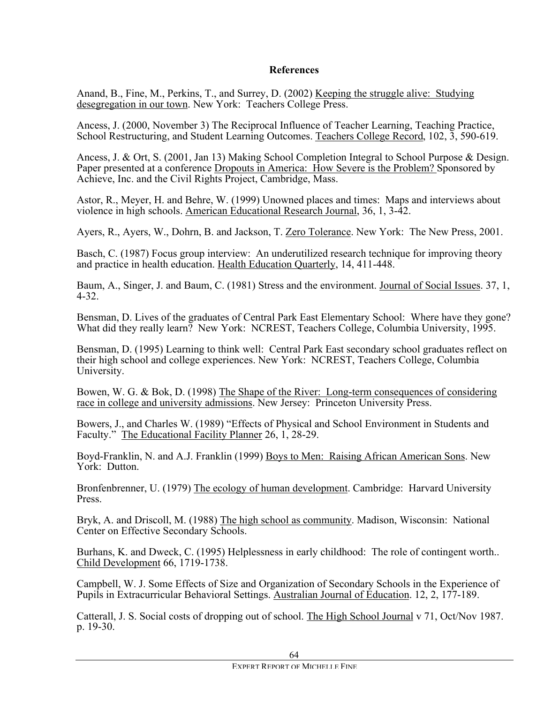### **References**

Anand, B., Fine, M., Perkins, T., and Surrey, D. (2002) Keeping the struggle alive: Studying desegregation in our town. New York: Teachers College Press.

Ancess, J. (2000, November 3) The Reciprocal Influence of Teacher Learning, Teaching Practice, School Restructuring, and Student Learning Outcomes. Teachers College Record, 102, 3, 590-619.

Ancess, J. & Ort, S. (2001, Jan 13) Making School Completion Integral to School Purpose & Design. Paper presented at a conference Dropouts in America: How Severe is the Problem? Sponsored by Achieve, Inc. and the Civil Rights Project, Cambridge, Mass.

Astor, R., Meyer, H. and Behre, W. (1999) Unowned places and times: Maps and interviews about violence in high schools. American Educational Research Journal, 36, 1, 3-42.

Ayers, R., Ayers, W., Dohrn, B. and Jackson, T. Zero Tolerance. New York: The New Press, 2001.

Basch, C. (1987) Focus group interview: An underutilized research technique for improving theory and practice in health education. Health Education Quarterly, 14, 411-448.

Baum, A., Singer, J. and Baum, C. (1981) Stress and the environment. Journal of Social Issues. 37, 1, 4-32.

Bensman, D. Lives of the graduates of Central Park East Elementary School: Where have they gone? What did they really learn? New York: NCREST, Teachers College, Columbia University, 1995.

Bensman, D. (1995) Learning to think well: Central Park East secondary school graduates reflect on their high school and college experiences. New York: NCREST, Teachers College, Columbia University.

Bowen, W. G. & Bok, D. (1998) The Shape of the River: Long-term consequences of considering race in college and university admissions. New Jersey: Princeton University Press.

Bowers, J., and Charles W. (1989) "Effects of Physical and School Environment in Students and Faculty." The Educational Facility Planner 26, 1, 28-29.

Boyd-Franklin, N. and A.J. Franklin (1999) Boys to Men: Raising African American Sons. New York: Dutton

Bronfenbrenner, U. (1979) The ecology of human development. Cambridge: Harvard University Press.

Bryk, A. and Driscoll, M. (1988) The high school as community. Madison, Wisconsin: National Center on Effective Secondary Schools.

Burhans, K. and Dweck, C. (1995) Helplessness in early childhood: The role of contingent worth.. Child Development 66, 1719-1738.

Campbell, W. J. Some Effects of Size and Organization of Secondary Schools in the Experience of Pupils in Extracurricular Behavioral Settings. Australian Journal of Education. 12, 2, 177-189.

Catterall, J. S. Social costs of dropping out of school. The High School Journal v 71, Oct/Nov 1987. p. 19-30.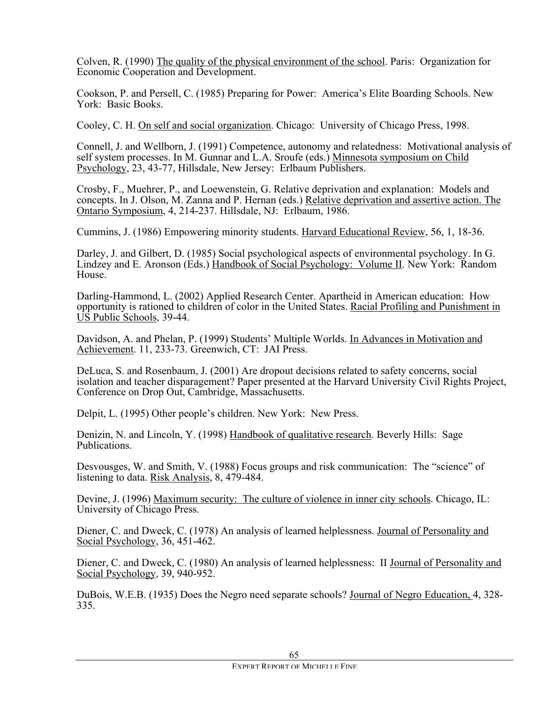Colven, R. (1990) The quality of the physical environment of the school. Paris: Organization for Economic Cooperation and Development.

Cookson, P. and Persell, C. (1985) Preparing for Power: America's Elite Boarding Schools. New York: Basic Books.

Cooley, C. H. On self and social organization. Chicago: University of Chicago Press, 1998.

Connell, J. and Wellborn, J. (1991) Competence, autonomy and relatedness: Motivational analysis of self system processes. In M. Gunnar and L.A. Sroufe (eds.) Minnesota symposium on Child Psychology, 23, 43-77, Hillsdale, New Jersey: Erlbaum Publishers.

Crosby, F., Muehrer, P., and Loewenstein, G. Relative deprivation and explanation: Models and concepts. In J. Olson, M. Zanna and P. Hernan (eds.) Relative deprivation and assertive action. The Ontario Symposium, 4, 214-237. Hillsdale, NJ: Erlbaum, 1986.

Cummins, J. (1986) Empowering minority students. Harvard Educational Review, 56, 1, 18-36.

Darley, J. and Gilbert, D. (1985) Social psychological aspects of environmental psychology. In G. Lindzey and E. Aronson (Eds.) Handbook of Social Psychology: Volume II. New York: Random House.

Darling-Hammond, L. (2002) Applied Research Center. Apartheid in American education: How opportunity is rationed to children of color in the United States. Racial Profiling and Punishment in US Public Schools, 39-44.

Davidson, A. and Phelan, P. (1999) Students' Multiple Worlds. In Advances in Motivation and Achievement. 11, 233-73. Greenwich, CT: JAI Press.

DeLuca, S. and Rosenbaum, J. (2001) Are dropout decisions related to safety concerns, social isolation and teacher disparagement? Paper presented at the Harvard University Civil Rights Project, Conference on Drop Out, Cambridge, Massachusetts.

Delpit, L. (1995) Other people's children. New York: New Press.

Denizin, N. and Lincoln, Y. (1998) Handbook of qualitative research. Beverly Hills: Sage Publications.

Desvousges, W. and Smith, V. (1988) Focus groups and risk communication: The "science" of listening to data. Risk Analysis, 8, 479-484.

Devine, J. (1996) Maximum security: The culture of violence in inner city schools. Chicago, IL: University of Chicago Press.

Diener, C. and Dweck, C. (1978) An analysis of learned helplessness. Journal of Personality and Social Psychology, 36, 451-462.

Diener, C. and Dweck, C. (1980) An analysis of learned helplessness: II Journal of Personality and Social Psychology, 39, 940-952.

DuBois, W.E.B. (1935) Does the Negro need separate schools? Journal of Negro Education, 4, 328- 335.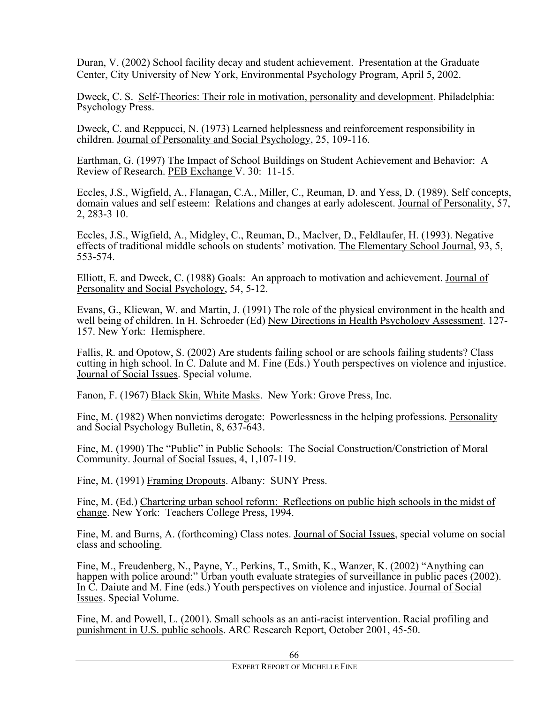Duran, V. (2002) School facility decay and student achievement. Presentation at the Graduate Center, City University of New York, Environmental Psychology Program, April 5, 2002.

Dweck, C. S. Self-Theories: Their role in motivation, personality and development. Philadelphia: Psychology Press.

Dweck, C. and Reppucci, N. (1973) Learned helplessness and reinforcement responsibility in children. Journal of Personality and Social Psychology, 25, 109-116.

Earthman, G. (1997) The Impact of School Buildings on Student Achievement and Behavior: A Review of Research. PEB Exchange V. 30: 11-15.

Eccles, J.S., Wigfield, A., Flanagan, C.A., Miller, C., Reuman, D. and Yess, D. (1989). Self concepts, domain values and self esteem: Relations and changes at early adolescent. Journal of Personality, 57, 2, 283-3 10.

Eccles, J.S., Wigfield, A., Midgley, C., Reuman, D., Maclver, D., Feldlaufer, H. (1993). Negative effects of traditional middle schools on students' motivation. The Elementary School Journal, 93, 5, 553-574.

Elliott, E. and Dweck, C. (1988) Goals: An approach to motivation and achievement. Journal of Personality and Social Psychology, 54, 5-12.

Evans, G., Kliewan, W. and Martin, J. (1991) The role of the physical environment in the health and well being of children. In H. Schroeder (Ed) New Directions in Health Psychology Assessment. 127- 157. New York: Hemisphere.

Fallis, R. and Opotow, S. (2002) Are students failing school or are schools failing students? Class cutting in high school. In C. Dalute and M. Fine (Eds.) Youth perspectives on violence and injustice. Journal of Social Issues. Special volume.

Fanon, F. (1967) Black Skin, White Masks. New York: Grove Press, Inc.

Fine, M. (1982) When nonvictims derogate: Powerlessness in the helping professions. Personality and Social Psychology Bulletin, 8, 637-643.

Fine, M. (1990) The "Public" in Public Schools: The Social Construction/Constriction of Moral Community. Journal of Social Issues, 4, 1,107-119.

Fine, M. (1991) Framing Dropouts. Albany: SUNY Press.

Fine, M. (Ed.) Chartering urban school reform: Reflections on public high schools in the midst of change. New York: Teachers College Press, 1994.

Fine, M. and Burns, A. (forthcoming) Class notes. Journal of Social Issues, special volume on social class and schooling.

Fine, M., Freudenberg, N., Payne, Y., Perkins, T., Smith, K., Wanzer, K. (2002) "Anything can happen with police around:" Urban youth evaluate strategies of surveillance in public paces (2002). In C. Daiute and M. Fine (eds.) Youth perspectives on violence and injustice. Journal of Social Issues. Special Volume.

Fine, M. and Powell, L. (2001). Small schools as an anti-racist intervention. Racial profiling and punishment in U.S. public schools. ARC Research Report, October 2001, 45-50.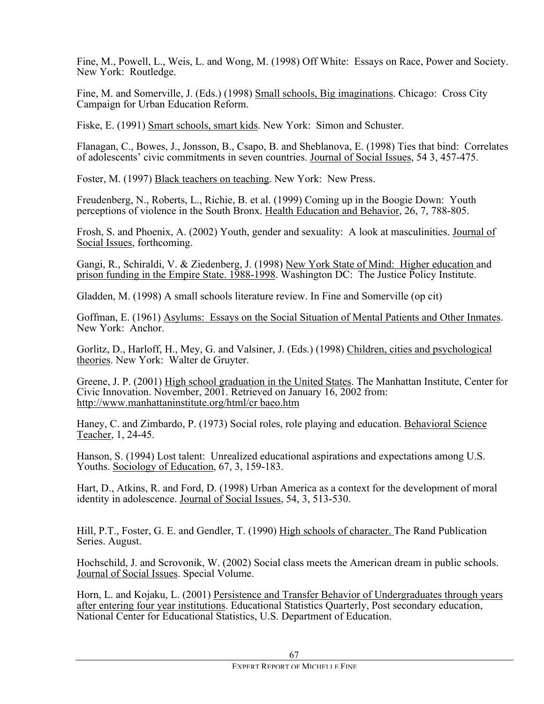Fine, M., Powell, L., Weis, L. and Wong, M. (1998) Off White: Essays on Race, Power and Society. New York: Routledge.

Fine, M. and Somerville, J. (Eds.) (1998) Small schools, Big imaginations. Chicago: Cross City Campaign for Urban Education Reform.

Fiske, E. (1991) Smart schools, smart kids. New York: Simon and Schuster.

Flanagan, C., Bowes, J., Jonsson, B., Csapo, B. and Sheblanova, E. (1998) Ties that bind: Correlates of adolescents' civic commitments in seven countries. Journal of Social Issues, 54 3, 457-475.

Foster, M. (1997) Black teachers on teaching. New York: New Press.

Freudenberg, N., Roberts, L., Richie, B. et al. (1999) Coming up in the Boogie Down: Youth perceptions of violence in the South Bronx. Health Education and Behavior, 26, 7, 788-805.

Frosh, S. and Phoenix, A. (2002) Youth, gender and sexuality: A look at masculinities. Journal of Social Issues, forthcoming.

Gangi, R., Schiraldi, V. & Ziedenberg, J. (1998) New York State of Mind: Higher education and prison funding in the Empire State. 1988-1998. Washington DC: The Justice Policy Institute.

Gladden, M. (1998) A small schools literature review. In Fine and Somerville (op cit)

Goffman, E. (1961) Asylums: Essays on the Social Situation of Mental Patients and Other Inmates. New York: Anchor.

Gorlitz, D., Harloff, H., Mey, G. and Valsiner, J. (Eds.) (1998) Children, cities and psychological theories. New York: Walter de Gruyter.

Greene, J. P. (2001) High school graduation in the United States. The Manhattan Institute, Center for Civic Innovation. November, 2001. Retrieved on January 16, 2002 from: http://www.manhattaninstitute.org/html/cr baeo.htm

Haney, C. and Zimbardo, P. (1973) Social roles, role playing and education. Behavioral Science Teacher, 1, 24-45.

Hanson, S. (1994) Lost talent: Unrealized educational aspirations and expectations among U.S. Youths. Sociology of Education, 67, 3, 159-183.

Hart, D., Atkins, R. and Ford, D. (1998) Urban America as a context for the development of moral identity in adolescence. Journal of Social Issues, 54, 3, 513-530.

Hill, P.T., Foster, G. E. and Gendler, T. (1990) High schools of character. The Rand Publication Series. August.

Hochschild, J. and Scrovonik, W. (2002) Social class meets the American dream in public schools. Journal of Social Issues. Special Volume.

Horn, L. and Kojaku, L. (2001) Persistence and Transfer Behavior of Undergraduates through years after entering four year institutions. Educational Statistics Quarterly, Post secondary education, National Center for Educational Statistics, U.S. Department of Education.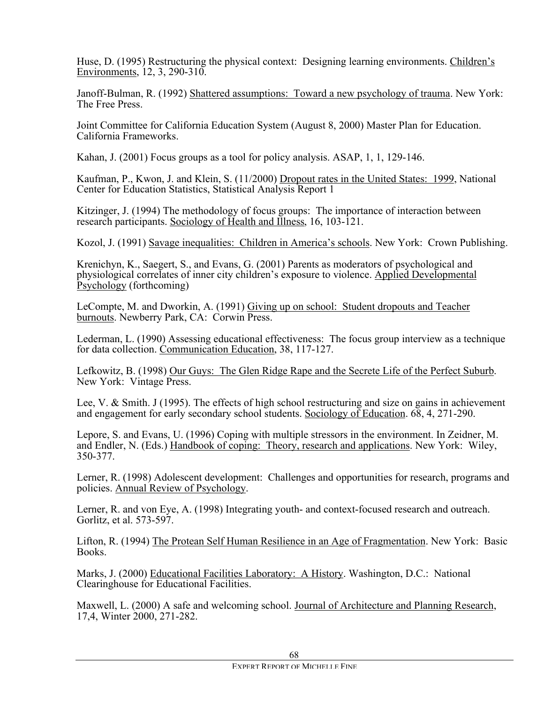Huse, D. (1995) Restructuring the physical context: Designing learning environments. Children's Environments, 12, 3, 290-310.

Janoff-Bulman, R. (1992) Shattered assumptions: Toward a new psychology of trauma. New York: The Free Press.

Joint Committee for California Education System (August 8, 2000) Master Plan for Education. California Frameworks.

Kahan, J. (2001) Focus groups as a tool for policy analysis. ASAP, 1, 1, 129-146.

Kaufman, P., Kwon, J. and Klein, S. (11/2000) Dropout rates in the United States: 1999, National Center for Education Statistics, Statistical Analysis Report 1

Kitzinger, J. (1994) The methodology of focus groups: The importance of interaction between research participants. Sociology of Health and Illness, 16, 103-121.

Kozol, J. (1991) Savage inequalities: Children in America's schools. New York: Crown Publishing.

Krenichyn, K., Saegert, S., and Evans, G. (2001) Parents as moderators of psychological and physiological correlates of inner city children's exposure to violence. Applied Developmental Psychology (forthcoming)

LeCompte, M. and Dworkin, A. (1991) Giving up on school: Student dropouts and Teacher burnouts. Newberry Park, CA: Corwin Press.

Lederman, L. (1990) Assessing educational effectiveness: The focus group interview as a technique for data collection. Communication Education, 38, 117-127.

Lefkowitz, B. (1998) <u>Our Guys: The Glen Ridge Rape and the Secrete Life of the Perfect Suburb</u>. New York: Vintage Press.

Lee, V. & Smith. J (1995). The effects of high school restructuring and size on gains in achievement and engagement for early secondary school students. Sociology of Education. 68, 4, 271-290.

Lepore, S. and Evans, U. (1996) Coping with multiple stressors in the environment. In Zeidner, M. and Endler, N. (Eds.) Handbook of coping: Theory, research and applications. New York: Wiley, 350-377.

Lerner, R. (1998) Adolescent development: Challenges and opportunities for research, programs and policies. Annual Review of Psychology.

Lerner, R. and von Eye, A. (1998) Integrating youth- and context-focused research and outreach. Gorlitz, et al. 573-597.

Lifton, R. (1994) The Protean Self Human Resilience in an Age of Fragmentation. New York: Basic Books.

Marks, J. (2000) Educational Facilities Laboratory: A History. Washington, D.C.: National Clearinghouse for Educational Facilities.

Maxwell, L. (2000) A safe and welcoming school. Journal of Architecture and Planning Research, 17,4, Winter 2000, 271-282.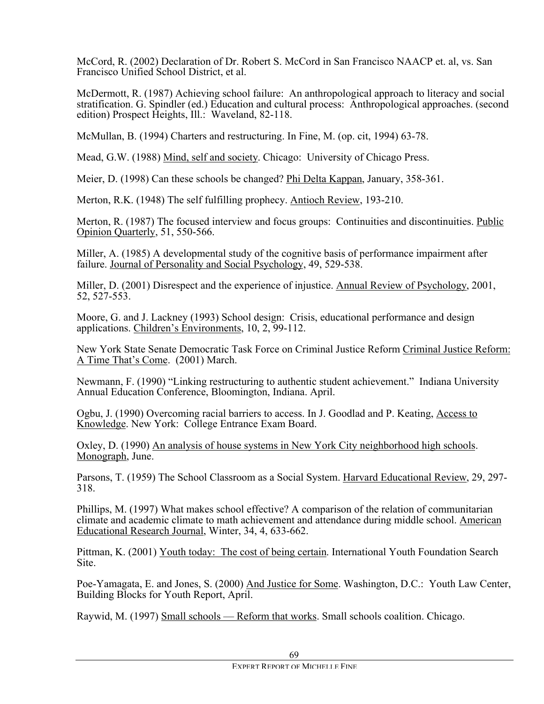McCord, R. (2002) Declaration of Dr. Robert S. McCord in San Francisco NAACP et. al, vs. San Francisco Unified School District, et al.

McDermott, R. (1987) Achieving school failure: An anthropological approach to literacy and social stratification. G. Spindler (ed.) Education and cultural process: Anthropological approaches. (second edition) Prospect Heights, Ill.: Waveland, 82-118.

McMullan, B. (1994) Charters and restructuring. In Fine, M. (op. cit, 1994) 63-78.

Mead, G.W. (1988) Mind, self and society. Chicago: University of Chicago Press.

Meier, D. (1998) Can these schools be changed? Phi Delta Kappan, January, 358-361.

Merton, R.K. (1948) The self fulfilling prophecy. Antioch Review, 193-210.

Merton, R. (1987) The focused interview and focus groups: Continuities and discontinuities. Public Opinion Quarterly, 51, 550-566.

Miller, A. (1985) A developmental study of the cognitive basis of performance impairment after failure. Journal of Personality and Social Psychology, 49, 529-538.

Miller, D. (2001) Disrespect and the experience of injustice. Annual Review of Psychology, 2001, 52, 527-553.

Moore, G. and J. Lackney (1993) School design: Crisis, educational performance and design applications. Children's Environments, 10, 2, 99-112.

New York State Senate Democratic Task Force on Criminal Justice Reform Criminal Justice Reform: A Time That's Come. (2001) March.

Newmann, F. (1990) "Linking restructuring to authentic student achievement." Indiana University Annual Education Conference, Bloomington, Indiana. April.

Ogbu, J. (1990) Overcoming racial barriers to access. In J. Goodlad and P. Keating, Access to Knowledge. New York: College Entrance Exam Board.

Oxley, D. (1990) An analysis of house systems in New York City neighborhood high schools. Monograph, June.

Parsons, T. (1959) The School Classroom as a Social System. Harvard Educational Review, 29, 297- 318.

Phillips, M. (1997) What makes school effective? A comparison of the relation of communitarian climate and academic climate to math achievement and attendance during middle school. American Educational Research Journal, Winter, 34, 4, 633-662.

Pittman, K. (2001) Youth today: The cost of being certain. International Youth Foundation Search Site.

Poe-Yamagata, E. and Jones, S. (2000) And Justice for Some. Washington, D.C.: Youth Law Center, Building Blocks for Youth Report, April.

Raywid, M. (1997) Small schools — Reform that works. Small schools coalition. Chicago.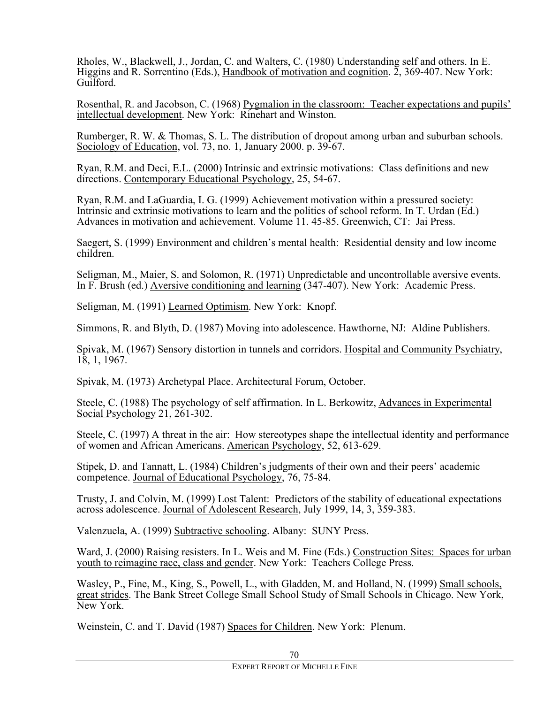Rholes, W., Blackwell, J., Jordan, C. and Walters, C. (1980) Understanding self and others. In E. Higgins and R. Sorrentino (Eds.), Handbook of motivation and cognition. 2, 369-407. New York: Guilford.

Rosenthal, R. and Jacobson, C. (1968) Pygmalion in the classroom: Teacher expectations and pupils' intellectual development. New York: Rinehart and Winston.

Rumberger, R. W. & Thomas, S. L. The distribution of dropout among urban and suburban schools. Sociology of Education, vol. 73, no. 1, January 2000. p. 39-67.

Ryan, R.M. and Deci, E.L. (2000) Intrinsic and extrinsic motivations: Class definitions and new directions. Contemporary Educational Psychology, 25, 54-67.

Ryan, R.M. and LaGuardia, I. G. (1999) Achievement motivation within a pressured society: Intrinsic and extrinsic motivations to learn and the politics of school reform. In T. Urdan (Ed.) Advances in motivation and achievement. Volume 11. 45-85. Greenwich, CT: Jai Press.

Saegert, S. (1999) Environment and children's mental health: Residential density and low income children.

Seligman, M., Maier, S. and Solomon, R. (1971) Unpredictable and uncontrollable aversive events. In F. Brush (ed.) Aversive conditioning and learning (347-407). New York: Academic Press.

Seligman, M. (1991) Learned Optimism. New York: Knopf.

Simmons, R. and Blyth, D. (1987) Moving into adolescence. Hawthorne, NJ: Aldine Publishers.

Spivak, M. (1967) Sensory distortion in tunnels and corridors. Hospital and Community Psychiatry, 18, 1, 1967.

Spivak, M. (1973) Archetypal Place. Architectural Forum, October.

Steele, C. (1988) The psychology of self affirmation. In L. Berkowitz, Advances in Experimental Social Psychology 21, 261-302.

Steele, C. (1997) A threat in the air: How stereotypes shape the intellectual identity and performance of women and African Americans. American Psychology, 52, 613-629.

Stipek, D. and Tannatt, L. (1984) Children's judgments of their own and their peers' academic competence. Journal of Educational Psychology, 76, 75-84.

Trusty, J. and Colvin, M. (1999) Lost Talent: Predictors of the stability of educational expectations across adolescence. Journal of Adolescent Research, July 1999, 14, 3, 359-383.

Valenzuela, A. (1999) Subtractive schooling. Albany: SUNY Press.

Ward, J. (2000) Raising resisters. In L. Weis and M. Fine (Eds.) Construction Sites: Spaces for urban youth to reimagine race, class and gender. New York: Teachers College Press.

Wasley, P., Fine, M., King, S., Powell, L., with Gladden, M. and Holland, N. (1999) Small schools, great strides. The Bank Street College Small School Study of Small Schools in Chicago. New York, New York.

Weinstein, C. and T. David (1987) Spaces for Children. New York: Plenum.